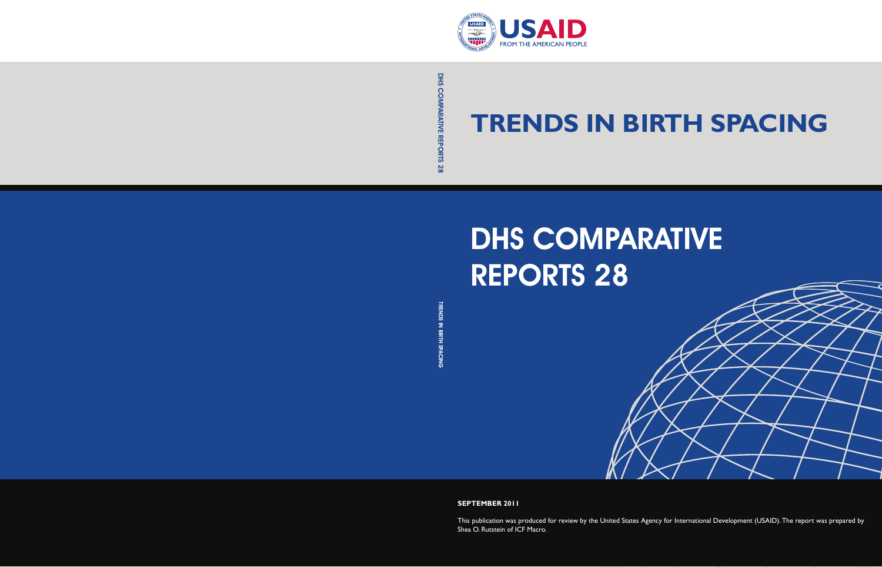

# **TRENDS IN BIRTH SPACING**

# DHS COMPARATIVE REPORTS 28

#### **SEPTEMBER 2011**

This publication was produced for review by the United States Agency for International Development (USAID). The report was prepared by Shea O. Rutstein of ICF Macro.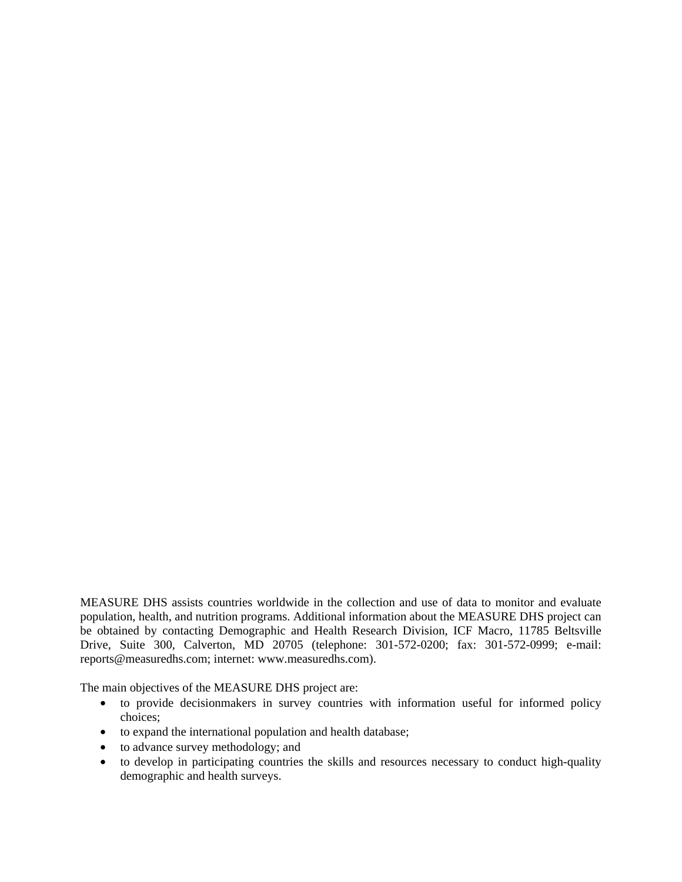MEASURE DHS assists countries worldwide in the collection and use of data to monitor and evaluate population, health, and nutrition programs. Additional information about the MEASURE DHS project can be obtained by contacting Demographic and Health Research Division, ICF Macro, 11785 Beltsville Drive, Suite 300, Calverton, MD 20705 (telephone: 301-572-0200; fax: 301-572-0999; e-mail: reports@measuredhs.com; internet: www.measuredhs.com).

The main objectives of the MEASURE DHS project are:

- to provide decisionmakers in survey countries with information useful for informed policy choices;
- to expand the international population and health database;
- to advance survey methodology; and
- to develop in participating countries the skills and resources necessary to conduct high-quality demographic and health surveys.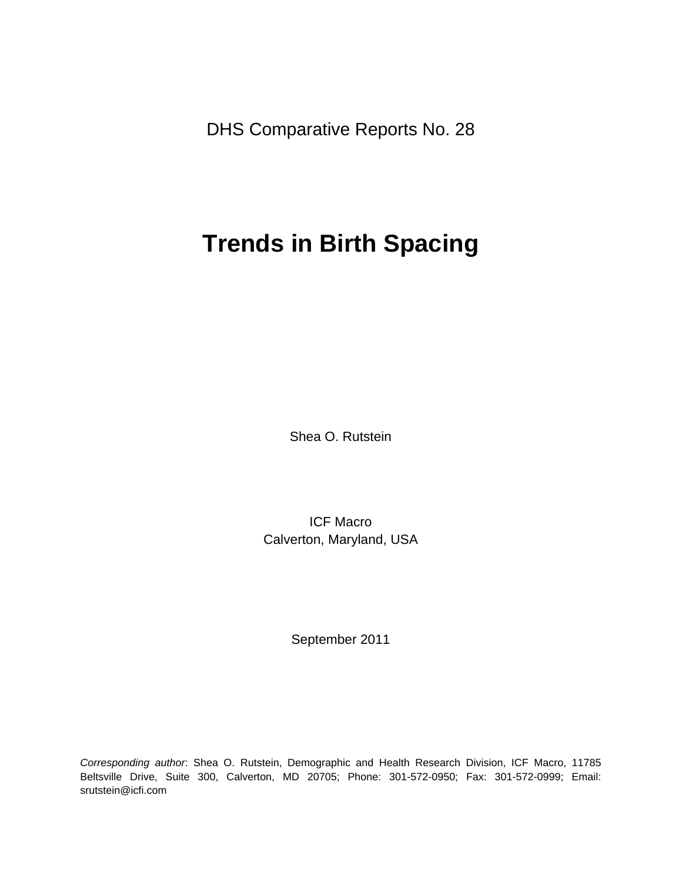DHS Comparative Reports No. 28

## **Trends in Birth Spacing**

Shea O. Rutstein

ICF Macro Calverton, Maryland, USA

September 2011

*Corresponding author*: Shea O. Rutstein, Demographic and Health Research Division, ICF Macro, 11785 Beltsville Drive, Suite 300, Calverton, MD 20705; Phone: 301-572-0950; Fax: 301-572-0999; Email: srutstein@icfi.com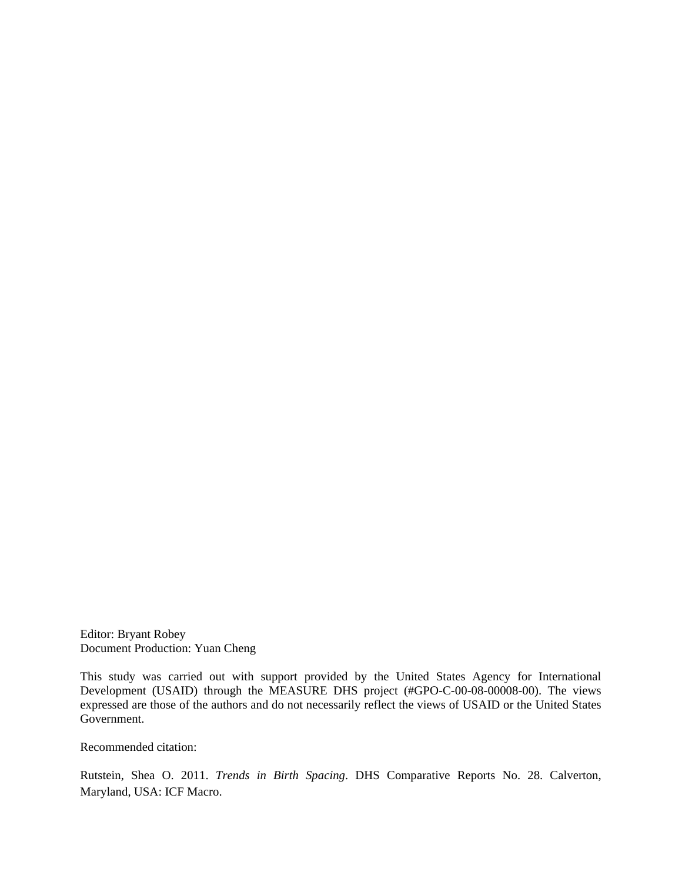Editor: Bryant Robey Document Production: Yuan Cheng

This study was carried out with support provided by the United States Agency for International Development (USAID) through the MEASURE DHS project (#GPO-C-00-08-00008-00). The views expressed are those of the authors and do not necessarily reflect the views of USAID or the United States Government.

Recommended citation:

Rutstein, Shea O. 2011. *Trends in Birth Spacing*. DHS Comparative Reports No. 28. Calverton, Maryland, USA: ICF Macro.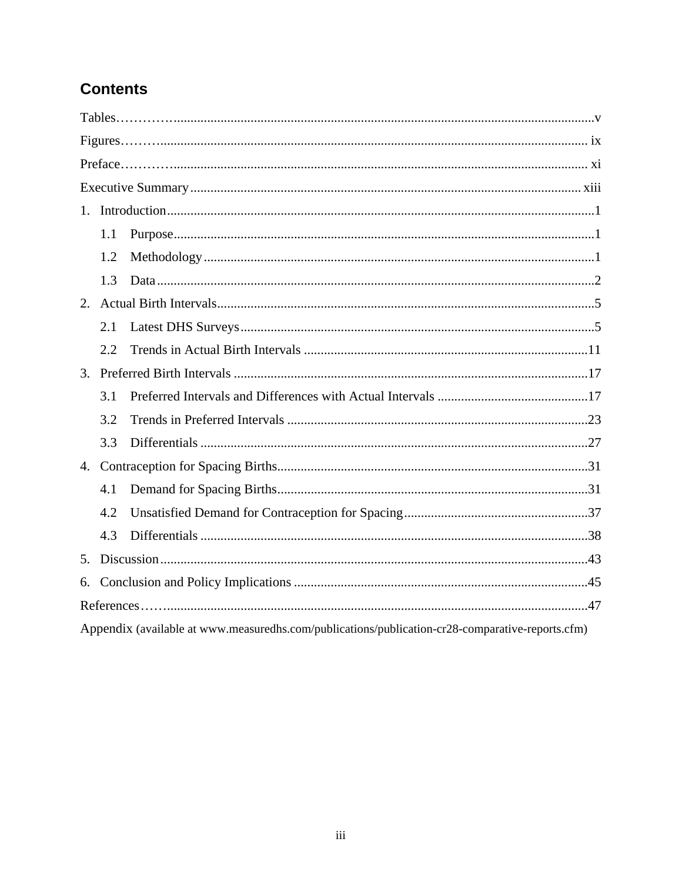## **Contents**

|    | 1.1 |                                                                                                  |
|----|-----|--------------------------------------------------------------------------------------------------|
|    | 1.2 |                                                                                                  |
|    | 1.3 |                                                                                                  |
| 2. |     |                                                                                                  |
|    | 2.1 |                                                                                                  |
|    | 2.2 |                                                                                                  |
| 3. |     |                                                                                                  |
|    | 3.1 |                                                                                                  |
|    | 3.2 |                                                                                                  |
|    | 3.3 |                                                                                                  |
| 4. |     |                                                                                                  |
|    | 4.1 |                                                                                                  |
|    | 4.2 |                                                                                                  |
|    | 4.3 |                                                                                                  |
| 5. |     |                                                                                                  |
| 6. |     |                                                                                                  |
|    |     |                                                                                                  |
|    |     | Appendix (available at www.measuredhs.com/publications/publication-cr28-comparative-reports.cfm) |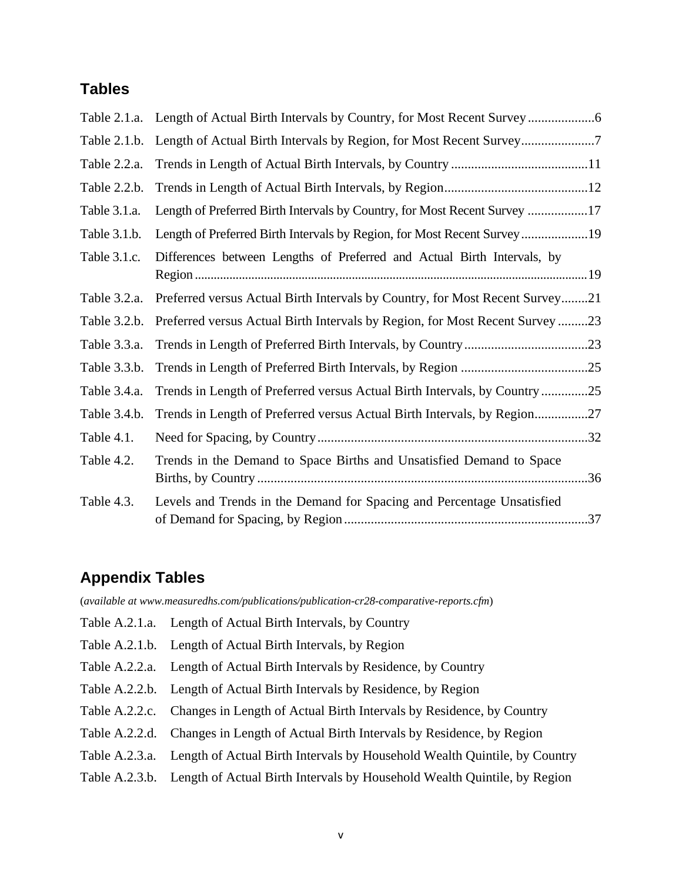## **Tables**

|              | Table 2.1.a. Length of Actual Birth Intervals by Country, for Most Recent Survey |
|--------------|----------------------------------------------------------------------------------|
| Table 2.1.b. | Length of Actual Birth Intervals by Region, for Most Recent Survey7              |
| Table 2.2.a. |                                                                                  |
| Table 2.2.b. |                                                                                  |
| Table 3.1.a. | Length of Preferred Birth Intervals by Country, for Most Recent Survey 17        |
| Table 3.1.b. | Length of Preferred Birth Intervals by Region, for Most Recent Survey19          |
| Table 3.1.c. | Differences between Lengths of Preferred and Actual Birth Intervals, by          |
| Table 3.2.a. | Preferred versus Actual Birth Intervals by Country, for Most Recent Survey21     |
| Table 3.2.b. | Preferred versus Actual Birth Intervals by Region, for Most Recent Survey 23     |
| Table 3.3.a. |                                                                                  |
| Table 3.3.b. |                                                                                  |
| Table 3.4.a. | Trends in Length of Preferred versus Actual Birth Intervals, by Country 25       |
| Table 3.4.b. | Trends in Length of Preferred versus Actual Birth Intervals, by Region27         |
| Table 4.1.   |                                                                                  |
| Table 4.2.   | Trends in the Demand to Space Births and Unsatisfied Demand to Space             |
| Table 4.3.   | Levels and Trends in the Demand for Spacing and Percentage Unsatisfied           |

## **Appendix Tables**

(*available at www.measuredhs.com/publications/publication-cr28-comparative-reports.cfm*)

- Table A.2.1.a. Length of Actual Birth Intervals, by Country
- Table A.2.1.b. Length of Actual Birth Intervals, by Region
- Table A.2.2.a. Length of Actual Birth Intervals by Residence, by Country
- Table A.2.2.b. Length of Actual Birth Intervals by Residence, by Region
- Table A.2.2.c. Changes in Length of Actual Birth Intervals by Residence, by Country
- Table A.2.2.d. Changes in Length of Actual Birth Intervals by Residence, by Region
- Table A.2.3.a. Length of Actual Birth Intervals by Household Wealth Quintile, by Country
- Table A.2.3.b. Length of Actual Birth Intervals by Household Wealth Quintile, by Region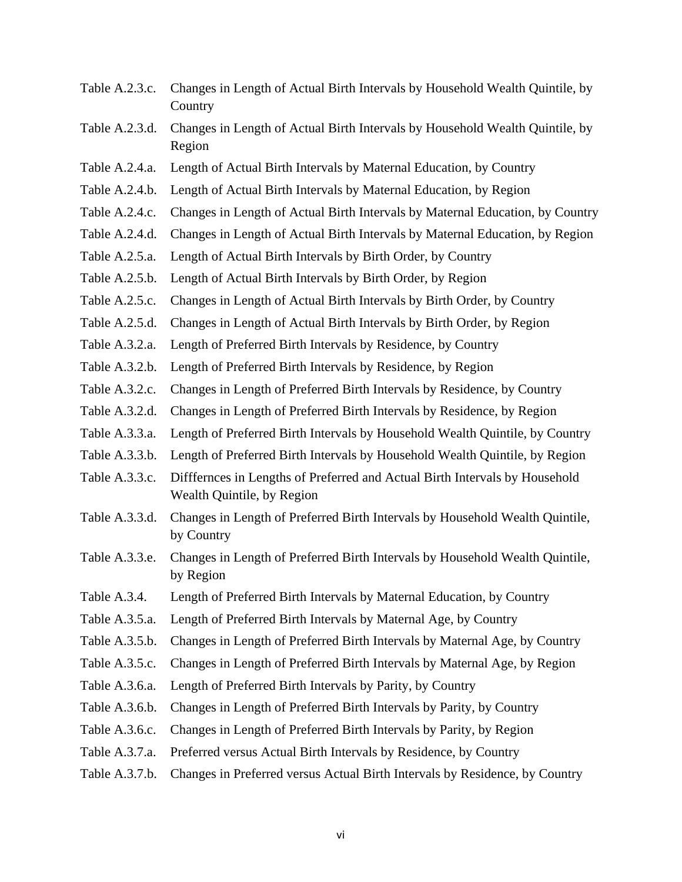- Table A.2.3.c. Changes in Length of Actual Birth Intervals by Household Wealth Quintile, by **Country**
- Table A.2.3.d. Changes in Length of Actual Birth Intervals by Household Wealth Quintile, by Region
- Table A.2.4.a. Length of Actual Birth Intervals by Maternal Education, by Country
- Table A.2.4.b. Length of Actual Birth Intervals by Maternal Education, by Region
- Table A.2.4.c. Changes in Length of Actual Birth Intervals by Maternal Education, by Country
- Table A.2.4.d. Changes in Length of Actual Birth Intervals by Maternal Education, by Region
- Table A.2.5.a. Length of Actual Birth Intervals by Birth Order, by Country
- Table A.2.5.b. Length of Actual Birth Intervals by Birth Order, by Region
- Table A.2.5.c. Changes in Length of Actual Birth Intervals by Birth Order, by Country
- Table A.2.5.d. Changes in Length of Actual Birth Intervals by Birth Order, by Region
- Table A.3.2.a. Length of Preferred Birth Intervals by Residence, by Country
- Table A.3.2.b. Length of Preferred Birth Intervals by Residence, by Region
- Table A.3.2.c. Changes in Length of Preferred Birth Intervals by Residence, by Country
- Table A.3.2.d. Changes in Length of Preferred Birth Intervals by Residence, by Region
- Table A.3.3.a. Length of Preferred Birth Intervals by Household Wealth Quintile, by Country
- Table A.3.3.b. Length of Preferred Birth Intervals by Household Wealth Quintile, by Region
- Table A.3.3.c. Difffernces in Lengths of Preferred and Actual Birth Intervals by Household Wealth Quintile, by Region
- Table A.3.3.d. Changes in Length of Preferred Birth Intervals by Household Wealth Quintile, by Country
- Table A.3.3.e. Changes in Length of Preferred Birth Intervals by Household Wealth Quintile, by Region
- Table A.3.4. Length of Preferred Birth Intervals by Maternal Education, by Country
- Table A.3.5.a. Length of Preferred Birth Intervals by Maternal Age, by Country
- Table A.3.5.b. Changes in Length of Preferred Birth Intervals by Maternal Age, by Country
- Table A.3.5.c. Changes in Length of Preferred Birth Intervals by Maternal Age, by Region
- Table A.3.6.a. Length of Preferred Birth Intervals by Parity, by Country
- Table A.3.6.b. Changes in Length of Preferred Birth Intervals by Parity, by Country
- Table A.3.6.c. Changes in Length of Preferred Birth Intervals by Parity, by Region
- Table A.3.7.a. Preferred versus Actual Birth Intervals by Residence, by Country
- Table A.3.7.b. Changes in Preferred versus Actual Birth Intervals by Residence, by Country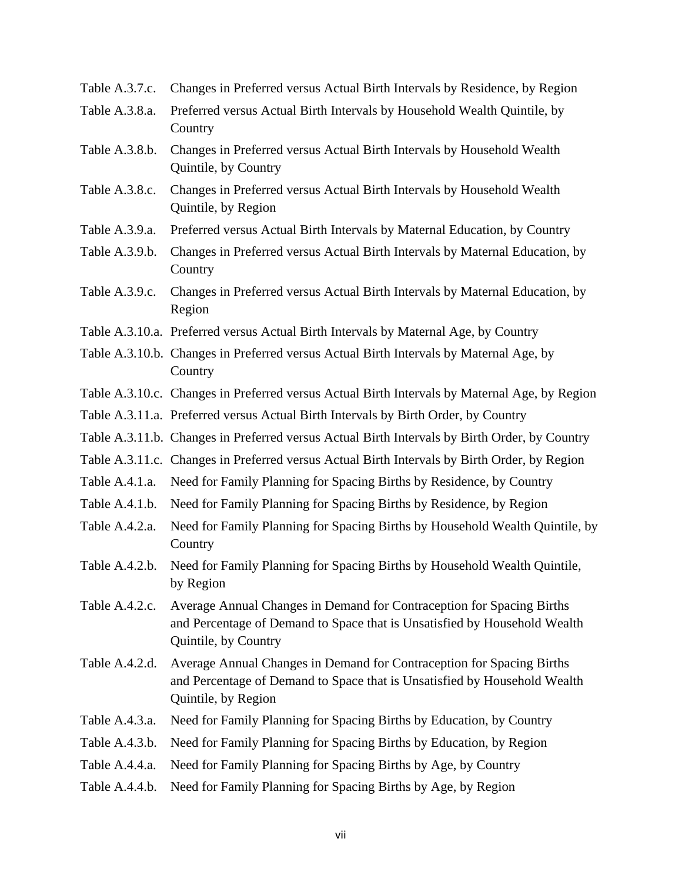- Table A.3.7.c. Changes in Preferred versus Actual Birth Intervals by Residence, by Region
- Table A.3.8.a. Preferred versus Actual Birth Intervals by Household Wealth Quintile, by **Country**
- Table A.3.8.b. Changes in Preferred versus Actual Birth Intervals by Household Wealth Quintile, by Country
- Table A.3.8.c. Changes in Preferred versus Actual Birth Intervals by Household Wealth Quintile, by Region
- Table A.3.9.a. Preferred versus Actual Birth Intervals by Maternal Education, by Country
- Table A.3.9.b. Changes in Preferred versus Actual Birth Intervals by Maternal Education, by **Country**
- Table A.3.9.c. Changes in Preferred versus Actual Birth Intervals by Maternal Education, by Region
- Table A.3.10.a. Preferred versus Actual Birth Intervals by Maternal Age, by Country
- Table A.3.10.b. Changes in Preferred versus Actual Birth Intervals by Maternal Age, by **Country**
- Table A.3.10.c. Changes in Preferred versus Actual Birth Intervals by Maternal Age, by Region
- Table A.3.11.a. Preferred versus Actual Birth Intervals by Birth Order, by Country
- Table A.3.11.b. Changes in Preferred versus Actual Birth Intervals by Birth Order, by Country
- Table A.3.11.c. Changes in Preferred versus Actual Birth Intervals by Birth Order, by Region
- Table A.4.1.a. Need for Family Planning for Spacing Births by Residence, by Country
- Table A.4.1.b. Need for Family Planning for Spacing Births by Residence, by Region
- Table A.4.2.a. Need for Family Planning for Spacing Births by Household Wealth Quintile, by **Country**
- Table A.4.2.b. Need for Family Planning for Spacing Births by Household Wealth Quintile, by Region
- Table A.4.2.c. Average Annual Changes in Demand for Contraception for Spacing Births and Percentage of Demand to Space that is Unsatisfied by Household Wealth Quintile, by Country
- Table A.4.2.d. Average Annual Changes in Demand for Contraception for Spacing Births and Percentage of Demand to Space that is Unsatisfied by Household Wealth Quintile, by Region
- Table A.4.3.a. Need for Family Planning for Spacing Births by Education, by Country
- Table A.4.3.b. Need for Family Planning for Spacing Births by Education, by Region
- Table A.4.4.a. Need for Family Planning for Spacing Births by Age, by Country
- Table A.4.4.b. Need for Family Planning for Spacing Births by Age, by Region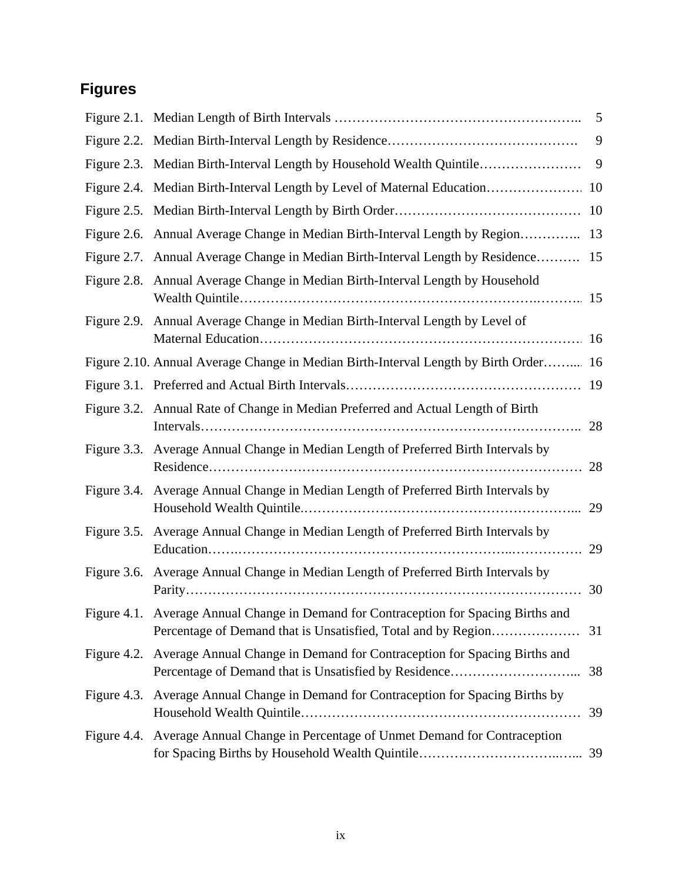## **Figures**

|             |                                                                                      | 5         |
|-------------|--------------------------------------------------------------------------------------|-----------|
|             |                                                                                      | 9         |
|             |                                                                                      |           |
|             |                                                                                      |           |
|             |                                                                                      | <b>10</b> |
|             | Figure 2.6. Annual Average Change in Median Birth-Interval Length by Region          | 13        |
|             | Figure 2.7. Annual Average Change in Median Birth-Interval Length by Residence 15    |           |
| Figure 2.8. | Annual Average Change in Median Birth-Interval Length by Household                   |           |
| Figure 2.9. | Annual Average Change in Median Birth-Interval Length by Level of                    |           |
|             | Figure 2.10. Annual Average Change in Median Birth-Interval Length by Birth Order 16 |           |
|             |                                                                                      | 19        |
|             | Figure 3.2. Annual Rate of Change in Median Preferred and Actual Length of Birth     | 28        |
|             | Figure 3.3. Average Annual Change in Median Length of Preferred Birth Intervals by   |           |
|             | Figure 3.4. Average Annual Change in Median Length of Preferred Birth Intervals by   |           |
|             | Figure 3.5. Average Annual Change in Median Length of Preferred Birth Intervals by   |           |
|             | Figure 3.6. Average Annual Change in Median Length of Preferred Birth Intervals by   |           |
|             | Figure 4.1. Average Annual Change in Demand for Contraception for Spacing Births and |           |
|             | Figure 4.2. Average Annual Change in Demand for Contraception for Spacing Births and | 38        |
|             | Figure 4.3. Average Annual Change in Demand for Contraception for Spacing Births by  | 39        |
|             | Figure 4.4. Average Annual Change in Percentage of Unmet Demand for Contraception    |           |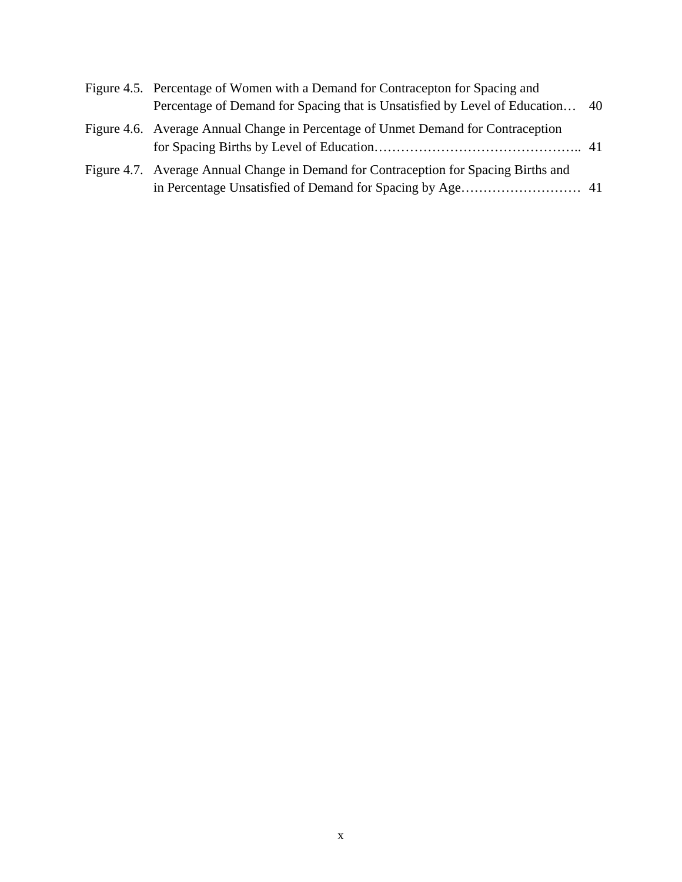| Figure 4.5. Percentage of Women with a Demand for Contracepton for Spacing and       |  |
|--------------------------------------------------------------------------------------|--|
| Percentage of Demand for Spacing that is Unsatisfied by Level of Education 40        |  |
| Figure 4.6. Average Annual Change in Percentage of Unmet Demand for Contraception    |  |
| Figure 4.7. Average Annual Change in Demand for Contraception for Spacing Births and |  |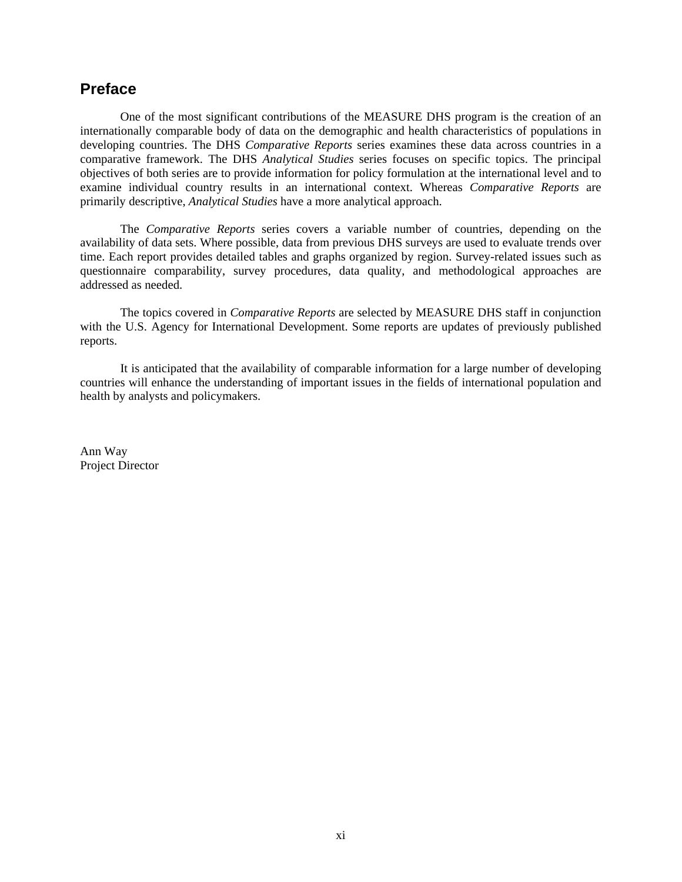## **Preface**

One of the most significant contributions of the MEASURE DHS program is the creation of an internationally comparable body of data on the demographic and health characteristics of populations in developing countries. The DHS *Comparative Reports* series examines these data across countries in a comparative framework. The DHS *Analytical Studies* series focuses on specific topics. The principal objectives of both series are to provide information for policy formulation at the international level and to examine individual country results in an international context. Whereas *Comparative Reports* are primarily descriptive, *Analytical Studies* have a more analytical approach.

The *Comparative Reports* series covers a variable number of countries, depending on the availability of data sets. Where possible, data from previous DHS surveys are used to evaluate trends over time. Each report provides detailed tables and graphs organized by region. Survey-related issues such as questionnaire comparability, survey procedures, data quality, and methodological approaches are addressed as needed.

The topics covered in *Comparative Reports* are selected by MEASURE DHS staff in conjunction with the U.S. Agency for International Development. Some reports are updates of previously published reports.

It is anticipated that the availability of comparable information for a large number of developing countries will enhance the understanding of important issues in the fields of international population and health by analysts and policymakers.

Ann Way Project Director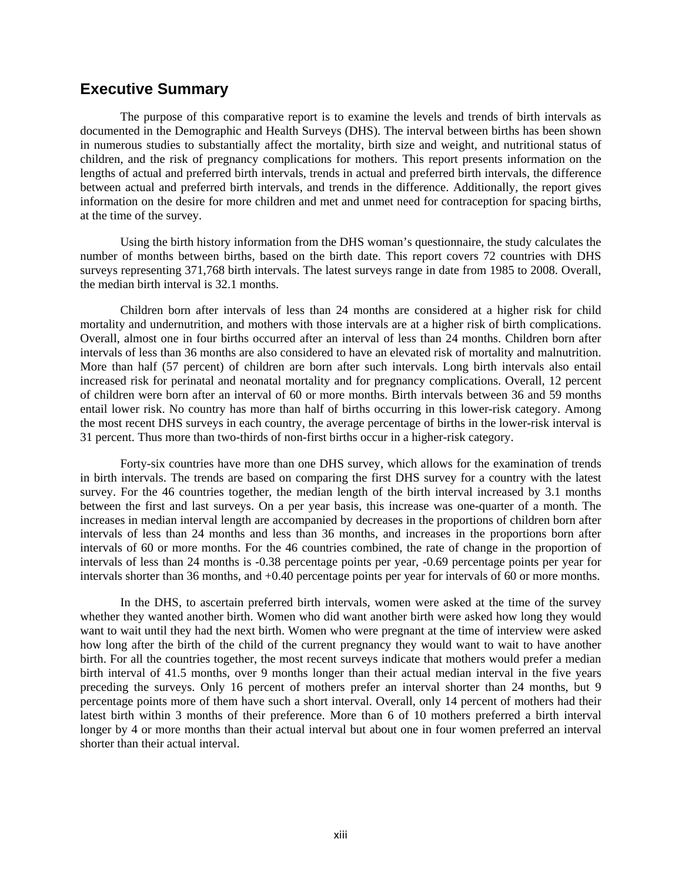## **Executive Summary**

The purpose of this comparative report is to examine the levels and trends of birth intervals as documented in the Demographic and Health Surveys (DHS). The interval between births has been shown in numerous studies to substantially affect the mortality, birth size and weight, and nutritional status of children, and the risk of pregnancy complications for mothers. This report presents information on the lengths of actual and preferred birth intervals, trends in actual and preferred birth intervals, the difference between actual and preferred birth intervals, and trends in the difference. Additionally, the report gives information on the desire for more children and met and unmet need for contraception for spacing births, at the time of the survey.

Using the birth history information from the DHS woman's questionnaire, the study calculates the number of months between births, based on the birth date. This report covers 72 countries with DHS surveys representing 371,768 birth intervals. The latest surveys range in date from 1985 to 2008. Overall, the median birth interval is 32.1 months.

Children born after intervals of less than 24 months are considered at a higher risk for child mortality and undernutrition, and mothers with those intervals are at a higher risk of birth complications. Overall, almost one in four births occurred after an interval of less than 24 months. Children born after intervals of less than 36 months are also considered to have an elevated risk of mortality and malnutrition. More than half (57 percent) of children are born after such intervals. Long birth intervals also entail increased risk for perinatal and neonatal mortality and for pregnancy complications. Overall, 12 percent of children were born after an interval of 60 or more months. Birth intervals between 36 and 59 months entail lower risk. No country has more than half of births occurring in this lower-risk category. Among the most recent DHS surveys in each country, the average percentage of births in the lower-risk interval is 31 percent. Thus more than two-thirds of non-first births occur in a higher-risk category.

Forty-six countries have more than one DHS survey, which allows for the examination of trends in birth intervals. The trends are based on comparing the first DHS survey for a country with the latest survey. For the 46 countries together, the median length of the birth interval increased by 3.1 months between the first and last surveys. On a per year basis, this increase was one-quarter of a month. The increases in median interval length are accompanied by decreases in the proportions of children born after intervals of less than 24 months and less than 36 months, and increases in the proportions born after intervals of 60 or more months. For the 46 countries combined, the rate of change in the proportion of intervals of less than 24 months is -0.38 percentage points per year, -0.69 percentage points per year for intervals shorter than 36 months, and +0.40 percentage points per year for intervals of 60 or more months.

In the DHS, to ascertain preferred birth intervals, women were asked at the time of the survey whether they wanted another birth. Women who did want another birth were asked how long they would want to wait until they had the next birth. Women who were pregnant at the time of interview were asked how long after the birth of the child of the current pregnancy they would want to wait to have another birth. For all the countries together, the most recent surveys indicate that mothers would prefer a median birth interval of 41.5 months, over 9 months longer than their actual median interval in the five years preceding the surveys. Only 16 percent of mothers prefer an interval shorter than 24 months, but 9 percentage points more of them have such a short interval. Overall, only 14 percent of mothers had their latest birth within 3 months of their preference. More than 6 of 10 mothers preferred a birth interval longer by 4 or more months than their actual interval but about one in four women preferred an interval shorter than their actual interval.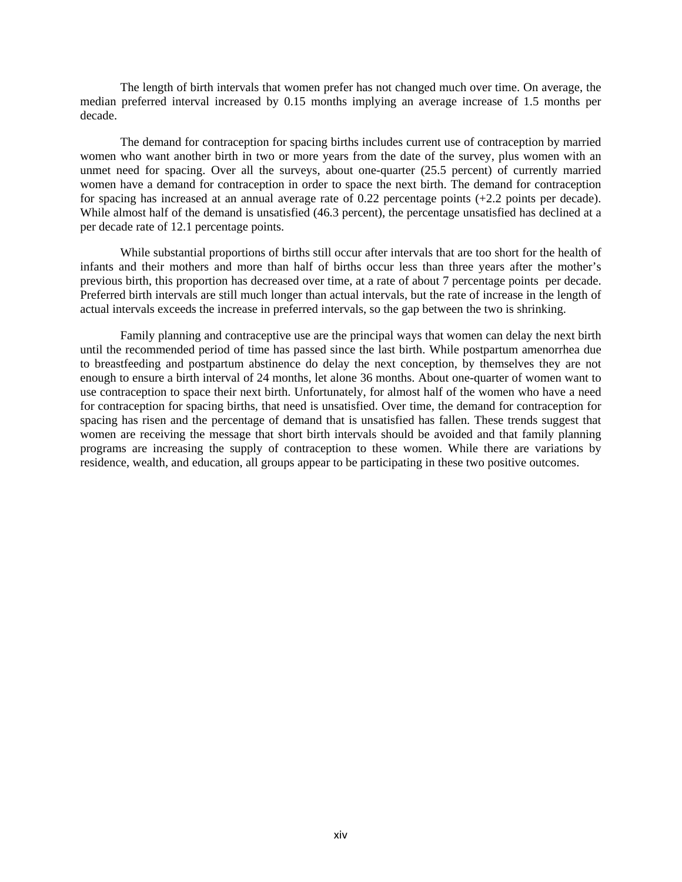The length of birth intervals that women prefer has not changed much over time. On average, the median preferred interval increased by 0.15 months implying an average increase of 1.5 months per decade.

The demand for contraception for spacing births includes current use of contraception by married women who want another birth in two or more years from the date of the survey, plus women with an unmet need for spacing. Over all the surveys, about one-quarter (25.5 percent) of currently married women have a demand for contraception in order to space the next birth. The demand for contraception for spacing has increased at an annual average rate of 0.22 percentage points  $(+2.2 \text{ points per decade})$ . While almost half of the demand is unsatisfied (46.3 percent), the percentage unsatisfied has declined at a per decade rate of 12.1 percentage points.

While substantial proportions of births still occur after intervals that are too short for the health of infants and their mothers and more than half of births occur less than three years after the mother's previous birth, this proportion has decreased over time, at a rate of about 7 percentage points per decade. Preferred birth intervals are still much longer than actual intervals, but the rate of increase in the length of actual intervals exceeds the increase in preferred intervals, so the gap between the two is shrinking.

Family planning and contraceptive use are the principal ways that women can delay the next birth until the recommended period of time has passed since the last birth. While postpartum amenorrhea due to breastfeeding and postpartum abstinence do delay the next conception, by themselves they are not enough to ensure a birth interval of 24 months, let alone 36 months. About one-quarter of women want to use contraception to space their next birth. Unfortunately, for almost half of the women who have a need for contraception for spacing births, that need is unsatisfied. Over time, the demand for contraception for spacing has risen and the percentage of demand that is unsatisfied has fallen. These trends suggest that women are receiving the message that short birth intervals should be avoided and that family planning programs are increasing the supply of contraception to these women. While there are variations by residence, wealth, and education, all groups appear to be participating in these two positive outcomes.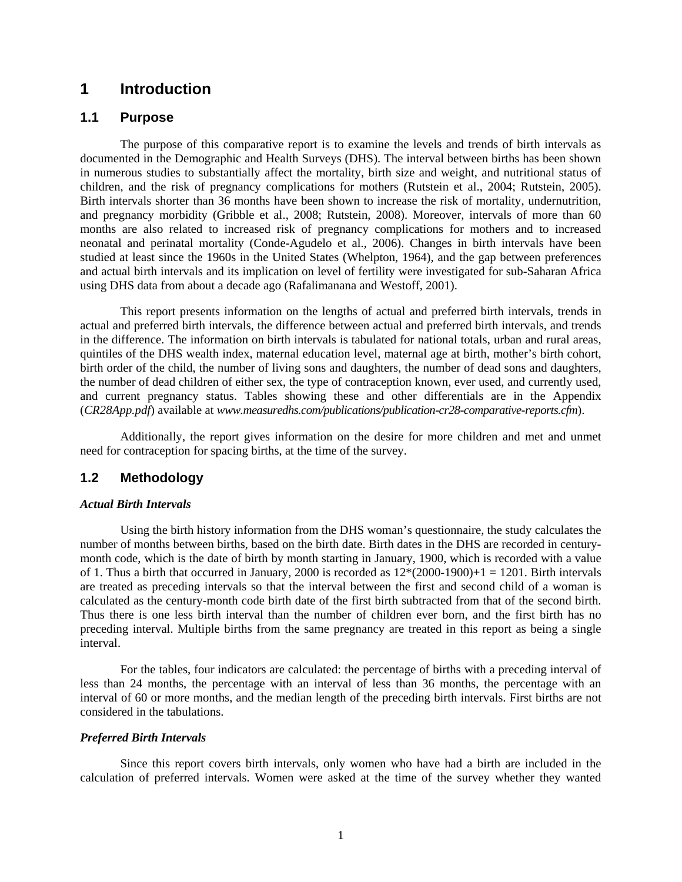## **1 Introduction**

#### **1.1 Purpose**

The purpose of this comparative report is to examine the levels and trends of birth intervals as documented in the Demographic and Health Surveys (DHS). The interval between births has been shown in numerous studies to substantially affect the mortality, birth size and weight, and nutritional status of children, and the risk of pregnancy complications for mothers (Rutstein et al., 2004; Rutstein, 2005). Birth intervals shorter than 36 months have been shown to increase the risk of mortality, undernutrition, and pregnancy morbidity (Gribble et al., 2008; Rutstein, 2008). Moreover, intervals of more than 60 months are also related to increased risk of pregnancy complications for mothers and to increased neonatal and perinatal mortality (Conde-Agudelo et al., 2006). Changes in birth intervals have been studied at least since the 1960s in the United States (Whelpton, 1964), and the gap between preferences and actual birth intervals and its implication on level of fertility were investigated for sub-Saharan Africa using DHS data from about a decade ago (Rafalimanana and Westoff, 2001).

This report presents information on the lengths of actual and preferred birth intervals, trends in actual and preferred birth intervals, the difference between actual and preferred birth intervals, and trends in the difference. The information on birth intervals is tabulated for national totals, urban and rural areas, quintiles of the DHS wealth index, maternal education level, maternal age at birth, mother's birth cohort, birth order of the child, the number of living sons and daughters, the number of dead sons and daughters, the number of dead children of either sex, the type of contraception known, ever used, and currently used, and current pregnancy status. Tables showing these and other differentials are in the Appendix (*CR28App.pdf*) available at *www.measuredhs.com/publications/publication-cr28-comparative-reports.cfm*).

Additionally, the report gives information on the desire for more children and met and unmet need for contraception for spacing births, at the time of the survey.

#### **1.2 Methodology**

#### *Actual Birth Intervals*

Using the birth history information from the DHS woman's questionnaire, the study calculates the number of months between births, based on the birth date. Birth dates in the DHS are recorded in centurymonth code, which is the date of birth by month starting in January, 1900, which is recorded with a value of 1. Thus a birth that occurred in January, 2000 is recorded as  $12*(2000-1900)+1 = 1201$ . Birth intervals are treated as preceding intervals so that the interval between the first and second child of a woman is calculated as the century-month code birth date of the first birth subtracted from that of the second birth. Thus there is one less birth interval than the number of children ever born, and the first birth has no preceding interval. Multiple births from the same pregnancy are treated in this report as being a single interval.

For the tables, four indicators are calculated: the percentage of births with a preceding interval of less than 24 months, the percentage with an interval of less than 36 months, the percentage with an interval of 60 or more months, and the median length of the preceding birth intervals. First births are not considered in the tabulations.

#### *Preferred Birth Intervals*

Since this report covers birth intervals, only women who have had a birth are included in the calculation of preferred intervals. Women were asked at the time of the survey whether they wanted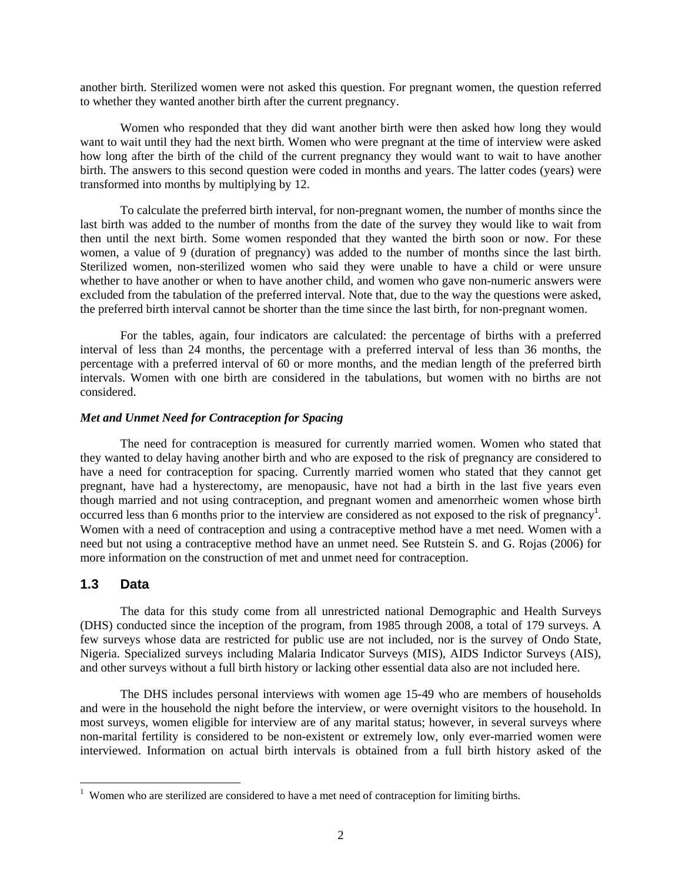another birth. Sterilized women were not asked this question. For pregnant women, the question referred to whether they wanted another birth after the current pregnancy.

Women who responded that they did want another birth were then asked how long they would want to wait until they had the next birth. Women who were pregnant at the time of interview were asked how long after the birth of the child of the current pregnancy they would want to wait to have another birth. The answers to this second question were coded in months and years. The latter codes (years) were transformed into months by multiplying by 12.

To calculate the preferred birth interval, for non-pregnant women, the number of months since the last birth was added to the number of months from the date of the survey they would like to wait from then until the next birth. Some women responded that they wanted the birth soon or now. For these women, a value of 9 (duration of pregnancy) was added to the number of months since the last birth. Sterilized women, non-sterilized women who said they were unable to have a child or were unsure whether to have another or when to have another child, and women who gave non-numeric answers were excluded from the tabulation of the preferred interval. Note that, due to the way the questions were asked, the preferred birth interval cannot be shorter than the time since the last birth, for non-pregnant women.

For the tables, again, four indicators are calculated: the percentage of births with a preferred interval of less than 24 months, the percentage with a preferred interval of less than 36 months, the percentage with a preferred interval of 60 or more months, and the median length of the preferred birth intervals. Women with one birth are considered in the tabulations, but women with no births are not considered.

#### *Met and Unmet Need for Contraception for Spacing*

The need for contraception is measured for currently married women. Women who stated that they wanted to delay having another birth and who are exposed to the risk of pregnancy are considered to have a need for contraception for spacing. Currently married women who stated that they cannot get pregnant, have had a hysterectomy, are menopausic, have not had a birth in the last five years even though married and not using contraception, and pregnant women and amenorrheic women whose birth occurred less than 6 months prior to the interview are considered as not exposed to the risk of pregnancy<sup>1</sup>. Women with a need of contraception and using a contraceptive method have a met need. Women with a need but not using a contraceptive method have an unmet need. See Rutstein S. and G. Rojas (2006) for more information on the construction of met and unmet need for contraception.

#### **1.3 Data**

**.** 

The data for this study come from all unrestricted national Demographic and Health Surveys (DHS) conducted since the inception of the program, from 1985 through 2008, a total of 179 surveys. A few surveys whose data are restricted for public use are not included, nor is the survey of Ondo State, Nigeria. Specialized surveys including Malaria Indicator Surveys (MIS), AIDS Indictor Surveys (AIS), and other surveys without a full birth history or lacking other essential data also are not included here.

The DHS includes personal interviews with women age 15-49 who are members of households and were in the household the night before the interview, or were overnight visitors to the household. In most surveys, women eligible for interview are of any marital status; however, in several surveys where non-marital fertility is considered to be non-existent or extremely low, only ever-married women were interviewed. Information on actual birth intervals is obtained from a full birth history asked of the

<sup>&</sup>lt;sup>1</sup> Women who are sterilized are considered to have a met need of contraception for limiting births.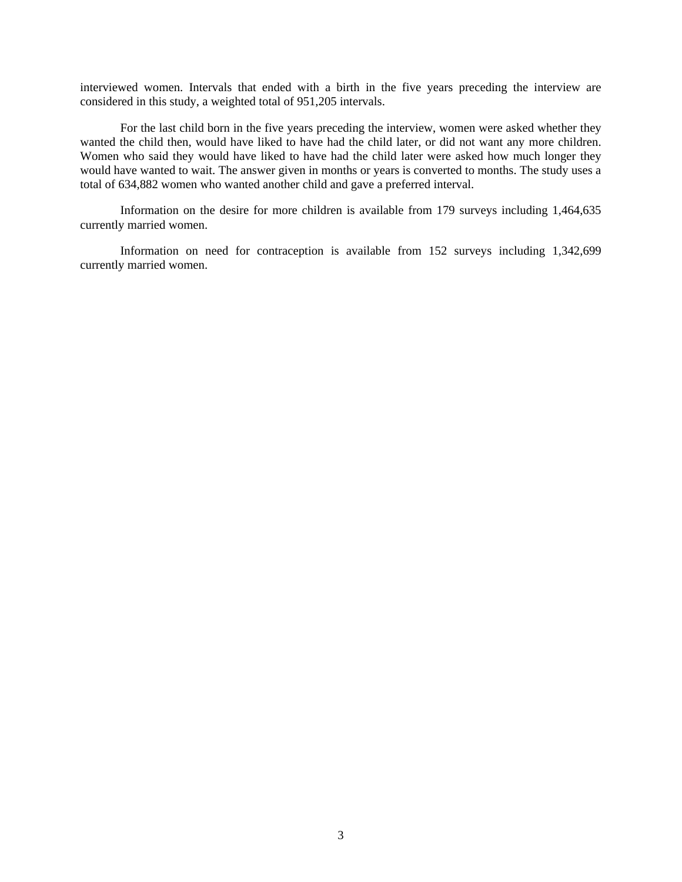interviewed women. Intervals that ended with a birth in the five years preceding the interview are considered in this study, a weighted total of 951,205 intervals.

For the last child born in the five years preceding the interview, women were asked whether they wanted the child then, would have liked to have had the child later, or did not want any more children. Women who said they would have liked to have had the child later were asked how much longer they would have wanted to wait. The answer given in months or years is converted to months. The study uses a total of 634,882 women who wanted another child and gave a preferred interval.

Information on the desire for more children is available from 179 surveys including 1,464,635 currently married women.

Information on need for contraception is available from 152 surveys including 1,342,699 currently married women.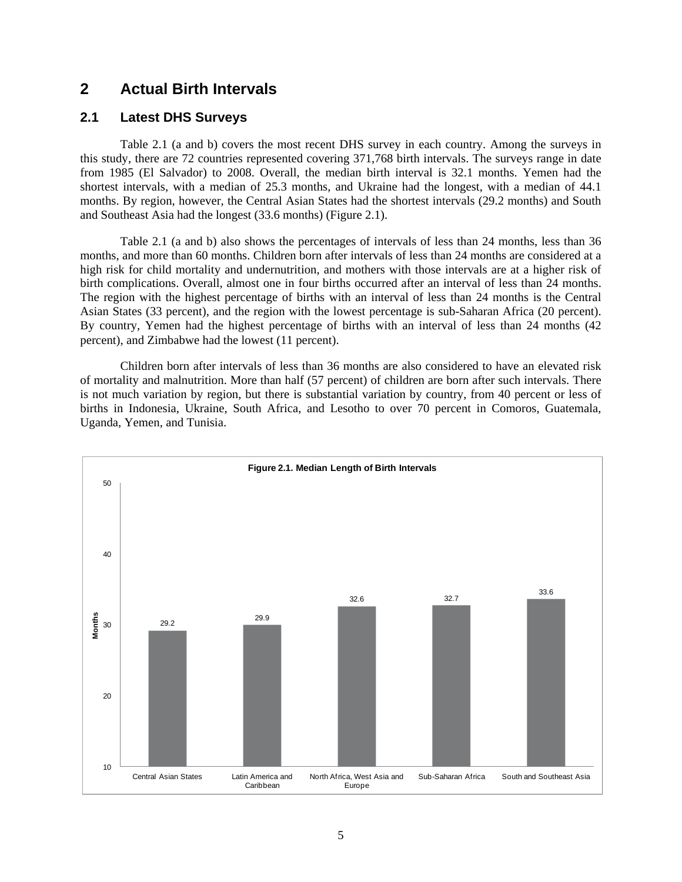## **2 Actual Birth Intervals**

#### **2.1 Latest DHS Surveys**

Table 2.1 (a and b) covers the most recent DHS survey in each country. Among the surveys in this study, there are 72 countries represented covering 371,768 birth intervals. The surveys range in date from 1985 (El Salvador) to 2008. Overall, the median birth interval is 32.1 months. Yemen had the shortest intervals, with a median of 25.3 months, and Ukraine had the longest, with a median of 44.1 months. By region, however, the Central Asian States had the shortest intervals (29.2 months) and South and Southeast Asia had the longest (33.6 months) (Figure 2.1).

Table 2.1 (a and b) also shows the percentages of intervals of less than 24 months, less than 36 months, and more than 60 months. Children born after intervals of less than 24 months are considered at a high risk for child mortality and undernutrition, and mothers with those intervals are at a higher risk of birth complications. Overall, almost one in four births occurred after an interval of less than 24 months. The region with the highest percentage of births with an interval of less than 24 months is the Central Asian States (33 percent), and the region with the lowest percentage is sub-Saharan Africa (20 percent). By country, Yemen had the highest percentage of births with an interval of less than 24 months (42 percent), and Zimbabwe had the lowest (11 percent).

Children born after intervals of less than 36 months are also considered to have an elevated risk of mortality and malnutrition. More than half (57 percent) of children are born after such intervals. There is not much variation by region, but there is substantial variation by country, from 40 percent or less of births in Indonesia, Ukraine, South Africa, and Lesotho to over 70 percent in Comoros, Guatemala, Uganda, Yemen, and Tunisia.

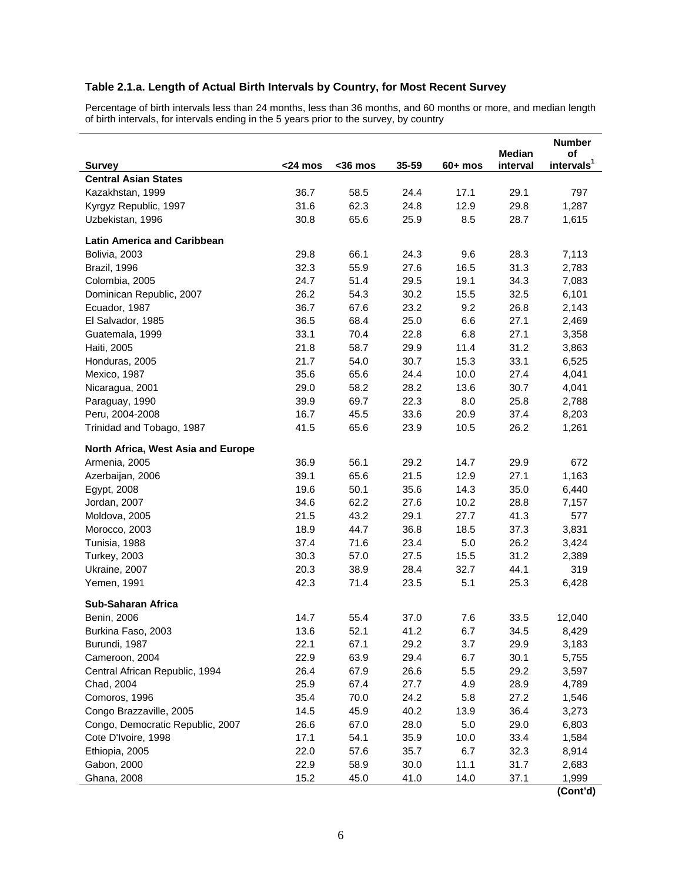#### **Table 2.1.a. Length of Actual Birth Intervals by Country, for Most Recent Survey**

Percentage of birth intervals less than 24 months, less than 36 months, and 60 months or more, and median length of birth intervals, for intervals ending in the 5 years prior to the survey, by country

|                                      |            |          |       |           |               | <b>Number</b>          |
|--------------------------------------|------------|----------|-------|-----------|---------------|------------------------|
|                                      |            |          |       |           | <b>Median</b> | of                     |
| <b>Survey</b>                        | $<$ 24 mos | $36$ mos | 35-59 | $60+$ mos | interval      | intervals <sup>1</sup> |
| <b>Central Asian States</b>          |            |          |       |           |               |                        |
| Kazakhstan, 1999                     | 36.7       | 58.5     | 24.4  | 17.1      | 29.1          | 797                    |
| Kyrgyz Republic, 1997                | 31.6       | 62.3     | 24.8  | 12.9      | 29.8          | 1,287                  |
| Uzbekistan, 1996                     | 30.8       | 65.6     | 25.9  | 8.5       | 28.7          | 1,615                  |
| <b>Latin America and Caribbean</b>   |            |          |       |           |               |                        |
| Bolivia, 2003                        | 29.8       | 66.1     | 24.3  | 9.6       | 28.3          | 7,113                  |
| Brazil, 1996                         | 32.3       | 55.9     | 27.6  | 16.5      | 31.3          | 2,783                  |
| Colombia, 2005                       | 24.7       | 51.4     | 29.5  | 19.1      | 34.3          | 7,083                  |
| Dominican Republic, 2007             | 26.2       | 54.3     | 30.2  | 15.5      | 32.5          | 6,101                  |
| Ecuador, 1987                        | 36.7       | 67.6     | 23.2  | 9.2       | 26.8          | 2,143                  |
| El Salvador, 1985                    | 36.5       | 68.4     | 25.0  | 6.6       | 27.1          | 2,469                  |
| Guatemala, 1999                      | 33.1       | 70.4     | 22.8  | 6.8       | 27.1          | 3,358                  |
| Haiti, 2005                          | 21.8       | 58.7     | 29.9  | 11.4      | 31.2          | 3,863                  |
| Honduras, 2005                       | 21.7       | 54.0     | 30.7  | 15.3      | 33.1          | 6,525                  |
| Mexico, 1987                         | 35.6       | 65.6     | 24.4  | 10.0      | 27.4          | 4,041                  |
| Nicaragua, 2001                      | 29.0       | 58.2     | 28.2  | 13.6      | 30.7          | 4,041                  |
| Paraguay, 1990                       | 39.9       | 69.7     | 22.3  | 8.0       | 25.8          | 2,788                  |
| Peru, 2004-2008                      | 16.7       | 45.5     | 33.6  | 20.9      | 37.4          | 8,203                  |
| Trinidad and Tobago, 1987            | 41.5       | 65.6     | 23.9  | 10.5      | 26.2          | 1,261                  |
|                                      |            |          |       |           |               |                        |
| North Africa, West Asia and Europe   | 36.9       | 56.1     | 29.2  | 14.7      | 29.9          | 672                    |
| Armenia, 2005                        | 39.1       | 65.6     | 21.5  | 12.9      | 27.1          |                        |
| Azerbaijan, 2006                     | 19.6       | 50.1     | 35.6  | 14.3      | 35.0          | 1,163                  |
| Egypt, 2008<br>Jordan, 2007          | 34.6       | 62.2     | 27.6  | 10.2      | 28.8          | 6,440                  |
|                                      | 21.5       | 43.2     | 29.1  | 27.7      | 41.3          | 7,157<br>577           |
| Moldova, 2005                        | 18.9       | 44.7     | 36.8  | 18.5      | 37.3          |                        |
| Morocco, 2003                        | 37.4       | 71.6     | 23.4  | 5.0       | 26.2          | 3,831                  |
| Tunisia, 1988                        | 30.3       | 57.0     | 27.5  | 15.5      | 31.2          | 3,424                  |
| <b>Turkey, 2003</b><br>Ukraine, 2007 | 20.3       | 38.9     | 28.4  | 32.7      | 44.1          | 2,389<br>319           |
|                                      | 42.3       | 71.4     | 23.5  | 5.1       | 25.3          |                        |
| Yemen, 1991                          |            |          |       |           |               | 6,428                  |
| Sub-Saharan Africa                   |            |          |       |           |               |                        |
| Benin, 2006                          | 14.7       | 55.4     | 37.0  | 7.6       | 33.5          | 12,040                 |
| Burkina Faso, 2003                   | 13.6       | 52.1     | 41.2  | 6.7       | 34.5          | 8,429                  |
| Burundi, 1987                        | 22.1       | 67.1     | 29.2  | 3.7       | 29.9          | 3,183                  |
| Cameroon, 2004                       | 22.9       | 63.9     | 29.4  | 6.7       | 30.1          | 5,755                  |
| Central African Republic, 1994       | 26.4       | 67.9     | 26.6  | 5.5       | 29.2          | 3,597                  |
| Chad, 2004                           | 25.9       | 67.4     | 27.7  | 4.9       | 28.9          | 4,789                  |
| Comoros, 1996                        | 35.4       | 70.0     | 24.2  | 5.8       | 27.2          | 1,546                  |
| Congo Brazzaville, 2005              | 14.5       | 45.9     | 40.2  | 13.9      | 36.4          | 3,273                  |
| Congo, Democratic Republic, 2007     | 26.6       | 67.0     | 28.0  | 5.0       | 29.0          | 6,803                  |
| Cote D'Ivoire, 1998                  | 17.1       | 54.1     | 35.9  | 10.0      | 33.4          | 1,584                  |
| Ethiopia, 2005                       | 22.0       | 57.6     | 35.7  | 6.7       | 32.3          | 8,914                  |
| Gabon, 2000                          | 22.9       | 58.9     | 30.0  | 11.1      | 31.7          | 2,683                  |
| Ghana, 2008                          | 15.2       | 45.0     | 41.0  | 14.0      | 37.1          | 1,999                  |

**(Cont'd)**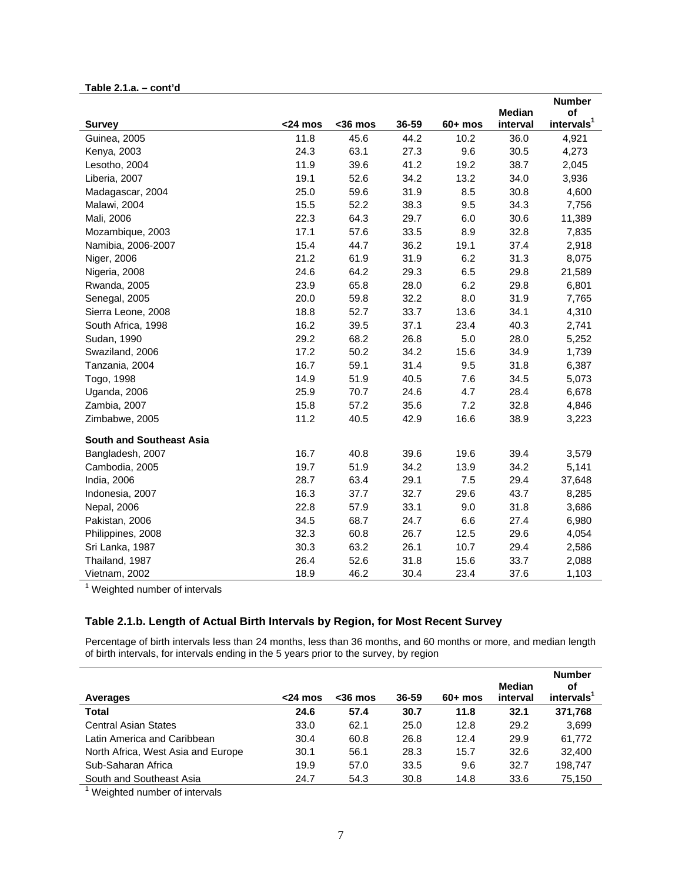#### **Table 2.1.a. – cont'd**

|                                 |            |          |       |           |               | <b>Number</b>          |
|---------------------------------|------------|----------|-------|-----------|---------------|------------------------|
|                                 |            |          |       |           | <b>Median</b> | of                     |
| <b>Survey</b>                   | $<$ 24 mos | $36$ mos | 36-59 | $60+$ mos | interval      | intervals <sup>1</sup> |
| <b>Guinea, 2005</b>             | 11.8       | 45.6     | 44.2  | 10.2      | 36.0          | 4,921                  |
| Kenya, 2003                     | 24.3       | 63.1     | 27.3  | 9.6       | 30.5          | 4,273                  |
| Lesotho, 2004                   | 11.9       | 39.6     | 41.2  | 19.2      | 38.7          | 2,045                  |
| Liberia, 2007                   | 19.1       | 52.6     | 34.2  | 13.2      | 34.0          | 3,936                  |
| Madagascar, 2004                | 25.0       | 59.6     | 31.9  | 8.5       | 30.8          | 4,600                  |
| Malawi, 2004                    | 15.5       | 52.2     | 38.3  | 9.5       | 34.3          | 7,756                  |
| Mali, 2006                      | 22.3       | 64.3     | 29.7  | 6.0       | 30.6          | 11,389                 |
| Mozambique, 2003                | 17.1       | 57.6     | 33.5  | 8.9       | 32.8          | 7,835                  |
| Namibia, 2006-2007              | 15.4       | 44.7     | 36.2  | 19.1      | 37.4          | 2,918                  |
| Niger, 2006                     | 21.2       | 61.9     | 31.9  | 6.2       | 31.3          | 8,075                  |
| Nigeria, 2008                   | 24.6       | 64.2     | 29.3  | 6.5       | 29.8          | 21,589                 |
| <b>Rwanda, 2005</b>             | 23.9       | 65.8     | 28.0  | 6.2       | 29.8          | 6,801                  |
| Senegal, 2005                   | 20.0       | 59.8     | 32.2  | 8.0       | 31.9          | 7,765                  |
| Sierra Leone, 2008              | 18.8       | 52.7     | 33.7  | 13.6      | 34.1          | 4,310                  |
| South Africa, 1998              | 16.2       | 39.5     | 37.1  | 23.4      | 40.3          | 2,741                  |
| Sudan, 1990                     | 29.2       | 68.2     | 26.8  | 5.0       | 28.0          | 5,252                  |
| Swaziland, 2006                 | 17.2       | 50.2     | 34.2  | 15.6      | 34.9          | 1,739                  |
| Tanzania, 2004                  | 16.7       | 59.1     | 31.4  | 9.5       | 31.8          | 6,387                  |
| Togo, 1998                      | 14.9       | 51.9     | 40.5  | 7.6       | 34.5          | 5,073                  |
| Uganda, 2006                    | 25.9       | 70.7     | 24.6  | 4.7       | 28.4          | 6,678                  |
| Zambia, 2007                    | 15.8       | 57.2     | 35.6  | 7.2       | 32.8          | 4,846                  |
| Zimbabwe, 2005                  | 11.2       | 40.5     | 42.9  | 16.6      | 38.9          | 3,223                  |
| <b>South and Southeast Asia</b> |            |          |       |           |               |                        |
| Bangladesh, 2007                | 16.7       | 40.8     | 39.6  | 19.6      | 39.4          | 3,579                  |
| Cambodia, 2005                  | 19.7       | 51.9     | 34.2  | 13.9      | 34.2          | 5,141                  |
| India, 2006                     | 28.7       | 63.4     | 29.1  | 7.5       | 29.4          | 37,648                 |
| Indonesia, 2007                 | 16.3       | 37.7     | 32.7  | 29.6      | 43.7          | 8,285                  |
| Nepal, 2006                     | 22.8       | 57.9     | 33.1  | 9.0       | 31.8          | 3,686                  |
| Pakistan, 2006                  | 34.5       | 68.7     | 24.7  | 6.6       | 27.4          | 6,980                  |
| Philippines, 2008               | 32.3       | 60.8     | 26.7  | 12.5      | 29.6          | 4,054                  |
| Sri Lanka, 1987                 | 30.3       | 63.2     | 26.1  | 10.7      | 29.4          | 2,586                  |
| Thailand, 1987                  | 26.4       | 52.6     | 31.8  | 15.6      | 33.7          | 2,088                  |
| Vietnam, 2002                   | 18.9       | 46.2     | 30.4  | 23.4      | 37.6          | 1,103                  |

<sup>1</sup> Weighted number of intervals

#### **Table 2.1.b. Length of Actual Birth Intervals by Region, for Most Recent Survey**

Percentage of birth intervals less than 24 months, less than 36 months, and 60 months or more, and median length of birth intervals, for intervals ending in the 5 years prior to the survey, by region

| Averages                           | $<$ 24 mos | $36$ mos | 36-59 | $60+$ mos | <b>Median</b><br>interval | <b>Number</b><br>оf<br><i>intervals</i> |
|------------------------------------|------------|----------|-------|-----------|---------------------------|-----------------------------------------|
| <b>Total</b>                       | 24.6       | 57.4     | 30.7  | 11.8      | 32.1                      | 371,768                                 |
| <b>Central Asian States</b>        | 33.0       | 62.1     | 25.0  | 12.8      | 29.2                      | 3.699                                   |
| Latin America and Caribbean        | 30.4       | 60.8     | 26.8  | 12.4      | 29.9                      | 61.772                                  |
| North Africa, West Asia and Europe | 30.1       | 56.1     | 28.3  | 15.7      | 32.6                      | 32,400                                  |
| Sub-Saharan Africa                 | 19.9       | 57.0     | 33.5  | 9.6       | 32.7                      | 198,747                                 |
| South and Southeast Asia           | 24.7       | 54.3     | 30.8  | 14.8      | 33.6                      | 75,150                                  |
| Weighted number of intervals       |            |          |       |           |                           |                                         |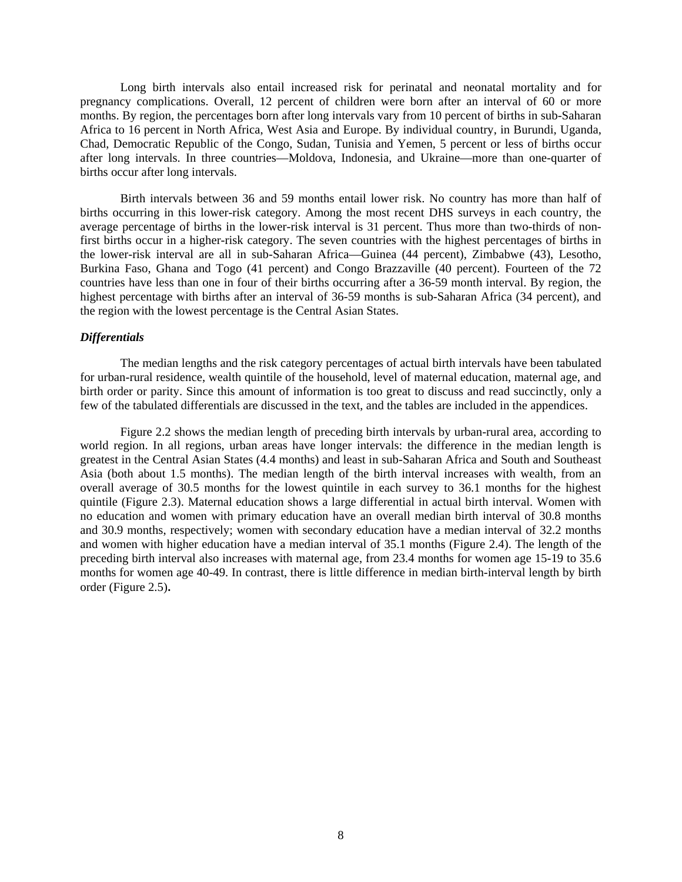Long birth intervals also entail increased risk for perinatal and neonatal mortality and for pregnancy complications. Overall, 12 percent of children were born after an interval of 60 or more months. By region, the percentages born after long intervals vary from 10 percent of births in sub-Saharan Africa to 16 percent in North Africa, West Asia and Europe. By individual country, in Burundi, Uganda, Chad, Democratic Republic of the Congo, Sudan, Tunisia and Yemen, 5 percent or less of births occur after long intervals. In three countries—Moldova, Indonesia, and Ukraine—more than one-quarter of births occur after long intervals.

Birth intervals between 36 and 59 months entail lower risk. No country has more than half of births occurring in this lower-risk category. Among the most recent DHS surveys in each country, the average percentage of births in the lower-risk interval is 31 percent. Thus more than two-thirds of nonfirst births occur in a higher-risk category. The seven countries with the highest percentages of births in the lower-risk interval are all in sub-Saharan Africa—Guinea (44 percent), Zimbabwe (43), Lesotho, Burkina Faso, Ghana and Togo (41 percent) and Congo Brazzaville (40 percent). Fourteen of the 72 countries have less than one in four of their births occurring after a 36-59 month interval. By region, the highest percentage with births after an interval of 36-59 months is sub-Saharan Africa (34 percent), and the region with the lowest percentage is the Central Asian States.

#### *Differentials*

The median lengths and the risk category percentages of actual birth intervals have been tabulated for urban-rural residence, wealth quintile of the household, level of maternal education, maternal age, and birth order or parity. Since this amount of information is too great to discuss and read succinctly, only a few of the tabulated differentials are discussed in the text, and the tables are included in the appendices.

Figure 2.2 shows the median length of preceding birth intervals by urban-rural area, according to world region. In all regions, urban areas have longer intervals: the difference in the median length is greatest in the Central Asian States (4.4 months) and least in sub-Saharan Africa and South and Southeast Asia (both about 1.5 months). The median length of the birth interval increases with wealth, from an overall average of 30.5 months for the lowest quintile in each survey to 36.1 months for the highest quintile (Figure 2.3). Maternal education shows a large differential in actual birth interval. Women with no education and women with primary education have an overall median birth interval of 30.8 months and 30.9 months, respectively; women with secondary education have a median interval of 32.2 months and women with higher education have a median interval of 35.1 months (Figure 2.4). The length of the preceding birth interval also increases with maternal age, from 23.4 months for women age 15-19 to 35.6 months for women age 40-49. In contrast, there is little difference in median birth-interval length by birth order (Figure 2.5)**.**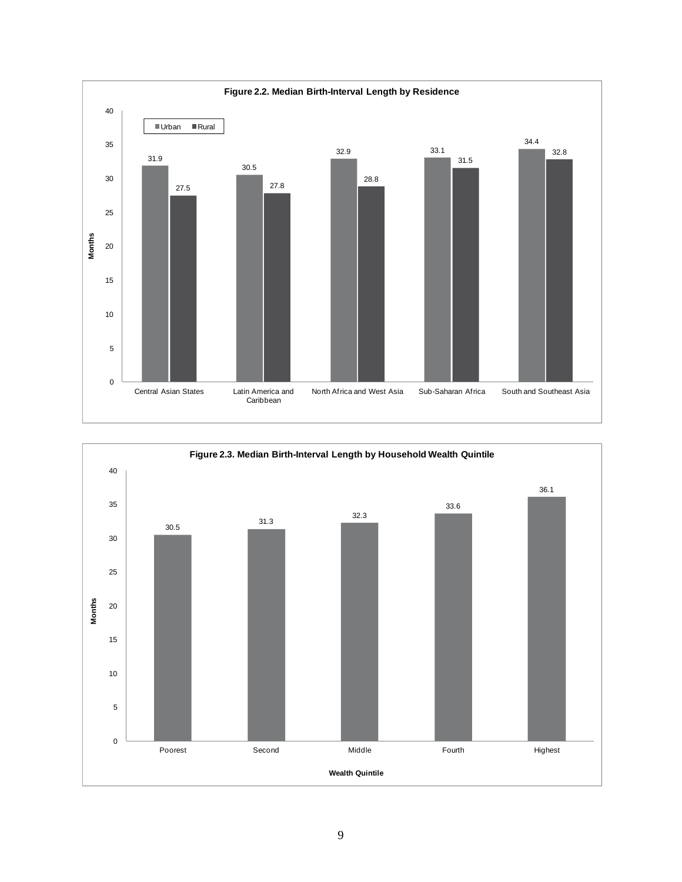

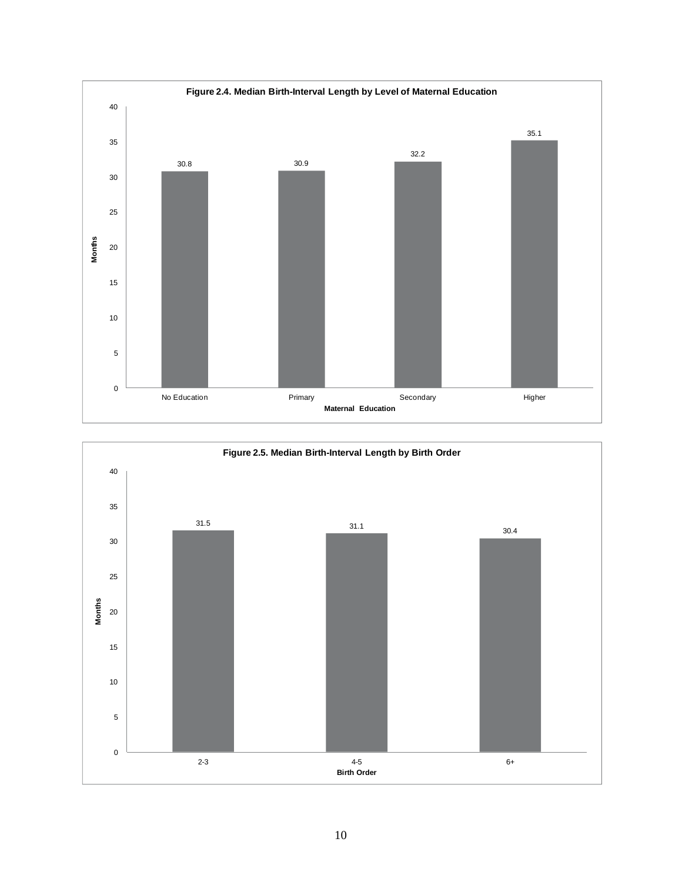

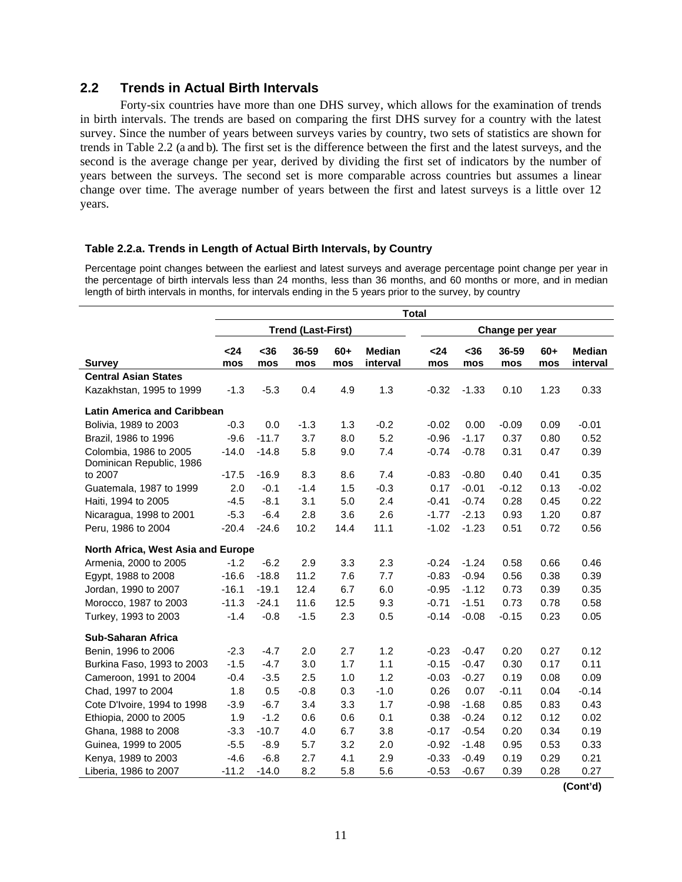#### **2.2 Trends in Actual Birth Intervals**

Forty-six countries have more than one DHS survey, which allows for the examination of trends in birth intervals. The trends are based on comparing the first DHS survey for a country with the latest survey. Since the number of years between surveys varies by country, two sets of statistics are shown for trends in Table 2.2 (a and b). The first set is the difference between the first and the latest surveys, and the second is the average change per year, derived by dividing the first set of indicators by the number of years between the surveys. The second set is more comparable across countries but assumes a linear change over time. The average number of years between the first and latest surveys is a little over 12 years.

#### **Table 2.2.a. Trends in Length of Actual Birth Intervals, by Country**

Percentage point changes between the earliest and latest surveys and average percentage point change per year in the percentage of birth intervals less than 24 months, less than 36 months, and 60 months or more, and in median length of birth intervals in months, for intervals ending in the 5 years prior to the survey, by country

|                                                    | <b>Total</b> |            |                           |              |                           |             |                 |              |              |                           |  |
|----------------------------------------------------|--------------|------------|---------------------------|--------------|---------------------------|-------------|-----------------|--------------|--------------|---------------------------|--|
|                                                    |              |            | <b>Trend (Last-First)</b> |              |                           |             | Change per year |              |              |                           |  |
| <b>Survey</b>                                      | $24$<br>mos  | <36<br>mos | 36-59<br>mos              | $60+$<br>mos | <b>Median</b><br>interval | $24$<br>mos | <36<br>mos      | 36-59<br>mos | $60+$<br>mos | <b>Median</b><br>interval |  |
| <b>Central Asian States</b>                        |              |            |                           |              |                           |             |                 |              |              |                           |  |
| Kazakhstan, 1995 to 1999                           | $-1.3$       | $-5.3$     | 0.4                       | 4.9          | 1.3                       | $-0.32$     | $-1.33$         | 0.10         | 1.23         | 0.33                      |  |
| <b>Latin America and Caribbean</b>                 |              |            |                           |              |                           |             |                 |              |              |                           |  |
| Bolivia, 1989 to 2003                              | $-0.3$       | 0.0        | $-1.3$                    | 1.3          | $-0.2$                    | $-0.02$     | 0.00            | $-0.09$      | 0.09         | $-0.01$                   |  |
| Brazil, 1986 to 1996                               | $-9.6$       | $-11.7$    | 3.7                       | 8.0          | 5.2                       | $-0.96$     | $-1.17$         | 0.37         | 0.80         | 0.52                      |  |
| Colombia, 1986 to 2005<br>Dominican Republic, 1986 | $-14.0$      | $-14.8$    | 5.8                       | 9.0          | 7.4                       | $-0.74$     | $-0.78$         | 0.31         | 0.47         | 0.39                      |  |
| to 2007                                            | $-17.5$      | $-16.9$    | 8.3                       | 8.6          | 7.4                       | $-0.83$     | $-0.80$         | 0.40         | 0.41         | 0.35                      |  |
| Guatemala, 1987 to 1999                            | 2.0          | $-0.1$     | $-1.4$                    | 1.5          | $-0.3$                    | 0.17        | $-0.01$         | $-0.12$      | 0.13         | $-0.02$                   |  |
| Haiti, 1994 to 2005                                | $-4.5$       | $-8.1$     | 3.1                       | 5.0          | 2.4                       | $-0.41$     | $-0.74$         | 0.28         | 0.45         | 0.22                      |  |
| Nicaragua, 1998 to 2001                            | $-5.3$       | $-6.4$     | 2.8                       | 3.6          | 2.6                       | $-1.77$     | $-2.13$         | 0.93         | 1.20         | 0.87                      |  |
| Peru, 1986 to 2004                                 | $-20.4$      | $-24.6$    | 10.2                      | 14.4         | 11.1                      | $-1.02$     | $-1.23$         | 0.51         | 0.72         | 0.56                      |  |
| North Africa, West Asia and Europe                 |              |            |                           |              |                           |             |                 |              |              |                           |  |
| Armenia, 2000 to 2005                              | $-1.2$       | $-6.2$     | 2.9                       | 3.3          | 2.3                       | $-0.24$     | $-1.24$         | 0.58         | 0.66         | 0.46                      |  |
| Egypt, 1988 to 2008                                | $-16.6$      | $-18.8$    | 11.2                      | 7.6          | 7.7                       | $-0.83$     | $-0.94$         | 0.56         | 0.38         | 0.39                      |  |
| Jordan, 1990 to 2007                               | $-16.1$      | $-19.1$    | 12.4                      | 6.7          | 6.0                       | $-0.95$     | $-1.12$         | 0.73         | 0.39         | 0.35                      |  |
| Morocco, 1987 to 2003                              | $-11.3$      | $-24.1$    | 11.6                      | 12.5         | 9.3                       | $-0.71$     | $-1.51$         | 0.73         | 0.78         | 0.58                      |  |
| Turkey, 1993 to 2003                               | $-1.4$       | $-0.8$     | $-1.5$                    | 2.3          | 0.5                       | $-0.14$     | $-0.08$         | $-0.15$      | 0.23         | 0.05                      |  |
| Sub-Saharan Africa                                 |              |            |                           |              |                           |             |                 |              |              |                           |  |
| Benin, 1996 to 2006                                | $-2.3$       | $-4.7$     | 2.0                       | 2.7          | 1.2                       | $-0.23$     | $-0.47$         | 0.20         | 0.27         | 0.12                      |  |
| Burkina Faso, 1993 to 2003                         | $-1.5$       | $-4.7$     | 3.0                       | 1.7          | 1.1                       | $-0.15$     | $-0.47$         | 0.30         | 0.17         | 0.11                      |  |
| Cameroon, 1991 to 2004                             | $-0.4$       | $-3.5$     | 2.5                       | 1.0          | 1.2                       | $-0.03$     | $-0.27$         | 0.19         | 0.08         | 0.09                      |  |
| Chad, 1997 to 2004                                 | 1.8          | 0.5        | $-0.8$                    | 0.3          | $-1.0$                    | 0.26        | 0.07            | $-0.11$      | 0.04         | $-0.14$                   |  |
| Cote D'Ivoire, 1994 to 1998                        | $-3.9$       | $-6.7$     | 3.4                       | 3.3          | 1.7                       | $-0.98$     | $-1.68$         | 0.85         | 0.83         | 0.43                      |  |
| Ethiopia, 2000 to 2005                             | 1.9          | $-1.2$     | 0.6                       | 0.6          | 0.1                       | 0.38        | $-0.24$         | 0.12         | 0.12         | 0.02                      |  |
| Ghana, 1988 to 2008                                | $-3.3$       | $-10.7$    | 4.0                       | 6.7          | 3.8                       | $-0.17$     | $-0.54$         | 0.20         | 0.34         | 0.19                      |  |
| Guinea, 1999 to 2005                               | $-5.5$       | $-8.9$     | 5.7                       | 3.2          | 2.0                       | $-0.92$     | $-1.48$         | 0.95         | 0.53         | 0.33                      |  |
| Kenya, 1989 to 2003                                | $-4.6$       | $-6.8$     | 2.7                       | 4.1          | 2.9                       | $-0.33$     | $-0.49$         | 0.19         | 0.29         | 0.21                      |  |
| Liberia, 1986 to 2007                              | $-11.2$      | $-14.0$    | 8.2                       | 5.8          | 5.6                       | $-0.53$     | $-0.67$         | 0.39         | 0.28         | 0.27                      |  |

**(Cont'd)**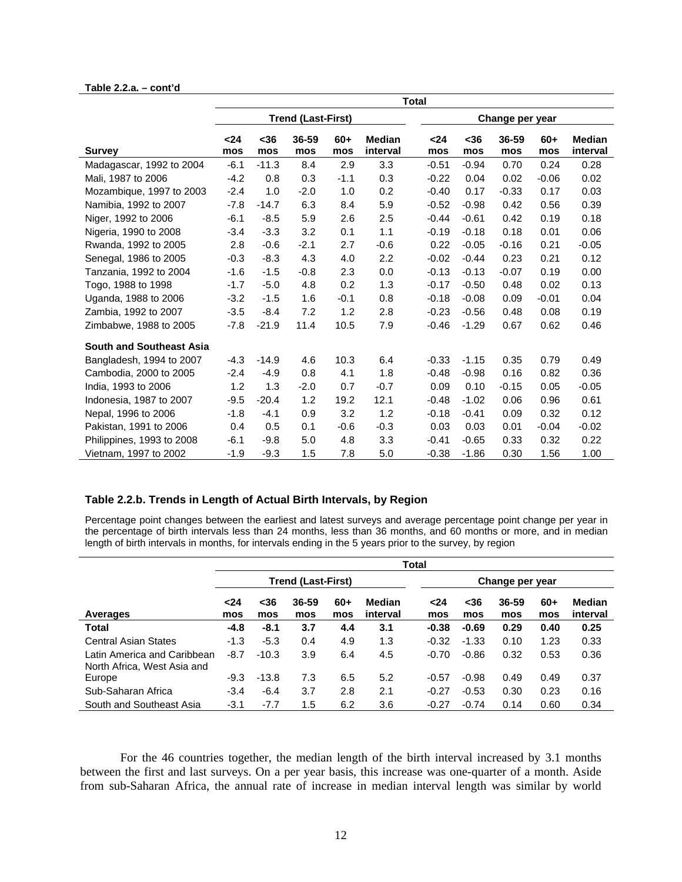#### **Table 2.2.a. – cont'd**

|                                 | <b>Total</b> |            |                           |              |                           |             |            |                 |              |                           |
|---------------------------------|--------------|------------|---------------------------|--------------|---------------------------|-------------|------------|-----------------|--------------|---------------------------|
|                                 |              |            | <b>Trend (Last-First)</b> |              |                           |             |            | Change per year |              |                           |
| <b>Survey</b>                   | $24$<br>mos  | <36<br>mos | 36-59<br>mos              | $60+$<br>mos | <b>Median</b><br>interval | $24$<br>mos | <36<br>mos | 36-59<br>mos    | $60+$<br>mos | <b>Median</b><br>interval |
| Madagascar, 1992 to 2004        | $-6.1$       | $-11.3$    | 8.4                       | 2.9          | 3.3                       | $-0.51$     | $-0.94$    | 0.70            | 0.24         | 0.28                      |
| Mali, 1987 to 2006              | $-4.2$       | 0.8        | 0.3                       | $-1.1$       | 0.3                       | $-0.22$     | 0.04       | 0.02            | $-0.06$      | 0.02                      |
| Mozambique, 1997 to 2003        | $-2.4$       | 1.0        | $-2.0$                    | 1.0          | 0.2                       | $-0.40$     | 0.17       | $-0.33$         | 0.17         | 0.03                      |
| Namibia, 1992 to 2007           | $-7.8$       | $-14.7$    | 6.3                       | 8.4          | 5.9                       | $-0.52$     | $-0.98$    | 0.42            | 0.56         | 0.39                      |
| Niger, 1992 to 2006             | $-6.1$       | $-8.5$     | 5.9                       | 2.6          | 2.5                       | $-0.44$     | $-0.61$    | 0.42            | 0.19         | 0.18                      |
| Nigeria, 1990 to 2008           | $-3.4$       | $-3.3$     | 3.2                       | 0.1          | 1.1                       | $-0.19$     | $-0.18$    | 0.18            | 0.01         | 0.06                      |
| Rwanda, 1992 to 2005            | 2.8          | $-0.6$     | $-2.1$                    | 2.7          | $-0.6$                    | 0.22        | $-0.05$    | $-0.16$         | 0.21         | $-0.05$                   |
| Senegal, 1986 to 2005           | $-0.3$       | $-8.3$     | 4.3                       | 4.0          | 2.2                       | $-0.02$     | $-0.44$    | 0.23            | 0.21         | 0.12                      |
| Tanzania, 1992 to 2004          | $-1.6$       | $-1.5$     | $-0.8$                    | 2.3          | 0.0                       | $-0.13$     | $-0.13$    | $-0.07$         | 0.19         | 0.00                      |
| Togo, 1988 to 1998              | $-1.7$       | $-5.0$     | 4.8                       | 0.2          | 1.3                       | $-0.17$     | $-0.50$    | 0.48            | 0.02         | 0.13                      |
| Uganda, 1988 to 2006            | $-3.2$       | $-1.5$     | 1.6                       | $-0.1$       | 0.8                       | $-0.18$     | $-0.08$    | 0.09            | $-0.01$      | 0.04                      |
| Zambia, 1992 to 2007            | $-3.5$       | $-8.4$     | 7.2                       | 1.2          | 2.8                       | $-0.23$     | $-0.56$    | 0.48            | 0.08         | 0.19                      |
| Zimbabwe, 1988 to 2005          | $-7.8$       | $-21.9$    | 11.4                      | 10.5         | 7.9                       | $-0.46$     | $-1.29$    | 0.67            | 0.62         | 0.46                      |
| <b>South and Southeast Asia</b> |              |            |                           |              |                           |             |            |                 |              |                           |
| Bangladesh, 1994 to 2007        | $-4.3$       | $-14.9$    | 4.6                       | 10.3         | 6.4                       | $-0.33$     | $-1.15$    | 0.35            | 0.79         | 0.49                      |
| Cambodia, 2000 to 2005          | $-2.4$       | $-4.9$     | 0.8                       | 4.1          | 1.8                       | $-0.48$     | $-0.98$    | 0.16            | 0.82         | 0.36                      |
| India, 1993 to 2006             | 1.2          | 1.3        | $-2.0$                    | 0.7          | $-0.7$                    | 0.09        | 0.10       | $-0.15$         | 0.05         | $-0.05$                   |
| Indonesia, 1987 to 2007         | $-9.5$       | $-20.4$    | 1.2                       | 19.2         | 12.1                      | $-0.48$     | $-1.02$    | 0.06            | 0.96         | 0.61                      |
| Nepal, 1996 to 2006             | $-1.8$       | $-4.1$     | 0.9                       | 3.2          | 1.2                       | $-0.18$     | $-0.41$    | 0.09            | 0.32         | 0.12                      |
| Pakistan, 1991 to 2006          | 0.4          | 0.5        | 0.1                       | $-0.6$       | $-0.3$                    | 0.03        | 0.03       | 0.01            | $-0.04$      | $-0.02$                   |
| Philippines, 1993 to 2008       | $-6.1$       | $-9.8$     | 5.0                       | 4.8          | 3.3                       | $-0.41$     | $-0.65$    | 0.33            | 0.32         | 0.22                      |
| Vietnam, 1997 to 2002           | $-1.9$       | $-9.3$     | 1.5                       | 7.8          | 5.0                       | $-0.38$     | $-1.86$    | 0.30            | 1.56         | 1.00                      |

#### **Table 2.2.b. Trends in Length of Actual Birth Intervals, by Region**

Percentage point changes between the earliest and latest surveys and average percentage point change per year in the percentage of birth intervals less than 24 months, less than 36 months, and 60 months or more, and in median length of birth intervals in months, for intervals ending in the 5 years prior to the survey, by region

|                                                            | Total       |             |                           |            |                    |             |                 |              |              |                    |  |
|------------------------------------------------------------|-------------|-------------|---------------------------|------------|--------------------|-------------|-----------------|--------------|--------------|--------------------|--|
|                                                            |             |             | <b>Trend (Last-First)</b> |            |                    |             | Change per year |              |              |                    |  |
| Averages                                                   | $24$<br>mos | $36$<br>mos | 36-59<br>mos              | 60+<br>mos | Median<br>interval | $24$<br>mos | $36$<br>mos     | 36-59<br>mos | $60+$<br>mos | Median<br>interval |  |
| <b>Total</b>                                               | $-4.8$      | $-8.1$      | 3.7                       | 4.4        | 3.1                | $-0.38$     | $-0.69$         | 0.29         | 0.40         | 0.25               |  |
| <b>Central Asian States</b>                                | $-1.3$      | $-5.3$      | 0.4                       | 4.9        | 1.3                | $-0.32$     | $-1.33$         | 0.10         | 1.23         | 0.33               |  |
| Latin America and Caribbean<br>North Africa, West Asia and | $-8.7$      | $-10.3$     | 3.9                       | 6.4        | 4.5                | $-0.70$     | $-0.86$         | 0.32         | 0.53         | 0.36               |  |
| Europe                                                     | $-9.3$      | $-13.8$     | 7.3                       | 6.5        | 5.2                | $-0.57$     | $-0.98$         | 0.49         | 0.49         | 0.37               |  |
| Sub-Saharan Africa                                         | $-3.4$      | $-6.4$      | 3.7                       | 2.8        | 2.1                | $-0.27$     | $-0.53$         | 0.30         | 0.23         | 0.16               |  |
| South and Southeast Asia                                   | $-3.1$      | $-7.7$      | 1.5                       | 6.2        | 3.6                | $-0.27$     | $-0.74$         | 0.14         | 0.60         | 0.34               |  |

For the 46 countries together, the median length of the birth interval increased by 3.1 months between the first and last surveys. On a per year basis, this increase was one-quarter of a month. Aside from sub-Saharan Africa, the annual rate of increase in median interval length was similar by world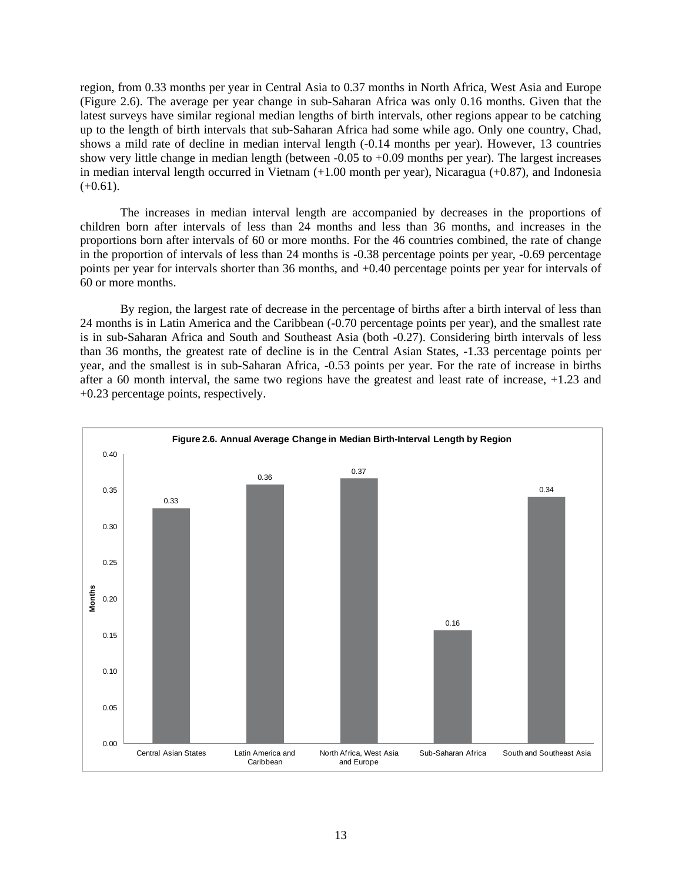region, from 0.33 months per year in Central Asia to 0.37 months in North Africa, West Asia and Europe (Figure 2.6). The average per year change in sub-Saharan Africa was only 0.16 months. Given that the latest surveys have similar regional median lengths of birth intervals, other regions appear to be catching up to the length of birth intervals that sub-Saharan Africa had some while ago. Only one country, Chad, shows a mild rate of decline in median interval length (-0.14 months per year). However, 13 countries show very little change in median length (between -0.05 to +0.09 months per year). The largest increases in median interval length occurred in Vietnam (+1.00 month per year), Nicaragua (+0.87), and Indonesia  $(+0.61)$ .

The increases in median interval length are accompanied by decreases in the proportions of children born after intervals of less than 24 months and less than 36 months, and increases in the proportions born after intervals of 60 or more months. For the 46 countries combined, the rate of change in the proportion of intervals of less than 24 months is -0.38 percentage points per year, -0.69 percentage points per year for intervals shorter than 36 months, and +0.40 percentage points per year for intervals of 60 or more months.

By region, the largest rate of decrease in the percentage of births after a birth interval of less than 24 months is in Latin America and the Caribbean (-0.70 percentage points per year), and the smallest rate is in sub-Saharan Africa and South and Southeast Asia (both -0.27). Considering birth intervals of less than 36 months, the greatest rate of decline is in the Central Asian States, -1.33 percentage points per year, and the smallest is in sub-Saharan Africa, -0.53 points per year. For the rate of increase in births after a 60 month interval, the same two regions have the greatest and least rate of increase, +1.23 and +0.23 percentage points, respectively.

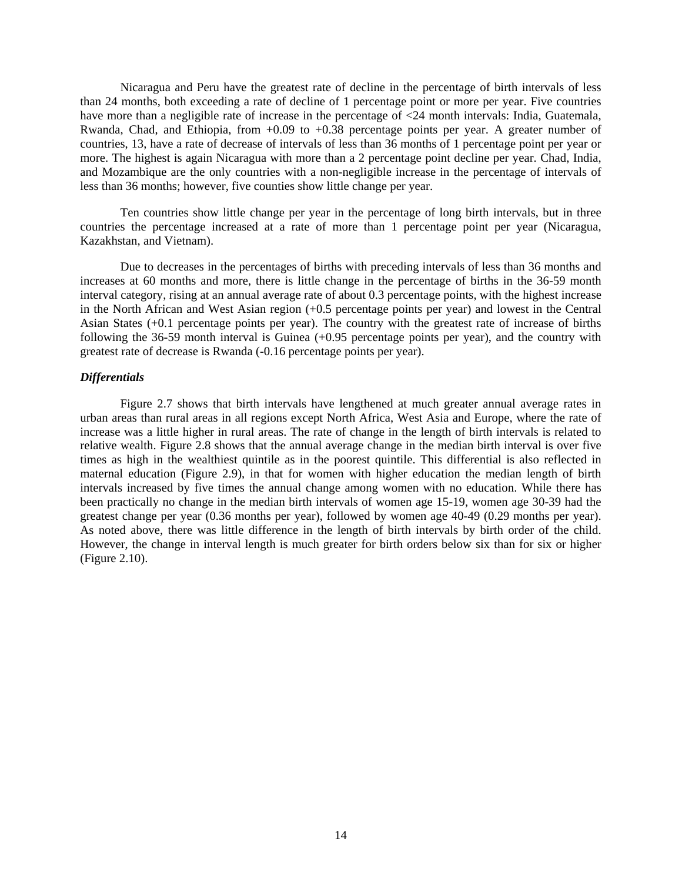Nicaragua and Peru have the greatest rate of decline in the percentage of birth intervals of less than 24 months, both exceeding a rate of decline of 1 percentage point or more per year. Five countries have more than a negligible rate of increase in the percentage of  $\langle 24 \rangle$  month intervals: India, Guatemala, Rwanda, Chad, and Ethiopia, from  $+0.09$  to  $+0.38$  percentage points per year. A greater number of countries, 13, have a rate of decrease of intervals of less than 36 months of 1 percentage point per year or more. The highest is again Nicaragua with more than a 2 percentage point decline per year. Chad, India, and Mozambique are the only countries with a non-negligible increase in the percentage of intervals of less than 36 months; however, five counties show little change per year.

Ten countries show little change per year in the percentage of long birth intervals, but in three countries the percentage increased at a rate of more than 1 percentage point per year (Nicaragua, Kazakhstan, and Vietnam).

Due to decreases in the percentages of births with preceding intervals of less than 36 months and increases at 60 months and more, there is little change in the percentage of births in the 36-59 month interval category, rising at an annual average rate of about 0.3 percentage points, with the highest increase in the North African and West Asian region (+0.5 percentage points per year) and lowest in the Central Asian States (+0.1 percentage points per year). The country with the greatest rate of increase of births following the 36-59 month interval is Guinea (+0.95 percentage points per year), and the country with greatest rate of decrease is Rwanda (-0.16 percentage points per year).

#### *Differentials*

Figure 2.7 shows that birth intervals have lengthened at much greater annual average rates in urban areas than rural areas in all regions except North Africa, West Asia and Europe, where the rate of increase was a little higher in rural areas. The rate of change in the length of birth intervals is related to relative wealth. Figure 2.8 shows that the annual average change in the median birth interval is over five times as high in the wealthiest quintile as in the poorest quintile. This differential is also reflected in maternal education (Figure 2.9), in that for women with higher education the median length of birth intervals increased by five times the annual change among women with no education. While there has been practically no change in the median birth intervals of women age 15-19, women age 30-39 had the greatest change per year (0.36 months per year), followed by women age 40-49 (0.29 months per year). As noted above, there was little difference in the length of birth intervals by birth order of the child. However, the change in interval length is much greater for birth orders below six than for six or higher (Figure 2.10).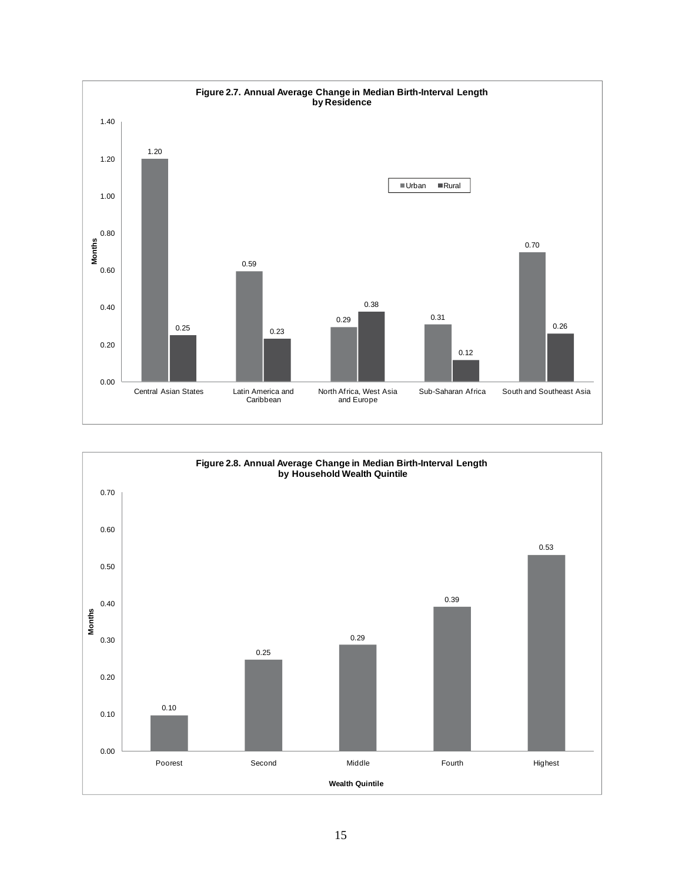

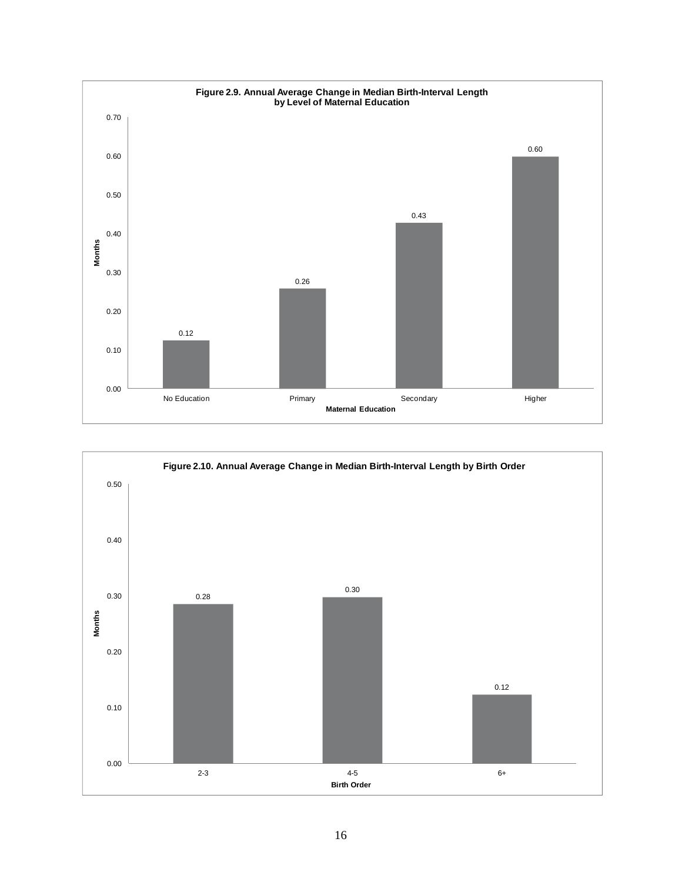

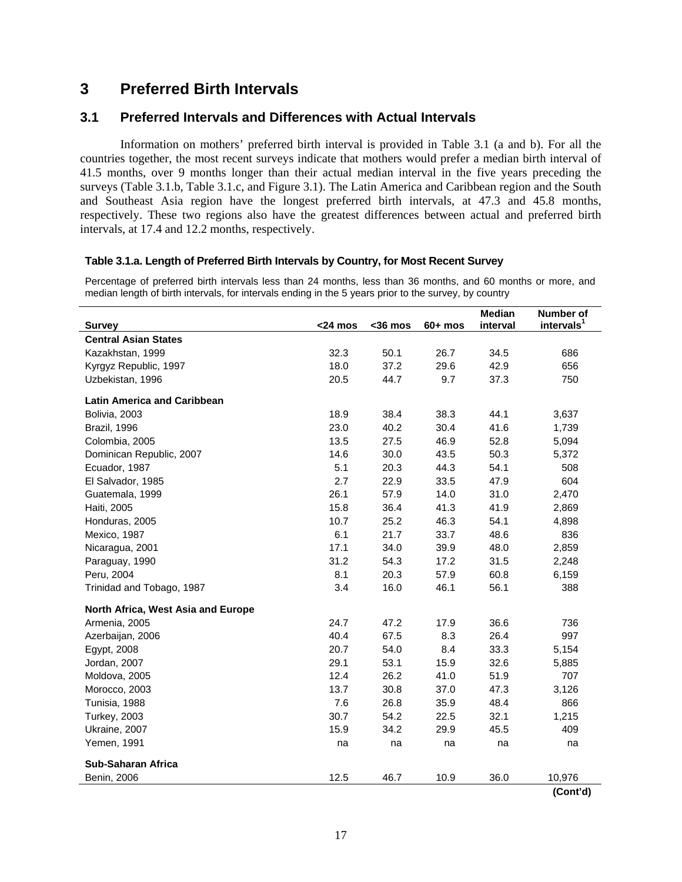## **3 Preferred Birth Intervals**

#### **3.1 Preferred Intervals and Differences with Actual Intervals**

Information on mothers' preferred birth interval is provided in Table 3.1 (a and b). For all the countries together, the most recent surveys indicate that mothers would prefer a median birth interval of 41.5 months, over 9 months longer than their actual median interval in the five years preceding the surveys (Table 3.1.b, Table 3.1.c, and Figure 3.1). The Latin America and Caribbean region and the South and Southeast Asia region have the longest preferred birth intervals, at 47.3 and 45.8 months, respectively. These two regions also have the greatest differences between actual and preferred birth intervals, at 17.4 and 12.2 months, respectively.

#### **Table 3.1.a. Length of Preferred Birth Intervals by Country, for Most Recent Survey**

Percentage of preferred birth intervals less than 24 months, less than 36 months, and 60 months or more, and median length of birth intervals, for intervals ending in the 5 years prior to the survey, by country

| <b>Survey</b>                      | $<$ 24 mos | $36$ mos | $60+$ mos | <b>Median</b><br>interval | Number of<br>intervals <sup>1</sup> |
|------------------------------------|------------|----------|-----------|---------------------------|-------------------------------------|
| <b>Central Asian States</b>        |            |          |           |                           |                                     |
| Kazakhstan, 1999                   | 32.3       | 50.1     | 26.7      | 34.5                      | 686                                 |
| Kyrgyz Republic, 1997              | 18.0       | 37.2     | 29.6      | 42.9                      | 656                                 |
| Uzbekistan, 1996                   | 20.5       | 44.7     | 9.7       | 37.3                      | 750                                 |
| <b>Latin America and Caribbean</b> |            |          |           |                           |                                     |
| Bolivia, 2003                      | 18.9       | 38.4     | 38.3      | 44.1                      | 3,637                               |
| Brazil, 1996                       | 23.0       | 40.2     | 30.4      | 41.6                      | 1,739                               |
| Colombia, 2005                     | 13.5       | 27.5     | 46.9      | 52.8                      | 5,094                               |
| Dominican Republic, 2007           | 14.6       | 30.0     | 43.5      | 50.3                      | 5,372                               |
| Ecuador, 1987                      | 5.1        | 20.3     | 44.3      | 54.1                      | 508                                 |
| El Salvador, 1985                  | 2.7        | 22.9     | 33.5      | 47.9                      | 604                                 |
| Guatemala, 1999                    | 26.1       | 57.9     | 14.0      | 31.0                      | 2,470                               |
| Haiti, 2005                        | 15.8       | 36.4     | 41.3      | 41.9                      | 2,869                               |
| Honduras, 2005                     | 10.7       | 25.2     | 46.3      | 54.1                      | 4,898                               |
| Mexico, 1987                       | 6.1        | 21.7     | 33.7      | 48.6                      | 836                                 |
| Nicaragua, 2001                    | 17.1       | 34.0     | 39.9      | 48.0                      | 2,859                               |
| Paraguay, 1990                     | 31.2       | 54.3     | 17.2      | 31.5                      | 2,248                               |
| Peru, 2004                         | 8.1        | 20.3     | 57.9      | 60.8                      | 6,159                               |
| Trinidad and Tobago, 1987          | 3.4        | 16.0     | 46.1      | 56.1                      | 388                                 |
| North Africa, West Asia and Europe |            |          |           |                           |                                     |
| Armenia, 2005                      | 24.7       | 47.2     | 17.9      | 36.6                      | 736                                 |
| Azerbaijan, 2006                   | 40.4       | 67.5     | 8.3       | 26.4                      | 997                                 |
| Egypt, 2008                        | 20.7       | 54.0     | 8.4       | 33.3                      | 5,154                               |
| Jordan, 2007                       | 29.1       | 53.1     | 15.9      | 32.6                      | 5,885                               |
| Moldova, 2005                      | 12.4       | 26.2     | 41.0      | 51.9                      | 707                                 |
| Morocco, 2003                      | 13.7       | 30.8     | 37.0      | 47.3                      | 3,126                               |
| Tunisia, 1988                      | 7.6        | 26.8     | 35.9      | 48.4                      | 866                                 |
| <b>Turkey, 2003</b>                | 30.7       | 54.2     | 22.5      | 32.1                      | 1,215                               |
| Ukraine, 2007                      | 15.9       | 34.2     | 29.9      | 45.5                      | 409                                 |
| Yemen, 1991                        | na         | na       | na        | na                        | na                                  |
| <b>Sub-Saharan Africa</b>          |            |          |           |                           |                                     |
| Benin, 2006                        | 12.5       | 46.7     | 10.9      | 36.0                      | 10,976                              |
|                                    |            |          |           |                           | (Cont'd)                            |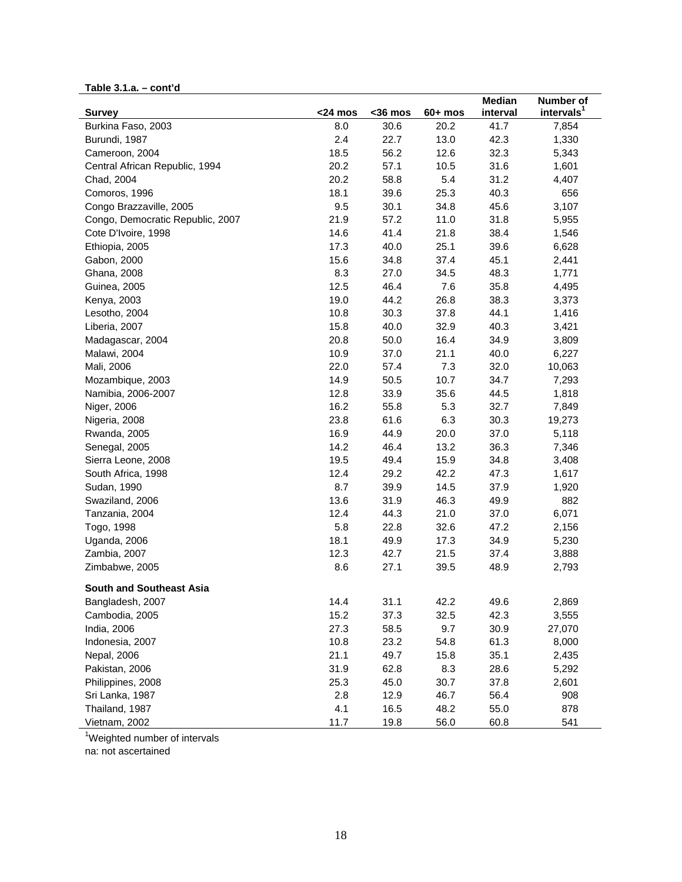**Table 3.1.a. – cont'd**

|                                              | $<$ 24 mos | $36$ mos | $60+$ mos | <b>Median</b><br>interval | Number of<br>intervals <sup>1</sup> |
|----------------------------------------------|------------|----------|-----------|---------------------------|-------------------------------------|
| <b>Survey</b><br>Burkina Faso, 2003          | 8.0        | 30.6     | 20.2      | 41.7                      | 7,854                               |
|                                              | 2.4        | 22.7     | 13.0      | 42.3                      | 1,330                               |
| Burundi, 1987                                | 18.5       | 56.2     | 12.6      | 32.3                      | 5,343                               |
| Cameroon, 2004                               | 20.2       | 57.1     | 10.5      | 31.6                      | 1,601                               |
| Central African Republic, 1994<br>Chad, 2004 | 20.2       | 58.8     | 5.4       | 31.2                      |                                     |
|                                              | 18.1       | 39.6     | 25.3      | 40.3                      | 4,407<br>656                        |
| Comoros, 1996                                |            |          |           |                           |                                     |
| Congo Brazzaville, 2005                      | 9.5        | 30.1     | 34.8      | 45.6                      | 3,107                               |
| Congo, Democratic Republic, 2007             | 21.9       | 57.2     | 11.0      | 31.8                      | 5,955                               |
| Cote D'Ivoire, 1998                          | 14.6       | 41.4     | 21.8      | 38.4                      | 1,546                               |
| Ethiopia, 2005                               | 17.3       | 40.0     | 25.1      | 39.6                      | 6,628                               |
| Gabon, 2000                                  | 15.6       | 34.8     | 37.4      | 45.1                      | 2,441                               |
| Ghana, 2008                                  | 8.3        | 27.0     | 34.5      | 48.3                      | 1,771                               |
| <b>Guinea, 2005</b>                          | 12.5       | 46.4     | 7.6       | 35.8                      | 4,495                               |
| Kenya, 2003                                  | 19.0       | 44.2     | 26.8      | 38.3                      | 3,373                               |
| Lesotho, 2004                                | 10.8       | 30.3     | 37.8      | 44.1                      | 1,416                               |
| Liberia, 2007                                | 15.8       | 40.0     | 32.9      | 40.3                      | 3,421                               |
| Madagascar, 2004                             | 20.8       | 50.0     | 16.4      | 34.9                      | 3,809                               |
| Malawi, 2004                                 | 10.9       | 37.0     | 21.1      | 40.0                      | 6,227                               |
| Mali, 2006                                   | 22.0       | 57.4     | 7.3       | 32.0                      | 10,063                              |
| Mozambique, 2003                             | 14.9       | 50.5     | 10.7      | 34.7                      | 7,293                               |
| Namibia, 2006-2007                           | 12.8       | 33.9     | 35.6      | 44.5                      | 1,818                               |
| Niger, 2006                                  | 16.2       | 55.8     | 5.3       | 32.7                      | 7,849                               |
| Nigeria, 2008                                | 23.8       | 61.6     | 6.3       | 30.3                      | 19,273                              |
| Rwanda, 2005                                 | 16.9       | 44.9     | 20.0      | 37.0                      | 5,118                               |
| Senegal, 2005                                | 14.2       | 46.4     | 13.2      | 36.3                      | 7,346                               |
| Sierra Leone, 2008                           | 19.5       | 49.4     | 15.9      | 34.8                      | 3,408                               |
| South Africa, 1998                           | 12.4       | 29.2     | 42.2      | 47.3                      | 1,617                               |
| Sudan, 1990                                  | 8.7        | 39.9     | 14.5      | 37.9                      | 1,920                               |
| Swaziland, 2006                              | 13.6       | 31.9     | 46.3      | 49.9                      | 882                                 |
| Tanzania, 2004                               | 12.4       | 44.3     | 21.0      | 37.0                      | 6,071                               |
| Togo, 1998                                   | 5.8        | 22.8     | 32.6      | 47.2                      | 2,156                               |
| Uganda, 2006                                 | 18.1       | 49.9     | 17.3      | 34.9                      | 5,230                               |
| Zambia, 2007                                 | 12.3       | 42.7     | 21.5      | 37.4                      | 3,888                               |
| Zimbabwe, 2005                               | 8.6        | 27.1     | 39.5      | 48.9                      | 2,793                               |
| <b>South and Southeast Asia</b>              |            |          |           |                           |                                     |
| Bangladesh, 2007                             | 14.4       | 31.1     | 42.2      | 49.6                      | 2,869                               |
| Cambodia, 2005                               | 15.2       | 37.3     | 32.5      | 42.3                      | 3,555                               |
| India, 2006                                  | 27.3       | 58.5     | 9.7       | 30.9                      | 27,070                              |
| Indonesia, 2007                              | 10.8       | 23.2     | 54.8      | 61.3                      | 8,000                               |
| Nepal, 2006                                  | 21.1       | 49.7     | 15.8      | 35.1                      | 2,435                               |
| Pakistan, 2006                               | 31.9       | 62.8     | 8.3       | 28.6                      | 5,292                               |
| Philippines, 2008                            | 25.3       | 45.0     | 30.7      | 37.8                      | 2,601                               |
| Sri Lanka, 1987                              | 2.8        | 12.9     | 46.7      | 56.4                      | 908                                 |
| Thailand, 1987                               | 4.1        | 16.5     | 48.2      | 55.0                      | 878                                 |
| Vietnam, 2002                                | 11.7       | 19.8     | 56.0      | 60.8                      | 541                                 |

<sup>1</sup>Weighted number of intervals

na: not ascertained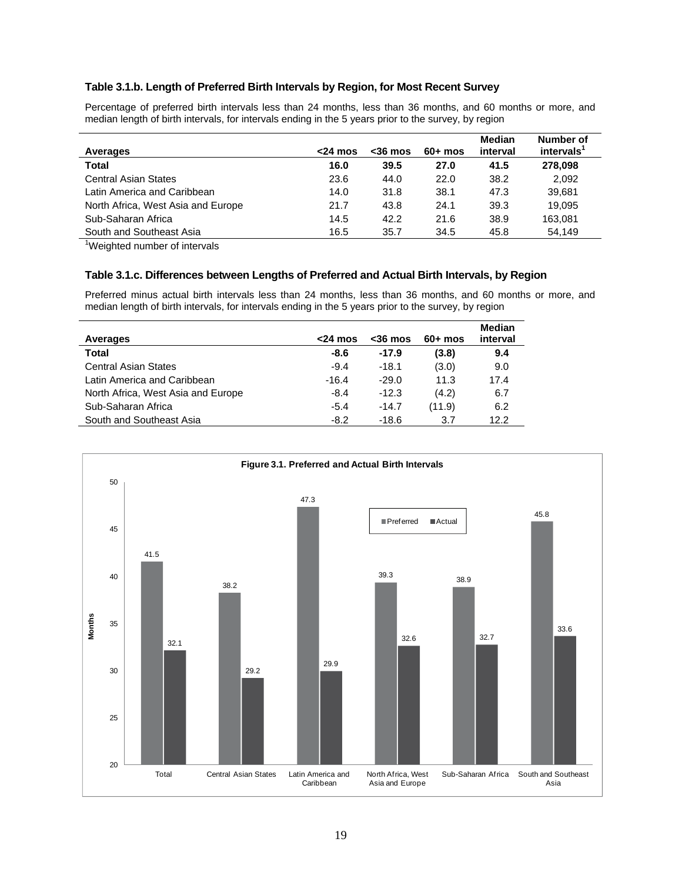#### **Table 3.1.b. Length of Preferred Birth Intervals by Region, for Most Recent Survey**

Percentage of preferred birth intervals less than 24 months, less than 36 months, and 60 months or more, and median length of birth intervals, for intervals ending in the 5 years prior to the survey, by region

| Averages                           | <24 mos | $36$ mos | $60+$ mos | Median<br>interval | Number of<br>intervals <sup>'</sup> |
|------------------------------------|---------|----------|-----------|--------------------|-------------------------------------|
| <b>Total</b>                       | 16.0    | 39.5     | 27.0      | 41.5               | 278.098                             |
| <b>Central Asian States</b>        | 23.6    | 44.0     | 22.0      | 38.2               | 2,092                               |
| Latin America and Caribbean        | 14.0    | 31.8     | 38.1      | 47.3               | 39,681                              |
| North Africa, West Asia and Europe | 21.7    | 43.8     | 24.1      | 39.3               | 19.095                              |
| Sub-Saharan Africa                 | 14.5    | 42.2     | 21.6      | 38.9               | 163,081                             |
| South and Southeast Asia           | 16.5    | 35.7     | 34.5      | 45.8               | 54.149                              |
| 100                                |         |          |           |                    |                                     |

<sup>1</sup>Weighted number of intervals

#### **Table 3.1.c. Differences between Lengths of Preferred and Actual Birth Intervals, by Region**

Preferred minus actual birth intervals less than 24 months, less than 36 months, and 60 months or more, and median length of birth intervals, for intervals ending in the 5 years prior to the survey, by region

| Averages                           | <24 mos | <36 mos | $60+$ mos | <b>Median</b><br>interval |
|------------------------------------|---------|---------|-----------|---------------------------|
| <b>Total</b>                       | $-8.6$  | $-17.9$ | (3.8)     | 9.4                       |
| <b>Central Asian States</b>        | $-9.4$  | $-18.1$ | (3.0)     | 9.0                       |
| Latin America and Caribbean        | $-16.4$ | $-29.0$ | 11.3      | 17.4                      |
| North Africa, West Asia and Europe | $-8.4$  | $-12.3$ | (4.2)     | 6.7                       |
| Sub-Saharan Africa                 | $-5.4$  | $-14.7$ | (11.9)    | 6.2                       |
| South and Southeast Asia           | $-8.2$  | $-18.6$ | 3.7       | 12.2                      |

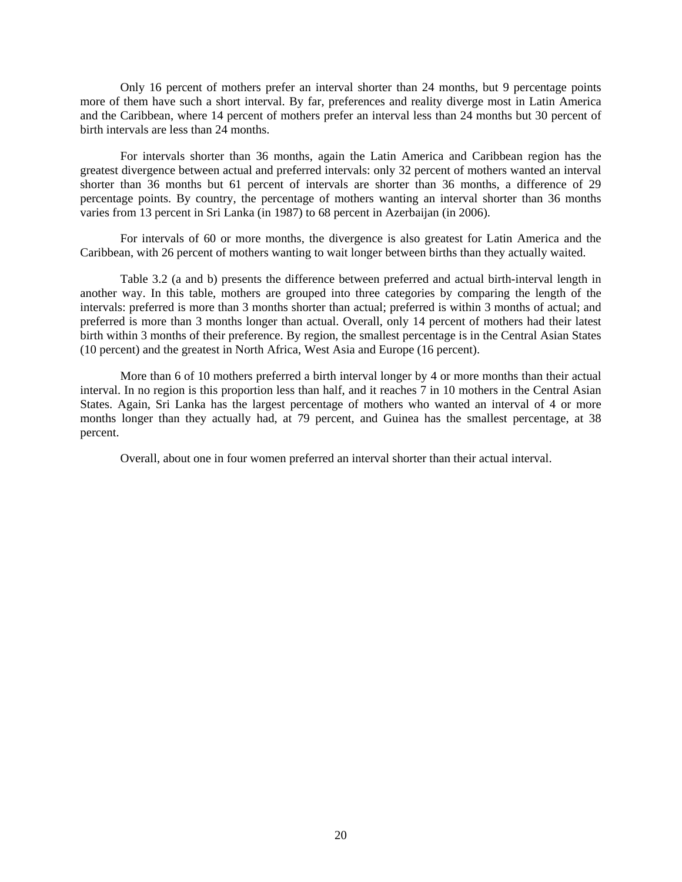Only 16 percent of mothers prefer an interval shorter than 24 months, but 9 percentage points more of them have such a short interval. By far, preferences and reality diverge most in Latin America and the Caribbean, where 14 percent of mothers prefer an interval less than 24 months but 30 percent of birth intervals are less than 24 months.

For intervals shorter than 36 months, again the Latin America and Caribbean region has the greatest divergence between actual and preferred intervals: only 32 percent of mothers wanted an interval shorter than 36 months but 61 percent of intervals are shorter than 36 months, a difference of 29 percentage points. By country, the percentage of mothers wanting an interval shorter than 36 months varies from 13 percent in Sri Lanka (in 1987) to 68 percent in Azerbaijan (in 2006).

For intervals of 60 or more months, the divergence is also greatest for Latin America and the Caribbean, with 26 percent of mothers wanting to wait longer between births than they actually waited.

Table 3.2 (a and b) presents the difference between preferred and actual birth-interval length in another way. In this table, mothers are grouped into three categories by comparing the length of the intervals: preferred is more than 3 months shorter than actual; preferred is within 3 months of actual; and preferred is more than 3 months longer than actual. Overall, only 14 percent of mothers had their latest birth within 3 months of their preference. By region, the smallest percentage is in the Central Asian States (10 percent) and the greatest in North Africa, West Asia and Europe (16 percent).

More than 6 of 10 mothers preferred a birth interval longer by 4 or more months than their actual interval. In no region is this proportion less than half, and it reaches 7 in 10 mothers in the Central Asian States. Again, Sri Lanka has the largest percentage of mothers who wanted an interval of 4 or more months longer than they actually had, at 79 percent, and Guinea has the smallest percentage, at 38 percent.

Overall, about one in four women preferred an interval shorter than their actual interval.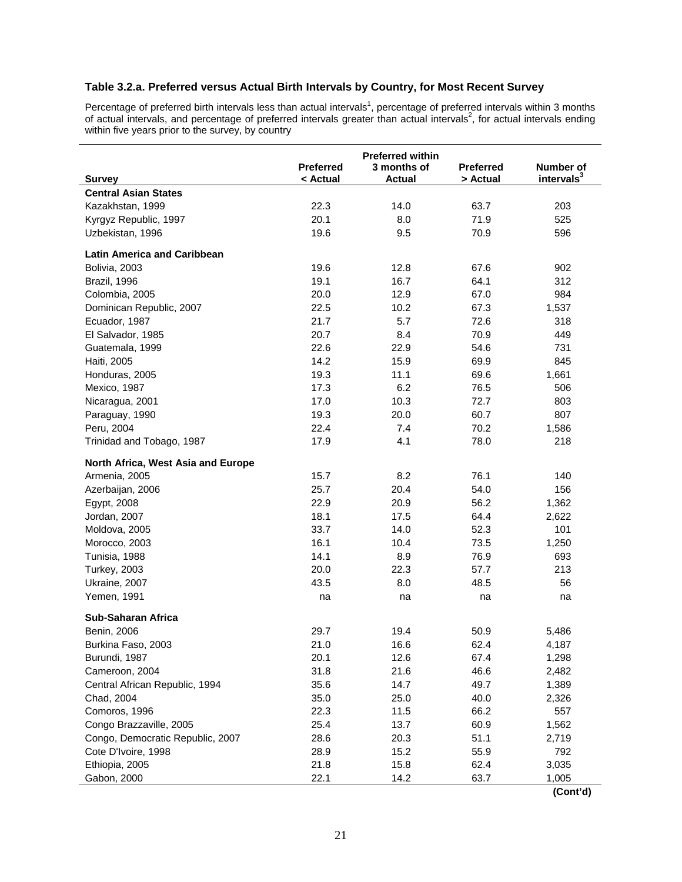#### **Table 3.2.a. Preferred versus Actual Birth Intervals by Country, for Most Recent Survey**

Percentage of preferred birth intervals less than actual intervals<sup>1</sup>, percentage of preferred intervals within 3 months of actual intervals, and percentage of preferred intervals greater than actual intervals<sup>2</sup>, for actual intervals ending within five years prior to the survey, by country

| intervals <sup>3</sup><br>203<br>525<br>596                                                                                 |
|-----------------------------------------------------------------------------------------------------------------------------|
|                                                                                                                             |
|                                                                                                                             |
|                                                                                                                             |
|                                                                                                                             |
|                                                                                                                             |
|                                                                                                                             |
| 902                                                                                                                         |
| 312                                                                                                                         |
| 984                                                                                                                         |
| 1,537                                                                                                                       |
| 318                                                                                                                         |
| 449                                                                                                                         |
|                                                                                                                             |
| 845                                                                                                                         |
|                                                                                                                             |
| 506                                                                                                                         |
| 803                                                                                                                         |
| 807                                                                                                                         |
| 1,586                                                                                                                       |
| 218                                                                                                                         |
|                                                                                                                             |
| 140                                                                                                                         |
| 156                                                                                                                         |
| 1,362                                                                                                                       |
| 2,622                                                                                                                       |
|                                                                                                                             |
|                                                                                                                             |
| 693                                                                                                                         |
| 213                                                                                                                         |
| 56                                                                                                                          |
| na                                                                                                                          |
|                                                                                                                             |
|                                                                                                                             |
|                                                                                                                             |
|                                                                                                                             |
|                                                                                                                             |
|                                                                                                                             |
| 2,326                                                                                                                       |
|                                                                                                                             |
|                                                                                                                             |
|                                                                                                                             |
|                                                                                                                             |
|                                                                                                                             |
|                                                                                                                             |
| 731<br>1,661<br>101<br>1,250<br>5,486<br>4,187<br>1,298<br>2,482<br>1,389<br>557<br>1,562<br>2,719<br>792<br>3,035<br>1,005 |

**(Cont'd)**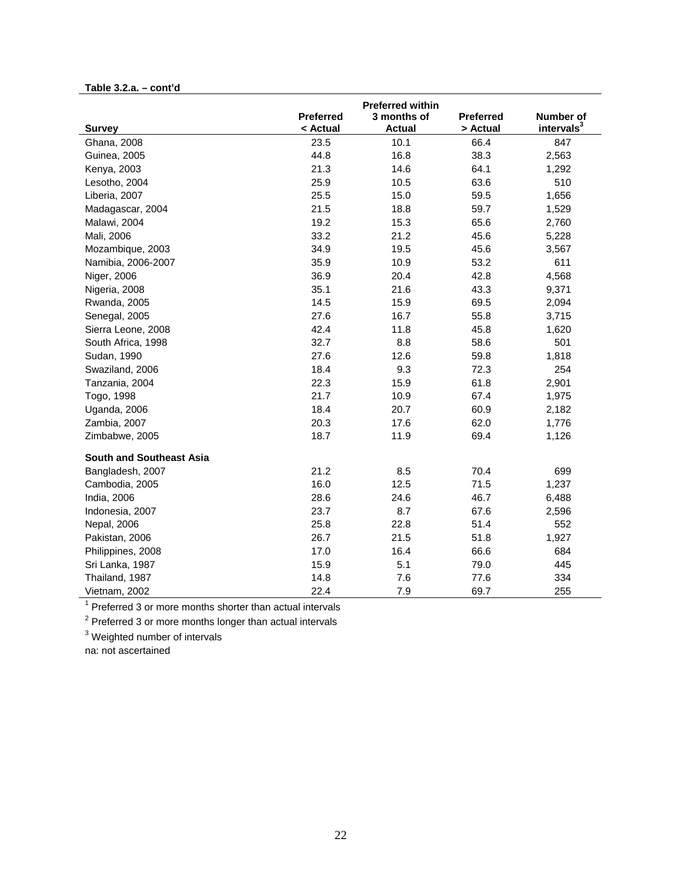## **Table 3.2.a. – cont'd**

|                                 |           | <b>Preferred within</b> |                  |                        |
|---------------------------------|-----------|-------------------------|------------------|------------------------|
|                                 | Preferred | 3 months of             | <b>Preferred</b> | Number of              |
| <b>Survey</b>                   | < Actual  | <b>Actual</b>           | > Actual         | intervals <sup>3</sup> |
| Ghana, 2008                     | 23.5      | 10.1                    | 66.4             | 847                    |
| <b>Guinea, 2005</b>             | 44.8      | 16.8                    | 38.3             | 2,563                  |
| Kenya, 2003                     | 21.3      | 14.6                    | 64.1             | 1,292                  |
| Lesotho, 2004                   | 25.9      | 10.5                    | 63.6             | 510                    |
| Liberia, 2007                   | 25.5      | 15.0                    | 59.5             | 1,656                  |
| Madagascar, 2004                | 21.5      | 18.8                    | 59.7             | 1,529                  |
| Malawi, 2004                    | 19.2      | 15.3                    | 65.6             | 2,760                  |
| Mali, 2006                      | 33.2      | 21.2                    | 45.6             | 5,228                  |
| Mozambique, 2003                | 34.9      | 19.5                    | 45.6             | 3,567                  |
| Namibia, 2006-2007              | 35.9      | 10.9                    | 53.2             | 611                    |
| Niger, 2006                     | 36.9      | 20.4                    | 42.8             | 4,568                  |
| Nigeria, 2008                   | 35.1      | 21.6                    | 43.3             | 9,371                  |
| Rwanda, 2005                    | 14.5      | 15.9                    | 69.5             | 2,094                  |
| Senegal, 2005                   | 27.6      | 16.7                    | 55.8             | 3,715                  |
| Sierra Leone, 2008              | 42.4      | 11.8                    | 45.8             | 1,620                  |
| South Africa, 1998              | 32.7      | 8.8                     | 58.6             | 501                    |
| Sudan, 1990                     | 27.6      | 12.6                    | 59.8             | 1,818                  |
| Swaziland, 2006                 | 18.4      | 9.3                     | 72.3             | 254                    |
| Tanzania, 2004                  | 22.3      | 15.9                    | 61.8             | 2,901                  |
| Togo, 1998                      | 21.7      | 10.9                    | 67.4             | 1,975                  |
| Uganda, 2006                    | 18.4      | 20.7                    | 60.9             | 2,182                  |
| Zambia, 2007                    | 20.3      | 17.6                    | 62.0             | 1,776                  |
| Zimbabwe, 2005                  | 18.7      | 11.9                    | 69.4             | 1,126                  |
| <b>South and Southeast Asia</b> |           |                         |                  |                        |
| Bangladesh, 2007                | 21.2      | 8.5                     | 70.4             | 699                    |
| Cambodia, 2005                  | 16.0      | 12.5                    | 71.5             | 1,237                  |
| India, 2006                     | 28.6      | 24.6                    | 46.7             | 6,488                  |
| Indonesia, 2007                 | 23.7      | 8.7                     | 67.6             | 2,596                  |
| Nepal, 2006                     | 25.8      | 22.8                    | 51.4             | 552                    |
| Pakistan, 2006                  | 26.7      | 21.5                    | 51.8             | 1,927                  |
| Philippines, 2008               | 17.0      | 16.4                    | 66.6             | 684                    |
| Sri Lanka, 1987                 | 15.9      | 5.1                     | 79.0             | 445                    |
| Thailand, 1987                  | 14.8      | 7.6                     | 77.6             | 334                    |
| Vietnam, 2002                   | 22.4      | 7.9                     | 69.7             | 255                    |

<sup>1</sup> Preferred 3 or more months shorter than actual intervals

 $2$  Preferred 3 or more months longer than actual intervals

<sup>3</sup> Weighted number of intervals

na: not ascertained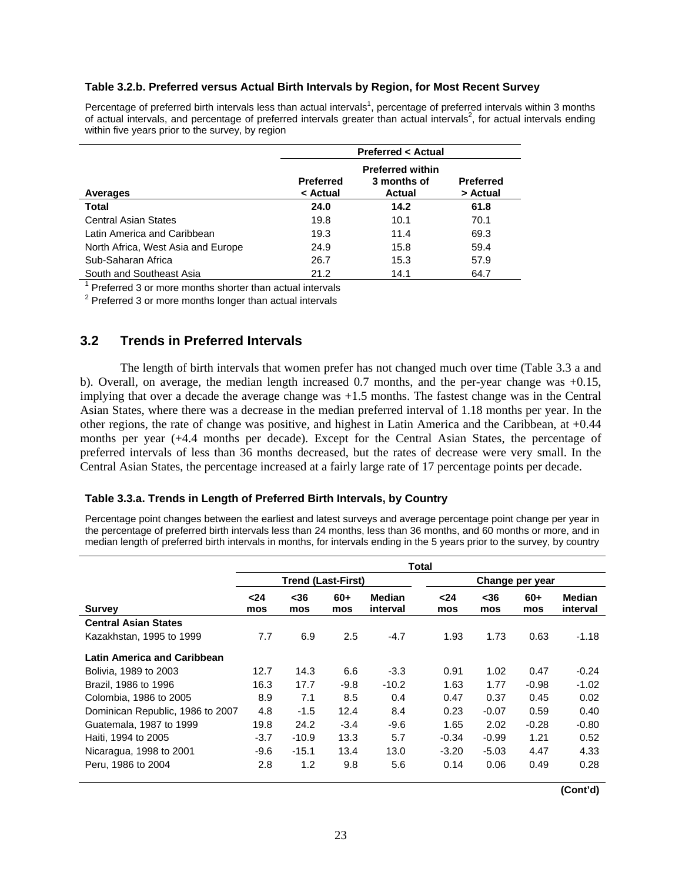#### **Table 3.2.b. Preferred versus Actual Birth Intervals by Region, for Most Recent Survey**

Percentage of preferred birth intervals less than actual intervals<sup>1</sup>, percentage of preferred intervals within 3 months of actual intervals, and percentage of preferred intervals greater than actual intervals<sup>2</sup>, for actual intervals ending within five years prior to the survey, by region

|                                    | <b>Preferred &lt; Actual</b> |                                                         |                              |  |  |  |  |
|------------------------------------|------------------------------|---------------------------------------------------------|------------------------------|--|--|--|--|
| Averages                           | <b>Preferred</b><br>< Actual | <b>Preferred within</b><br>3 months of<br><b>Actual</b> | <b>Preferred</b><br>> Actual |  |  |  |  |
| Total                              | 24.0                         | 14.2                                                    | 61.8                         |  |  |  |  |
| <b>Central Asian States</b>        | 19.8                         | 10.1                                                    | 70.1                         |  |  |  |  |
| Latin America and Caribbean        | 19.3                         | 11.4                                                    | 69.3                         |  |  |  |  |
| North Africa, West Asia and Europe | 24.9                         | 15.8                                                    | 59.4                         |  |  |  |  |
| Sub-Saharan Africa                 | 26.7                         | 15.3                                                    | 57.9                         |  |  |  |  |
| South and Southeast Asia           | 21.2                         | 14.1                                                    | 64.7                         |  |  |  |  |

<sup>1</sup> Preferred 3 or more months shorter than actual intervals  $2^2$  Preferred 2 or more months longer than actual intervals

 $2$  Preferred 3 or more months longer than actual intervals

#### **3.2 Trends in Preferred Intervals**

The length of birth intervals that women prefer has not changed much over time (Table 3.3 a and b). Overall, on average, the median length increased 0.7 months, and the per-year change was +0.15, implying that over a decade the average change was +1.5 months. The fastest change was in the Central Asian States, where there was a decrease in the median preferred interval of 1.18 months per year. In the other regions, the rate of change was positive, and highest in Latin America and the Caribbean, at +0.44 months per year (+4.4 months per decade). Except for the Central Asian States, the percentage of preferred intervals of less than 36 months decreased, but the rates of decrease were very small. In the Central Asian States, the percentage increased at a fairly large rate of 17 percentage points per decade.

#### **Table 3.3.a. Trends in Length of Preferred Birth Intervals, by Country**

Percentage point changes between the earliest and latest surveys and average percentage point change per year in the percentage of preferred birth intervals less than 24 months, less than 36 months, and 60 months or more, and in median length of preferred birth intervals in months, for intervals ending in the 5 years prior to the survey, by country

|                                    | <b>Total</b> |                           |        |               |         |                 |         |               |
|------------------------------------|--------------|---------------------------|--------|---------------|---------|-----------------|---------|---------------|
|                                    |              | <b>Trend (Last-First)</b> |        |               |         | Change per year |         |               |
|                                    | <24          | $36$                      | $60+$  | <b>Median</b> | $24$    | $36$            | 60+     | <b>Median</b> |
| <b>Survey</b>                      | mos          | mos                       | mos    | interval      | mos     | mos             | mos     | interval      |
| <b>Central Asian States</b>        |              |                           |        |               |         |                 |         |               |
| Kazakhstan, 1995 to 1999           | 7.7          | 6.9                       | 2.5    | $-4.7$        | 1.93    | 1.73            | 0.63    | $-1.18$       |
| <b>Latin America and Caribbean</b> |              |                           |        |               |         |                 |         |               |
| Bolivia, 1989 to 2003              | 12.7         | 14.3                      | 6.6    | $-3.3$        | 0.91    | 1.02            | 0.47    | $-0.24$       |
| Brazil, 1986 to 1996               | 16.3         | 17.7                      | $-9.8$ | $-10.2$       | 1.63    | 1.77            | $-0.98$ | $-1.02$       |
| Colombia, 1986 to 2005             | 8.9          | 7.1                       | 8.5    | 0.4           | 0.47    | 0.37            | 0.45    | 0.02          |
| Dominican Republic, 1986 to 2007   | 4.8          | $-1.5$                    | 12.4   | 8.4           | 0.23    | $-0.07$         | 0.59    | 0.40          |
| Guatemala, 1987 to 1999            | 19.8         | 24.2                      | $-3.4$ | $-9.6$        | 1.65    | 2.02            | $-0.28$ | $-0.80$       |
| Haiti, 1994 to 2005                | $-3.7$       | $-10.9$                   | 13.3   | 5.7           | $-0.34$ | $-0.99$         | 1.21    | 0.52          |
| Nicaragua, 1998 to 2001            | $-9.6$       | $-15.1$                   | 13.4   | 13.0          | $-3.20$ | $-5.03$         | 4.47    | 4.33          |
| Peru, 1986 to 2004                 | 2.8          | 1.2                       | 9.8    | 5.6           | 0.14    | 0.06            | 0.49    | 0.28          |

**(Cont'd)**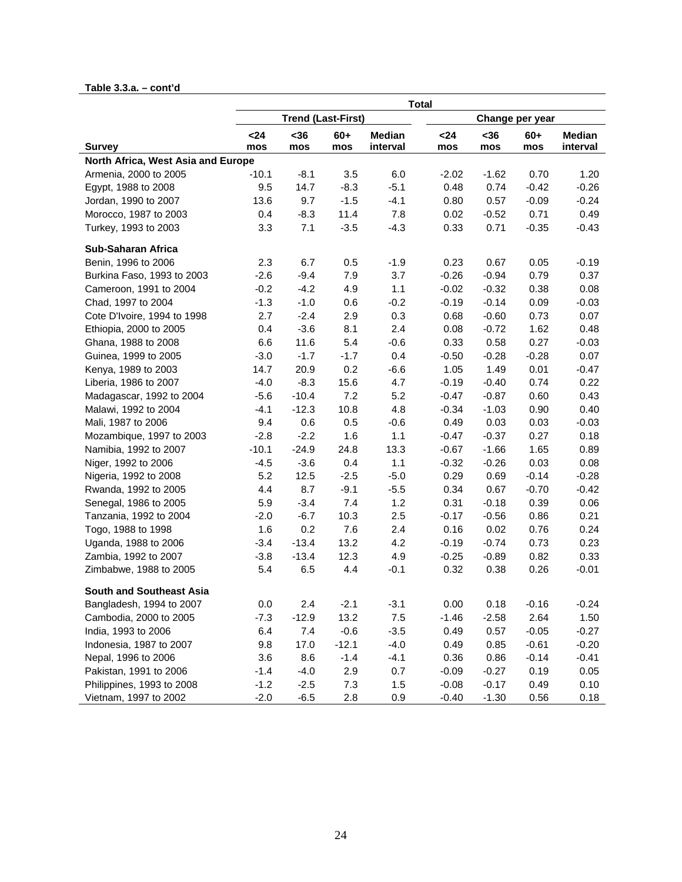#### **Table 3.3.a. – cont'd**

|                                    | <b>Total</b>              |         |         |               |                 |         |         |               |
|------------------------------------|---------------------------|---------|---------|---------------|-----------------|---------|---------|---------------|
|                                    | <b>Trend (Last-First)</b> |         |         |               | Change per year |         |         |               |
|                                    | $24$                      | <36     | $60+$   | <b>Median</b> | $24$            | <36     | $60+$   | <b>Median</b> |
| <b>Survey</b>                      | mos                       | mos     | mos     | interval      | mos             | mos     | mos     | interval      |
| North Africa, West Asia and Europe |                           |         |         |               |                 |         |         |               |
| Armenia, 2000 to 2005              | $-10.1$                   | $-8.1$  | 3.5     | 6.0           | $-2.02$         | $-1.62$ | 0.70    | 1.20          |
| Egypt, 1988 to 2008                | 9.5                       | 14.7    | $-8.3$  | $-5.1$        | 0.48            | 0.74    | $-0.42$ | $-0.26$       |
| Jordan, 1990 to 2007               | 13.6                      | 9.7     | $-1.5$  | $-4.1$        | 0.80            | 0.57    | $-0.09$ | $-0.24$       |
| Morocco, 1987 to 2003              | 0.4                       | $-8.3$  | 11.4    | 7.8           | 0.02            | $-0.52$ | 0.71    | 0.49          |
| Turkey, 1993 to 2003               | 3.3                       | 7.1     | $-3.5$  | $-4.3$        | 0.33            | 0.71    | $-0.35$ | $-0.43$       |
| Sub-Saharan Africa                 |                           |         |         |               |                 |         |         |               |
| Benin, 1996 to 2006                | 2.3                       | 6.7     | 0.5     | $-1.9$        | 0.23            | 0.67    | 0.05    | $-0.19$       |
| Burkina Faso, 1993 to 2003         | $-2.6$                    | $-9.4$  | 7.9     | 3.7           | $-0.26$         | $-0.94$ | 0.79    | 0.37          |
| Cameroon, 1991 to 2004             | $-0.2$                    | $-4.2$  | 4.9     | 1.1           | $-0.02$         | $-0.32$ | 0.38    | 0.08          |
| Chad, 1997 to 2004                 | $-1.3$                    | $-1.0$  | 0.6     | $-0.2$        | $-0.19$         | $-0.14$ | 0.09    | $-0.03$       |
| Cote D'Ivoire, 1994 to 1998        | 2.7                       | $-2.4$  | 2.9     | 0.3           | 0.68            | $-0.60$ | 0.73    | 0.07          |
| Ethiopia, 2000 to 2005             | 0.4                       | $-3.6$  | 8.1     | 2.4           | 0.08            | $-0.72$ | 1.62    | 0.48          |
| Ghana, 1988 to 2008                | 6.6                       | 11.6    | 5.4     | $-0.6$        | 0.33            | 0.58    | 0.27    | $-0.03$       |
| Guinea, 1999 to 2005               | $-3.0$                    | $-1.7$  | $-1.7$  | 0.4           | $-0.50$         | $-0.28$ | $-0.28$ | 0.07          |
| Kenya, 1989 to 2003                | 14.7                      | 20.9    | 0.2     | $-6.6$        | 1.05            | 1.49    | 0.01    | $-0.47$       |
| Liberia, 1986 to 2007              | $-4.0$                    | $-8.3$  | 15.6    | 4.7           | $-0.19$         | $-0.40$ | 0.74    | 0.22          |
| Madagascar, 1992 to 2004           | $-5.6$                    | $-10.4$ | 7.2     | 5.2           | $-0.47$         | $-0.87$ | 0.60    | 0.43          |
| Malawi, 1992 to 2004               | $-4.1$                    | $-12.3$ | 10.8    | 4.8           | $-0.34$         | $-1.03$ | 0.90    | 0.40          |
| Mali, 1987 to 2006                 | 9.4                       | 0.6     | 0.5     | $-0.6$        | 0.49            | 0.03    | 0.03    | $-0.03$       |
| Mozambique, 1997 to 2003           | $-2.8$                    | $-2.2$  | 1.6     | 1.1           | $-0.47$         | $-0.37$ | 0.27    | 0.18          |
| Namibia, 1992 to 2007              | $-10.1$                   | $-24.9$ | 24.8    | 13.3          | $-0.67$         | $-1.66$ | 1.65    | 0.89          |
| Niger, 1992 to 2006                | $-4.5$                    | $-3.6$  | 0.4     | 1.1           | $-0.32$         | $-0.26$ | 0.03    | 0.08          |
| Nigeria, 1992 to 2008              | 5.2                       | 12.5    | $-2.5$  | $-5.0$        | 0.29            | 0.69    | $-0.14$ | $-0.28$       |
| Rwanda, 1992 to 2005               | 4.4                       | 8.7     | $-9.1$  | $-5.5$        | 0.34            | 0.67    | $-0.70$ | $-0.42$       |
| Senegal, 1986 to 2005              | 5.9                       | $-3.4$  | 7.4     | 1.2           | 0.31            | $-0.18$ | 0.39    | 0.06          |
| Tanzania, 1992 to 2004             | $-2.0$                    | $-6.7$  | 10.3    | 2.5           | $-0.17$         | $-0.56$ | 0.86    | 0.21          |
| Togo, 1988 to 1998                 | 1.6                       | 0.2     | 7.6     | 2.4           | 0.16            | 0.02    | 0.76    | 0.24          |
| Uganda, 1988 to 2006               | $-3.4$                    | $-13.4$ | 13.2    | 4.2           | $-0.19$         | $-0.74$ | 0.73    | 0.23          |
| Zambia, 1992 to 2007               | $-3.8$                    | $-13.4$ | 12.3    | 4.9           | $-0.25$         | $-0.89$ | 0.82    | 0.33          |
| Zimbabwe, 1988 to 2005             | 5.4                       | 6.5     | 4.4     | $-0.1$        | 0.32            | 0.38    | 0.26    | $-0.01$       |
| <b>South and Southeast Asia</b>    |                           |         |         |               |                 |         |         |               |
| Bangladesh, 1994 to 2007           | 0.0                       | 2.4     | $-2.1$  | $-3.1$        | 0.00            | 0.18    | $-0.16$ | $-0.24$       |
| Cambodia, 2000 to 2005             | $-7.3$                    | $-12.9$ | 13.2    | $7.5\,$       | $-1.46$         | $-2.58$ | 2.64    | 1.50          |
| India, 1993 to 2006                | 6.4                       | 7.4     | $-0.6$  | $-3.5$        | 0.49            | 0.57    | $-0.05$ | $-0.27$       |
| Indonesia, 1987 to 2007            | 9.8                       | 17.0    | $-12.1$ | $-4.0$        | 0.49            | 0.85    | $-0.61$ | $-0.20$       |
| Nepal, 1996 to 2006                | 3.6                       | 8.6     | $-1.4$  | $-4.1$        | 0.36            | 0.86    | $-0.14$ | $-0.41$       |
| Pakistan, 1991 to 2006             | $-1.4$                    | $-4.0$  | 2.9     | 0.7           | $-0.09$         | $-0.27$ | 0.19    | 0.05          |
| Philippines, 1993 to 2008          | $-1.2$                    | $-2.5$  | 7.3     | 1.5           | $-0.08$         | $-0.17$ | 0.49    | 0.10          |
| Vietnam, 1997 to 2002              | $-2.0$                    | $-6.5$  | 2.8     | 0.9           | $-0.40$         | $-1.30$ | 0.56    | 0.18          |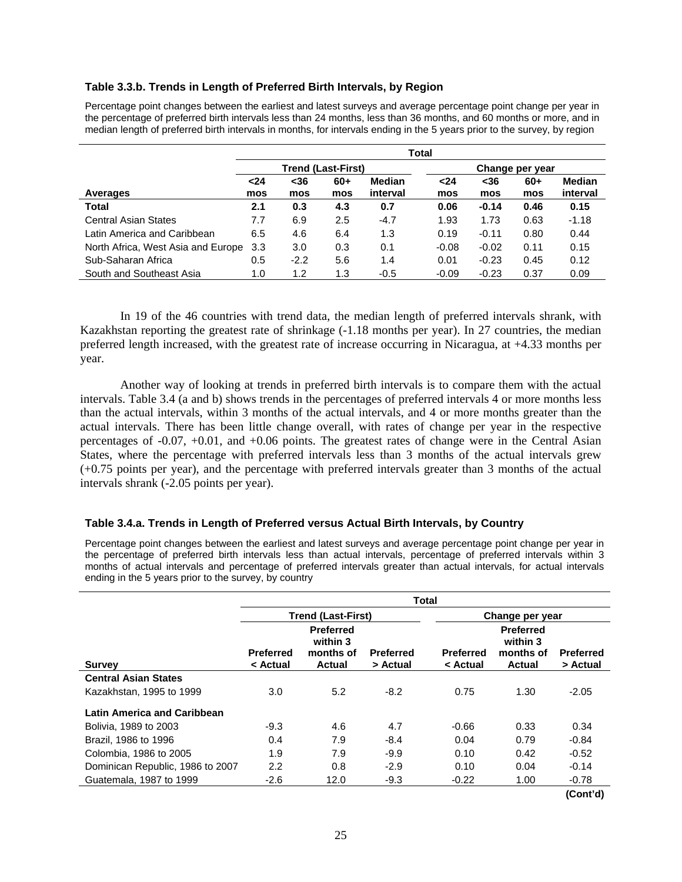#### **Table 3.3.b. Trends in Length of Preferred Birth Intervals, by Region**

Percentage point changes between the earliest and latest surveys and average percentage point change per year in the percentage of preferred birth intervals less than 24 months, less than 36 months, and 60 months or more, and in median length of preferred birth intervals in months, for intervals ending in the 5 years prior to the survey, by region

|                                    | Total       |             |                           |                           |                 |             |            |                           |  |
|------------------------------------|-------------|-------------|---------------------------|---------------------------|-----------------|-------------|------------|---------------------------|--|
|                                    |             |             | <b>Trend (Last-First)</b> |                           | Change per year |             |            |                           |  |
| Averages                           | $24$<br>mos | $36$<br>mos | 60+<br>mos                | <b>Median</b><br>interval | $24$<br>mos     | $36$<br>mos | 60+<br>mos | <b>Median</b><br>interval |  |
| <b>Total</b>                       | 2.1         | 0.3         | 4.3                       | 0.7                       | 0.06            | $-0.14$     | 0.46       | 0.15                      |  |
| <b>Central Asian States</b>        | 7.7         | 6.9         | 2.5                       | $-4.7$                    | 1.93            | 1.73        | 0.63       | $-1.18$                   |  |
| Latin America and Caribbean        | 6.5         | 4.6         | 6.4                       | 1.3                       | 0.19            | $-0.11$     | 0.80       | 0.44                      |  |
| North Africa, West Asia and Europe | 3.3         | 3.0         | 0.3                       | 0.1                       | $-0.08$         | $-0.02$     | 0.11       | 0.15                      |  |
| Sub-Saharan Africa                 | 0.5         | $-2.2$      | 5.6                       | 1.4                       | 0.01            | $-0.23$     | 0.45       | 0.12                      |  |
| South and Southeast Asia           | 1.0         | 1.2         | 1.3                       | $-0.5$                    | $-0.09$         | $-0.23$     | 0.37       | 0.09                      |  |

In 19 of the 46 countries with trend data, the median length of preferred intervals shrank, with Kazakhstan reporting the greatest rate of shrinkage (-1.18 months per year). In 27 countries, the median preferred length increased, with the greatest rate of increase occurring in Nicaragua, at +4.33 months per year.

Another way of looking at trends in preferred birth intervals is to compare them with the actual intervals. Table 3.4 (a and b) shows trends in the percentages of preferred intervals 4 or more months less than the actual intervals, within 3 months of the actual intervals, and 4 or more months greater than the actual intervals. There has been little change overall, with rates of change per year in the respective percentages of -0.07, +0.01, and +0.06 points. The greatest rates of change were in the Central Asian States, where the percentage with preferred intervals less than 3 months of the actual intervals grew (+0.75 points per year), and the percentage with preferred intervals greater than 3 months of the actual intervals shrank (-2.05 points per year).

#### **Table 3.4.a. Trends in Length of Preferred versus Actual Birth Intervals, by Country**

Percentage point changes between the earliest and latest surveys and average percentage point change per year in the percentage of preferred birth intervals less than actual intervals, percentage of preferred intervals within 3 months of actual intervals and percentage of preferred intervals greater than actual intervals, for actual intervals ending in the 5 years prior to the survey, by country

| <b>Total</b>                       |                  |                                           |                  |                  |                                           |                  |  |
|------------------------------------|------------------|-------------------------------------------|------------------|------------------|-------------------------------------------|------------------|--|
|                                    |                  | <b>Trend (Last-First)</b>                 |                  |                  | Change per year                           |                  |  |
|                                    | <b>Preferred</b> | <b>Preferred</b><br>within 3<br>months of | <b>Preferred</b> | <b>Preferred</b> | <b>Preferred</b><br>within 3<br>months of | <b>Preferred</b> |  |
| <b>Survey</b>                      | < Actual         | <b>Actual</b>                             | > Actual         | < Actual         | <b>Actual</b>                             | > Actual         |  |
| <b>Central Asian States</b>        |                  |                                           |                  |                  |                                           |                  |  |
| Kazakhstan, 1995 to 1999           | 3.0              | 5.2                                       | $-8.2$           | 0.75             | 1.30                                      | $-2.05$          |  |
| <b>Latin America and Caribbean</b> |                  |                                           |                  |                  |                                           |                  |  |
| Bolivia, 1989 to 2003              | $-9.3$           | 4.6                                       | 4.7              | $-0.66$          | 0.33                                      | 0.34             |  |
| Brazil, 1986 to 1996               | 0.4              | 7.9                                       | $-8.4$           | 0.04             | 0.79                                      | $-0.84$          |  |
| Colombia, 1986 to 2005             | 1.9              | 7.9                                       | $-9.9$           | 0.10             | 0.42                                      | $-0.52$          |  |
| Dominican Republic, 1986 to 2007   | 2.2              | 0.8                                       | $-2.9$           | 0.10             | 0.04                                      | $-0.14$          |  |
| Guatemala, 1987 to 1999            | $-2.6$           | 12.0                                      | $-9.3$           | $-0.22$          | 1.00                                      | $-0.78$          |  |
|                                    |                  |                                           |                  |                  |                                           | $10 - 11$        |  |

**(Cont'd)**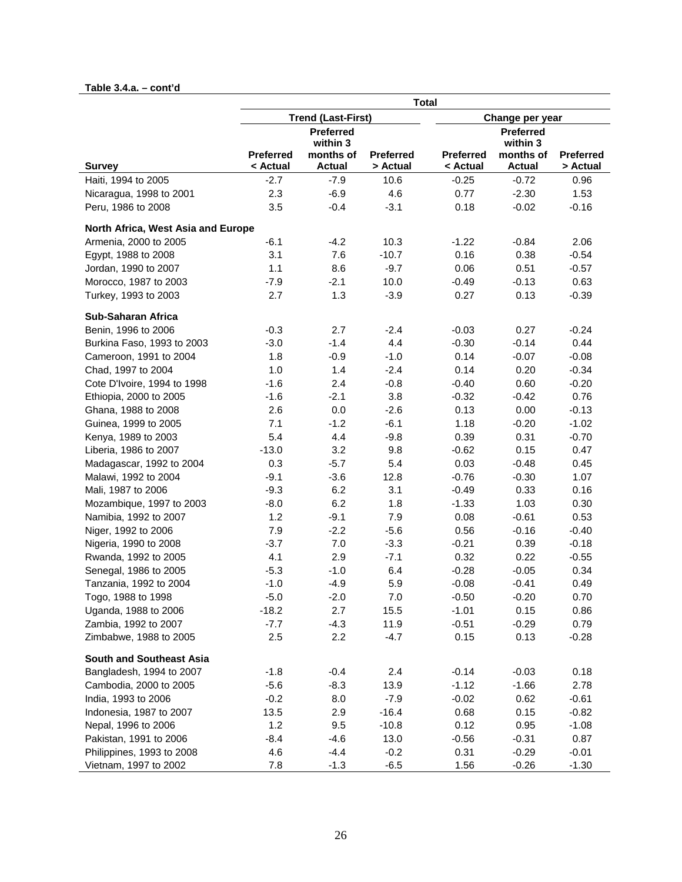## **Table 3.4.a. – cont'd**

|                                    | <b>Total</b>     |                                           |                  |                  |                                           |                  |  |  |
|------------------------------------|------------------|-------------------------------------------|------------------|------------------|-------------------------------------------|------------------|--|--|
|                                    |                  | <b>Trend (Last-First)</b>                 |                  | Change per year  |                                           |                  |  |  |
|                                    | <b>Preferred</b> | <b>Preferred</b><br>within 3<br>months of | <b>Preferred</b> | <b>Preferred</b> | <b>Preferred</b><br>within 3<br>months of | <b>Preferred</b> |  |  |
| <b>Survey</b>                      | < Actual         | <b>Actual</b>                             | > Actual         | < Actual         | <b>Actual</b>                             | > Actual         |  |  |
| Haiti, 1994 to 2005                | $-2.7$           | $-7.9$                                    | 10.6             | $-0.25$          | $-0.72$                                   | 0.96             |  |  |
| Nicaragua, 1998 to 2001            | 2.3              | $-6.9$                                    | 4.6              | 0.77             | $-2.30$                                   | 1.53             |  |  |
| Peru, 1986 to 2008                 | 3.5              | $-0.4$                                    | $-3.1$           | 0.18             | $-0.02$                                   | $-0.16$          |  |  |
| North Africa, West Asia and Europe |                  |                                           |                  |                  |                                           |                  |  |  |
| Armenia, 2000 to 2005              | $-6.1$           | $-4.2$                                    | 10.3             | $-1.22$          | $-0.84$                                   | 2.06             |  |  |
| Egypt, 1988 to 2008                | 3.1              | 7.6                                       | $-10.7$          | 0.16             | 0.38                                      | $-0.54$          |  |  |
| Jordan, 1990 to 2007               | 1.1              | 8.6                                       | $-9.7$           | 0.06             | 0.51                                      | $-0.57$          |  |  |
| Morocco, 1987 to 2003              | $-7.9$           | $-2.1$                                    | 10.0             | $-0.49$          | $-0.13$                                   | 0.63             |  |  |
| Turkey, 1993 to 2003               | 2.7              | 1.3                                       | $-3.9$           | 0.27             | 0.13                                      | $-0.39$          |  |  |
| Sub-Saharan Africa                 |                  |                                           |                  |                  |                                           |                  |  |  |
| Benin, 1996 to 2006                | $-0.3$           | 2.7                                       | $-2.4$           | $-0.03$          | 0.27                                      | $-0.24$          |  |  |
| Burkina Faso, 1993 to 2003         | $-3.0$           | $-1.4$                                    | 4.4              | $-0.30$          | $-0.14$                                   | 0.44             |  |  |
| Cameroon, 1991 to 2004             | 1.8              | $-0.9$                                    | $-1.0$           | 0.14             | $-0.07$                                   | $-0.08$          |  |  |
| Chad, 1997 to 2004                 | 1.0              | 1.4                                       | $-2.4$           | 0.14             | 0.20                                      | $-0.34$          |  |  |
| Cote D'Ivoire, 1994 to 1998        | $-1.6$           | 2.4                                       | $-0.8$           | $-0.40$          | 0.60                                      | $-0.20$          |  |  |
| Ethiopia, 2000 to 2005             | $-1.6$           | $-2.1$                                    | 3.8              | $-0.32$          | $-0.42$                                   | 0.76             |  |  |
| Ghana, 1988 to 2008                | 2.6              | 0.0                                       | $-2.6$           | 0.13             | 0.00                                      | $-0.13$          |  |  |
| Guinea, 1999 to 2005               | 7.1              | $-1.2$                                    | $-6.1$           | 1.18             | $-0.20$                                   | $-1.02$          |  |  |
| Kenya, 1989 to 2003                | 5.4              | 4.4                                       | $-9.8$           | 0.39             | 0.31                                      | $-0.70$          |  |  |
| Liberia, 1986 to 2007              | $-13.0$          | 3.2                                       | 9.8              | $-0.62$          | 0.15                                      | 0.47             |  |  |
| Madagascar, 1992 to 2004           | 0.3              | $-5.7$                                    | 5.4              | 0.03             | $-0.48$                                   | 0.45             |  |  |
| Malawi, 1992 to 2004               | $-9.1$           | $-3.6$                                    | 12.8             | $-0.76$          | $-0.30$                                   | 1.07             |  |  |
| Mali, 1987 to 2006                 | $-9.3$           | 6.2                                       | 3.1              | $-0.49$          | 0.33                                      | 0.16             |  |  |
| Mozambique, 1997 to 2003           | $-8.0$           | 6.2                                       | 1.8              | $-1.33$          | 1.03                                      | 0.30             |  |  |
| Namibia, 1992 to 2007              | $1.2$            | $-9.1$                                    | 7.9              | 0.08             | $-0.61$                                   | 0.53             |  |  |
| Niger, 1992 to 2006                | 7.9              | $-2.2$                                    | $-5.6$           | 0.56             | $-0.16$                                   | $-0.40$          |  |  |
| Nigeria, 1990 to 2008              | $-3.7$           | 7.0                                       | $-3.3$           | $-0.21$          | 0.39                                      | $-0.18$          |  |  |
| Rwanda, 1992 to 2005               | 4.1              | 2.9                                       | $-7.1$           | 0.32             | 0.22                                      | $-0.55$          |  |  |
| Senegal, 1986 to 2005              | $-5.3$           | $-1.0$                                    | 6.4              | $-0.28$          | $-0.05$                                   | 0.34             |  |  |
| Tanzania, 1992 to 2004             | $-1.0$           | $-4.9$                                    | 5.9              | $-0.08$          | $-0.41$                                   | 0.49             |  |  |
| Togo, 1988 to 1998                 | $-5.0$           | $-2.0$                                    | $7.0\,$          | $-0.50$          | $-0.20$                                   | 0.70             |  |  |
| Uganda, 1988 to 2006               | $-18.2$          | 2.7                                       | 15.5             | $-1.01$          | 0.15                                      | 0.86             |  |  |
| Zambia, 1992 to 2007               | $-7.7$           | $-4.3$                                    | 11.9             | $-0.51$          | $-0.29$                                   | 0.79             |  |  |
| Zimbabwe, 1988 to 2005             | 2.5              | 2.2                                       | $-4.7$           | 0.15             | 0.13                                      | $-0.28$          |  |  |
| <b>South and Southeast Asia</b>    |                  |                                           |                  |                  |                                           |                  |  |  |
| Bangladesh, 1994 to 2007           | $-1.8$           | $-0.4$                                    | 2.4              | $-0.14$          | $-0.03$                                   | 0.18             |  |  |
| Cambodia, 2000 to 2005             | $-5.6$           | $-8.3$                                    | 13.9             | $-1.12$          | $-1.66$                                   | 2.78             |  |  |
| India, 1993 to 2006                | $-0.2$           | 8.0                                       | $-7.9$           | $-0.02$          | 0.62                                      | $-0.61$          |  |  |
| Indonesia, 1987 to 2007            | 13.5             | 2.9                                       | $-16.4$          | 0.68             | 0.15                                      | $-0.82$          |  |  |
| Nepal, 1996 to 2006                | $1.2$            | 9.5                                       | $-10.8$          | 0.12             | 0.95                                      | $-1.08$          |  |  |
| Pakistan, 1991 to 2006             | $-8.4$           | $-4.6$                                    | 13.0             | $-0.56$          | $-0.31$                                   | 0.87             |  |  |
| Philippines, 1993 to 2008          | 4.6              | $-4.4$                                    | $-0.2$           | 0.31             | $-0.29$                                   | $-0.01$          |  |  |
| Vietnam, 1997 to 2002              | 7.8              | $-1.3$                                    | $-6.5$           | 1.56             | $-0.26$                                   | $-1.30$          |  |  |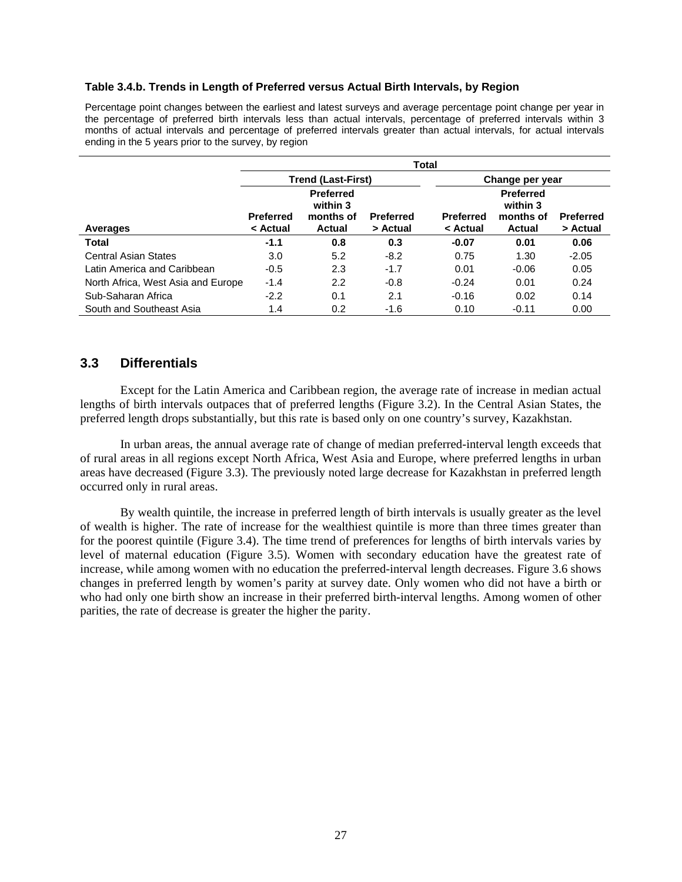#### **Table 3.4.b. Trends in Length of Preferred versus Actual Birth Intervals, by Region**

Percentage point changes between the earliest and latest surveys and average percentage point change per year in the percentage of preferred birth intervals less than actual intervals, percentage of preferred intervals within 3 months of actual intervals and percentage of preferred intervals greater than actual intervals, for actual intervals ending in the 5 years prior to the survey, by region

| <b>Total</b>                       |                  |                           |                                           |                  |               |          |  |  |
|------------------------------------|------------------|---------------------------|-------------------------------------------|------------------|---------------|----------|--|--|
|                                    |                  | <b>Trend (Last-First)</b> |                                           | Change per year  |               |          |  |  |
|                                    | <b>Preferred</b> | <b>Preferred</b>          | <b>Preferred</b><br>within 3<br>months of | <b>Preferred</b> |               |          |  |  |
| Averages                           | < Actual         | <b>Actual</b>             | > Actual                                  | < Actual         | <b>Actual</b> | > Actual |  |  |
| <b>Total</b>                       | $-1.1$           | 0.8                       | 0.3                                       | $-0.07$          | 0.01          | 0.06     |  |  |
| <b>Central Asian States</b>        | 3.0              | 5.2                       | $-8.2$                                    | 0.75             | 1.30          | $-2.05$  |  |  |
| Latin America and Caribbean        | $-0.5$           | 2.3                       | $-1.7$                                    | 0.01             | $-0.06$       | 0.05     |  |  |
| North Africa, West Asia and Europe | $-1.4$           | 2.2                       | $-0.8$                                    | $-0.24$          | 0.01          | 0.24     |  |  |
| Sub-Saharan Africa                 | $-2.2$           | 0.1                       | 2.1                                       | $-0.16$          | 0.02          | 0.14     |  |  |
| South and Southeast Asia           | 1.4              | 0.2                       | $-1.6$                                    | 0.10             | $-0.11$       | 0.00     |  |  |

#### **3.3 Differentials**

Except for the Latin America and Caribbean region, the average rate of increase in median actual lengths of birth intervals outpaces that of preferred lengths (Figure 3.2). In the Central Asian States, the preferred length drops substantially, but this rate is based only on one country's survey, Kazakhstan.

In urban areas, the annual average rate of change of median preferred-interval length exceeds that of rural areas in all regions except North Africa, West Asia and Europe, where preferred lengths in urban areas have decreased (Figure 3.3). The previously noted large decrease for Kazakhstan in preferred length occurred only in rural areas.

By wealth quintile, the increase in preferred length of birth intervals is usually greater as the level of wealth is higher. The rate of increase for the wealthiest quintile is more than three times greater than for the poorest quintile (Figure 3.4). The time trend of preferences for lengths of birth intervals varies by level of maternal education (Figure 3.5). Women with secondary education have the greatest rate of increase, while among women with no education the preferred-interval length decreases. Figure 3.6 shows changes in preferred length by women's parity at survey date. Only women who did not have a birth or who had only one birth show an increase in their preferred birth-interval lengths. Among women of other parities, the rate of decrease is greater the higher the parity.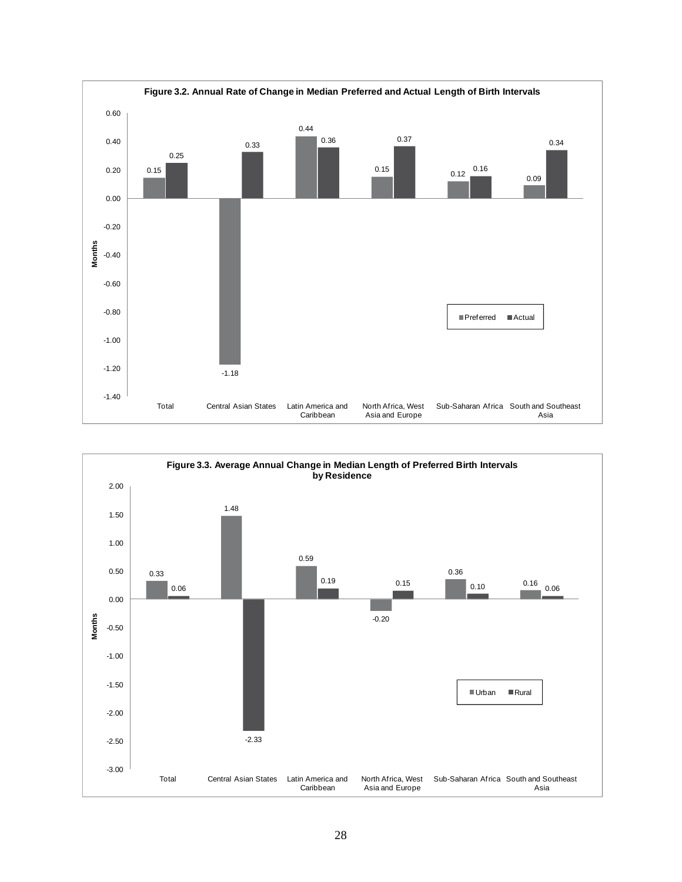

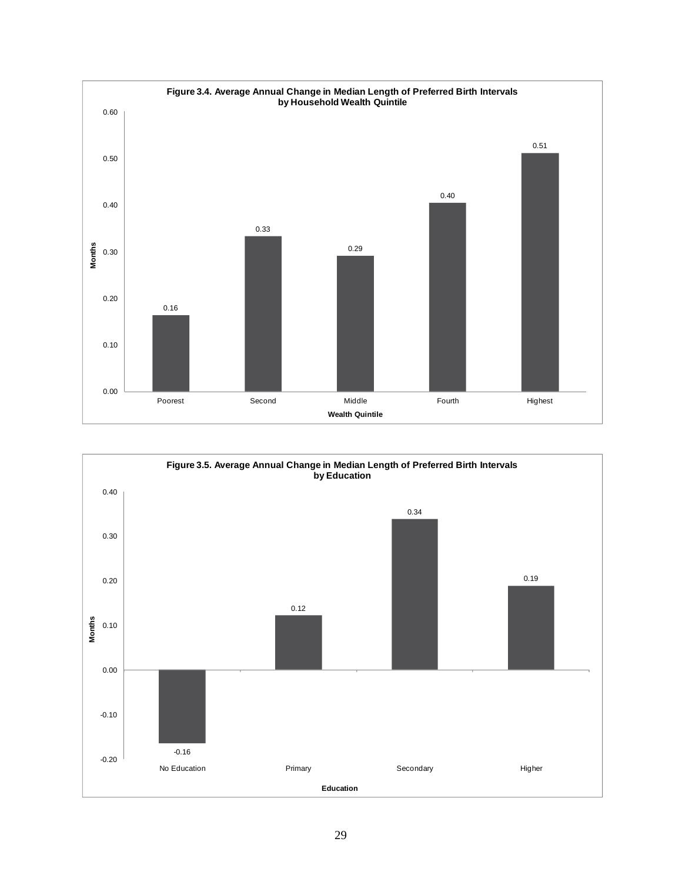

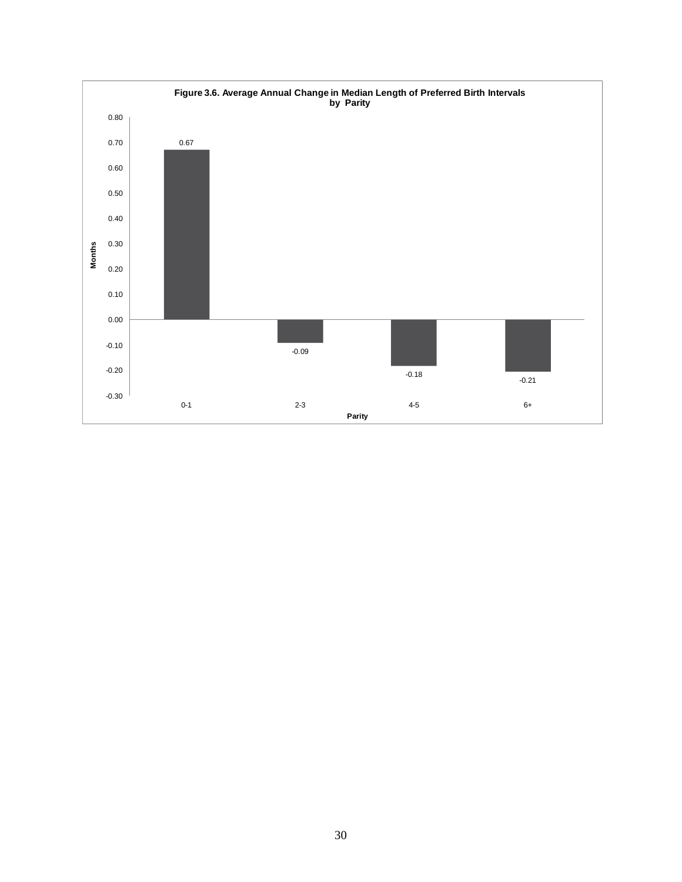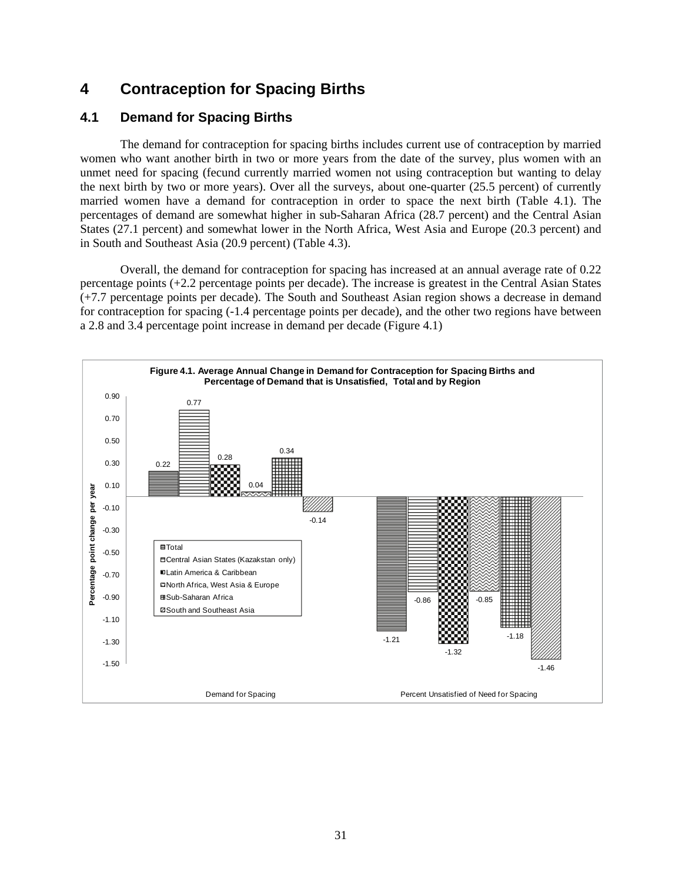## **4 Contraception for Spacing Births**

## **4.1 Demand for Spacing Births**

The demand for contraception for spacing births includes current use of contraception by married women who want another birth in two or more years from the date of the survey, plus women with an unmet need for spacing (fecund currently married women not using contraception but wanting to delay the next birth by two or more years). Over all the surveys, about one-quarter (25.5 percent) of currently married women have a demand for contraception in order to space the next birth (Table 4.1). The percentages of demand are somewhat higher in sub-Saharan Africa (28.7 percent) and the Central Asian States (27.1 percent) and somewhat lower in the North Africa, West Asia and Europe (20.3 percent) and in South and Southeast Asia (20.9 percent) (Table 4.3).

Overall, the demand for contraception for spacing has increased at an annual average rate of 0.22 percentage points (+2.2 percentage points per decade). The increase is greatest in the Central Asian States (+7.7 percentage points per decade). The South and Southeast Asian region shows a decrease in demand for contraception for spacing (-1.4 percentage points per decade), and the other two regions have between a 2.8 and 3.4 percentage point increase in demand per decade (Figure 4.1)

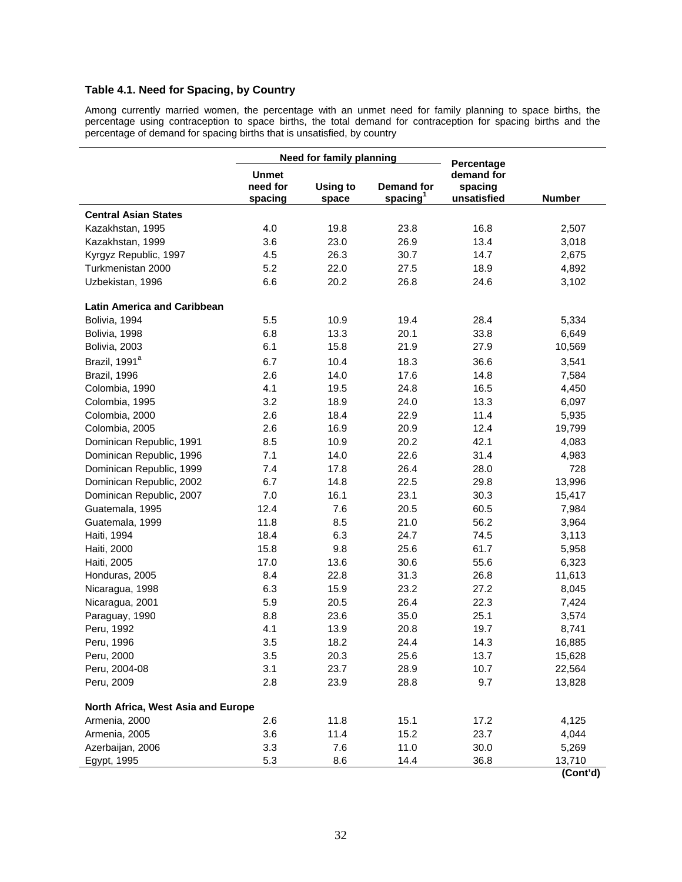#### **Table 4.1. Need for Spacing, by Country**

Among currently married women, the percentage with an unmet need for family planning to space births, the percentage using contraception to space births, the total demand for contraception for spacing births and the percentage of demand for spacing births that is unsatisfied, by country

|                                    |                                     | Need for family planning | Percentage                                |                                      |               |
|------------------------------------|-------------------------------------|--------------------------|-------------------------------------------|--------------------------------------|---------------|
|                                    | <b>Unmet</b><br>need for<br>spacing | Using to<br>space        | <b>Demand for</b><br>spacing <sup>1</sup> | demand for<br>spacing<br>unsatisfied | <b>Number</b> |
| <b>Central Asian States</b>        |                                     |                          |                                           |                                      |               |
| Kazakhstan, 1995                   | 4.0                                 | 19.8                     | 23.8                                      | 16.8                                 | 2,507         |
| Kazakhstan, 1999                   | 3.6                                 | 23.0                     | 26.9                                      | 13.4                                 | 3,018         |
| Kyrgyz Republic, 1997              | 4.5                                 | 26.3                     | 30.7                                      | 14.7                                 | 2,675         |
| Turkmenistan 2000                  | 5.2                                 | 22.0                     | 27.5                                      | 18.9                                 | 4,892         |
| Uzbekistan, 1996                   | 6.6                                 | 20.2                     | 26.8                                      | 24.6                                 | 3,102         |
|                                    |                                     |                          |                                           |                                      |               |
| <b>Latin America and Caribbean</b> |                                     |                          |                                           |                                      |               |
| Bolivia, 1994                      | 5.5                                 | 10.9                     | 19.4                                      | 28.4                                 | 5,334         |
| Bolivia, 1998                      | 6.8                                 | 13.3                     | 20.1                                      | 33.8                                 | 6,649         |
| Bolivia, 2003                      | 6.1                                 | 15.8                     | 21.9                                      | 27.9                                 | 10,569        |
| Brazil, 1991 <sup>a</sup>          | 6.7                                 | 10.4                     | 18.3                                      | 36.6                                 | 3,541         |
| Brazil, 1996                       | 2.6                                 | 14.0                     | 17.6                                      | 14.8                                 | 7,584         |
| Colombia, 1990                     | 4.1                                 | 19.5                     | 24.8                                      | 16.5                                 | 4,450         |
| Colombia, 1995                     | 3.2                                 | 18.9                     | 24.0                                      | 13.3                                 | 6,097         |
| Colombia, 2000                     | 2.6                                 | 18.4                     | 22.9                                      | 11.4                                 | 5,935         |
| Colombia, 2005                     | 2.6                                 | 16.9                     | 20.9                                      | 12.4                                 | 19,799        |
| Dominican Republic, 1991           | 8.5                                 | 10.9                     | 20.2                                      | 42.1                                 | 4,083         |
| Dominican Republic, 1996           | 7.1                                 | 14.0                     | 22.6                                      | 31.4                                 | 4,983         |
| Dominican Republic, 1999           | 7.4                                 | 17.8                     | 26.4                                      | 28.0                                 | 728           |
| Dominican Republic, 2002           | 6.7                                 | 14.8                     | 22.5                                      | 29.8                                 | 13,996        |
| Dominican Republic, 2007           | 7.0                                 | 16.1                     | 23.1                                      | 30.3                                 | 15,417        |
| Guatemala, 1995                    | 12.4                                | 7.6                      | 20.5                                      | 60.5                                 | 7,984         |
| Guatemala, 1999                    | 11.8                                | 8.5                      | 21.0                                      | 56.2                                 | 3,964         |
| Haiti, 1994                        | 18.4                                | 6.3                      | 24.7                                      | 74.5                                 | 3,113         |
| Haiti, 2000                        | 15.8                                | 9.8                      | 25.6                                      | 61.7                                 | 5,958         |
| Haiti, 2005                        | 17.0                                | 13.6                     | 30.6                                      | 55.6                                 | 6,323         |
| Honduras, 2005                     | 8.4                                 | 22.8                     | 31.3                                      | 26.8                                 | 11,613        |
| Nicaragua, 1998                    | 6.3                                 | 15.9                     | 23.2                                      | 27.2                                 | 8,045         |
| Nicaragua, 2001                    | 5.9                                 | 20.5                     | 26.4                                      | 22.3                                 | 7,424         |
| Paraguay, 1990                     | 8.8                                 | 23.6                     | 35.0                                      | 25.1                                 | 3,574         |
| Peru, 1992                         | 4.1                                 | 13.9                     | 20.8                                      | 19.7                                 | 8,741         |
| Peru, 1996                         | 3.5                                 | 18.2                     | 24.4                                      | 14.3                                 | 16,885        |
| Peru, 2000                         | 3.5                                 | 20.3                     | 25.6                                      | 13.7                                 | 15,628        |
| Peru, 2004-08                      | 3.1                                 | 23.7                     | 28.9                                      | 10.7                                 | 22,564        |
| Peru, 2009                         | 2.8                                 | 23.9                     | 28.8                                      | 9.7                                  | 13,828        |
| North Africa, West Asia and Europe |                                     |                          |                                           |                                      |               |
| Armenia, 2000                      | 2.6                                 | 11.8                     | 15.1                                      | 17.2                                 | 4,125         |
| Armenia, 2005                      | 3.6                                 | 11.4                     | 15.2                                      | 23.7                                 | 4,044         |
| Azerbaijan, 2006                   | 3.3                                 | 7.6                      | 11.0                                      | 30.0                                 | 5,269         |
| Egypt, 1995                        | 5.3                                 | 8.6                      | 14.4                                      | 36.8                                 | 13,710        |
|                                    |                                     |                          |                                           |                                      |               |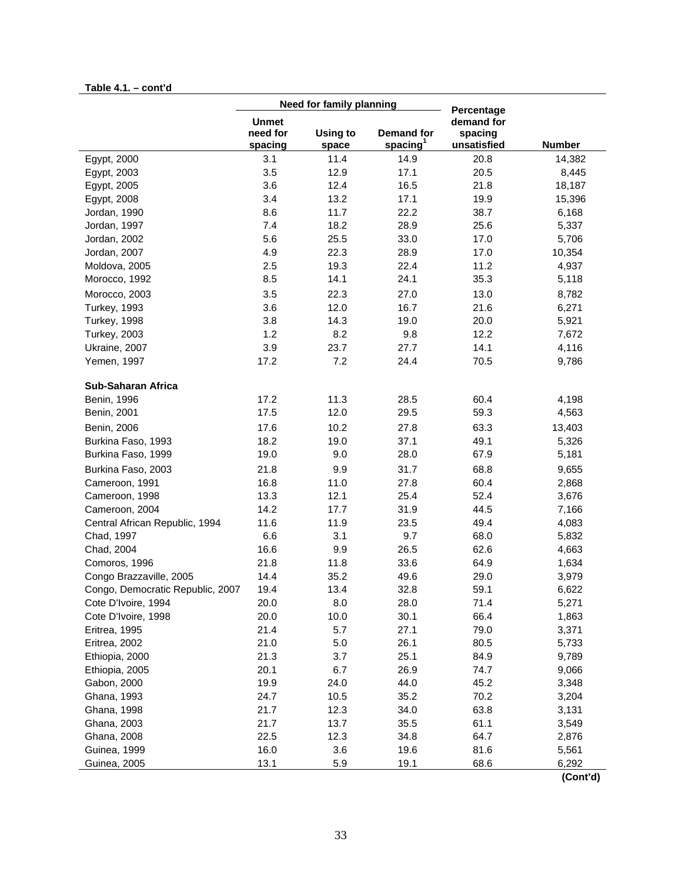## **Table 4.1. – cont'd**

|                                  | Need for family planning |          |                          |             |               |
|----------------------------------|--------------------------|----------|--------------------------|-------------|---------------|
|                                  | <b>Unmet</b>             |          | Percentage<br>demand for |             |               |
|                                  | need for                 | Using to | <b>Demand for</b>        | spacing     |               |
|                                  | spacing                  | space    | spacing <sup>1</sup>     | unsatisfied | <b>Number</b> |
| Egypt, 2000                      | 3.1                      | 11.4     | 14.9                     | 20.8        | 14,382        |
| Egypt, 2003                      | 3.5                      | 12.9     | 17.1                     | 20.5        | 8,445         |
| Egypt, 2005                      | 3.6                      | 12.4     | 16.5                     | 21.8        | 18,187        |
| Egypt, 2008                      | 3.4                      | 13.2     | 17.1                     | 19.9        | 15,396        |
| Jordan, 1990                     | 8.6                      | 11.7     | 22.2                     | 38.7        | 6,168         |
| Jordan, 1997                     | 7.4                      | 18.2     | 28.9                     | 25.6        | 5,337         |
| Jordan, 2002                     | 5.6                      | 25.5     | 33.0                     | 17.0        | 5,706         |
| Jordan, 2007                     | 4.9                      | 22.3     | 28.9                     | 17.0        | 10,354        |
| Moldova, 2005                    | 2.5                      | 19.3     | 22.4                     | 11.2        | 4,937         |
| Morocco, 1992                    | 8.5                      | 14.1     | 24.1                     | 35.3        | 5,118         |
| Morocco, 2003                    | 3.5                      | 22.3     | 27.0                     | 13.0        | 8,782         |
| <b>Turkey, 1993</b>              | 3.6                      | 12.0     | 16.7                     | 21.6        | 6,271         |
| Turkey, 1998                     | 3.8                      | 14.3     | 19.0                     | 20.0        | 5,921         |
| <b>Turkey, 2003</b>              | 1.2                      | 8.2      | 9.8                      | 12.2        | 7,672         |
| Ukraine, 2007                    | 3.9                      | 23.7     | 27.7                     | 14.1        | 4,116         |
| Yemen, 1997                      | 17.2                     | 7.2      | 24.4                     | 70.5        | 9,786         |
|                                  |                          |          |                          |             |               |
| <b>Sub-Saharan Africa</b>        |                          |          |                          |             |               |
| Benin, 1996                      | 17.2                     | 11.3     | 28.5                     | 60.4        | 4,198         |
| Benin, 2001                      | 17.5                     | 12.0     | 29.5                     | 59.3        | 4,563         |
| Benin, 2006                      | 17.6                     | 10.2     | 27.8                     | 63.3        | 13,403        |
| Burkina Faso, 1993               | 18.2                     | 19.0     | 37.1                     | 49.1        | 5,326         |
| Burkina Faso, 1999               | 19.0                     | 9.0      | 28.0                     | 67.9        | 5,181         |
| Burkina Faso, 2003               | 21.8                     | 9.9      | 31.7                     | 68.8        | 9,655         |
| Cameroon, 1991                   | 16.8                     | 11.0     | 27.8                     | 60.4        | 2,868         |
| Cameroon, 1998                   | 13.3                     | 12.1     | 25.4                     | 52.4        | 3,676         |
| Cameroon, 2004                   | 14.2                     | 17.7     | 31.9                     | 44.5        | 7,166         |
| Central African Republic, 1994   | 11.6                     | 11.9     | 23.5                     | 49.4        | 4,083         |
| Chad, 1997                       | 6.6                      | 3.1      | 9.7                      | 68.0        | 5,832         |
| Chad, 2004                       | 16.6                     | 9.9      | 26.5                     | 62.6        | 4,663         |
| Comoros, 1996                    | 21.8                     | 11.8     | 33.6                     | 64.9        | 1,634         |
| Congo Brazzaville, 2005          | 14.4                     | 35.2     | 49.6                     | 29.0        | 3,979         |
| Congo, Democratic Republic, 2007 | 19.4                     | 13.4     | 32.8                     | 59.1        | 6,622         |
| Cote D'Ivoire, 1994              | 20.0                     | 8.0      | 28.0                     | 71.4        | 5,271         |
| Cote D'Ivoire, 1998              | 20.0                     | 10.0     | 30.1                     | 66.4        | 1,863         |
| Eritrea, 1995                    | 21.4                     | 5.7      | 27.1                     | 79.0        | 3,371         |
| Eritrea, 2002                    | 21.0                     | 5.0      | 26.1                     | 80.5        | 5,733         |
| Ethiopia, 2000                   | 21.3                     | 3.7      | 25.1                     | 84.9        | 9,789         |
| Ethiopia, 2005                   | 20.1                     | 6.7      | 26.9                     | 74.7        | 9,066         |
| Gabon, 2000                      | 19.9                     | 24.0     | 44.0                     | 45.2        | 3,348         |
| Ghana, 1993                      | 24.7                     | 10.5     | 35.2                     | 70.2        | 3,204         |
| Ghana, 1998                      | 21.7                     | 12.3     | 34.0                     | 63.8        | 3,131         |
| Ghana, 2003                      | 21.7                     | 13.7     | 35.5                     | 61.1        | 3,549         |
| Ghana, 2008                      | 22.5                     | 12.3     | 34.8                     | 64.7        | 2,876         |
| Guinea, 1999                     | 16.0                     | 3.6      | 19.6                     | 81.6        | 5,561         |
| <b>Guinea, 2005</b>              | 13.1                     | 5.9      | 19.1                     | 68.6        | 6,292         |

**(Cont'd)**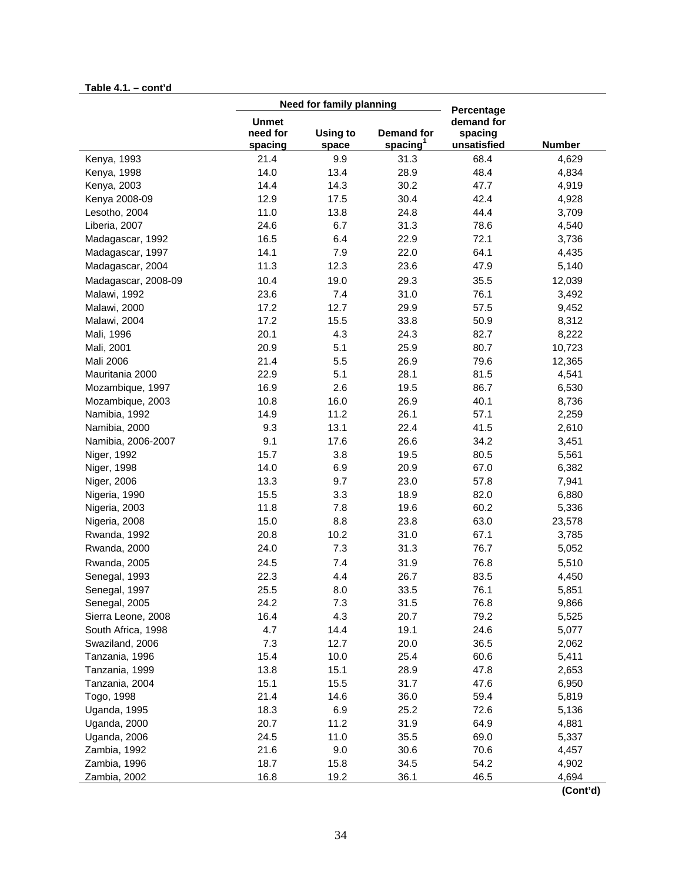## **Table 4.1. – cont'd**

|                     | Need for family planning |          |                      |                          |               |
|---------------------|--------------------------|----------|----------------------|--------------------------|---------------|
|                     | <b>Unmet</b>             |          |                      | Percentage<br>demand for |               |
|                     | need for                 | Using to | <b>Demand for</b>    | spacing                  |               |
|                     | spacing                  | space    | spacing <sup>1</sup> | unsatisfied              | <b>Number</b> |
| Kenya, 1993         | 21.4                     | 9.9      | 31.3                 | 68.4                     | 4,629         |
| Kenya, 1998         | 14.0                     | 13.4     | 28.9                 | 48.4                     | 4,834         |
| Kenya, 2003         | 14.4                     | 14.3     | 30.2                 | 47.7                     | 4,919         |
| Kenya 2008-09       | 12.9                     | 17.5     | 30.4                 | 42.4                     | 4,928         |
| Lesotho, 2004       | 11.0                     | 13.8     | 24.8                 | 44.4                     | 3,709         |
| Liberia, 2007       | 24.6                     | 6.7      | 31.3                 | 78.6                     | 4,540         |
| Madagascar, 1992    | 16.5                     | 6.4      | 22.9                 | 72.1                     | 3,736         |
| Madagascar, 1997    | 14.1                     | 7.9      | 22.0                 | 64.1                     | 4,435         |
| Madagascar, 2004    | 11.3                     | 12.3     | 23.6                 | 47.9                     | 5,140         |
| Madagascar, 2008-09 | 10.4                     | 19.0     | 29.3                 | 35.5                     | 12,039        |
| Malawi, 1992        | 23.6                     | 7.4      | 31.0                 | 76.1                     | 3,492         |
| Malawi, 2000        | 17.2                     | 12.7     | 29.9                 | 57.5                     | 9,452         |
| Malawi, 2004        | 17.2                     | 15.5     | 33.8                 | 50.9                     | 8,312         |
| Mali, 1996          | 20.1                     | 4.3      | 24.3                 | 82.7                     | 8,222         |
| Mali, 2001          | 20.9                     | 5.1      | 25.9                 | 80.7                     | 10,723        |
| <b>Mali 2006</b>    | 21.4                     | 5.5      | 26.9                 | 79.6                     | 12,365        |
| Mauritania 2000     | 22.9                     | 5.1      | 28.1                 | 81.5                     | 4,541         |
| Mozambique, 1997    | 16.9                     | 2.6      | 19.5                 | 86.7                     | 6,530         |
| Mozambique, 2003    | 10.8                     | 16.0     | 26.9                 | 40.1                     | 8,736         |
| Namibia, 1992       | 14.9                     | 11.2     | 26.1                 | 57.1                     | 2,259         |
| Namibia, 2000       | 9.3                      | 13.1     | 22.4                 | 41.5                     | 2,610         |
| Namibia, 2006-2007  | 9.1                      | 17.6     | 26.6                 | 34.2                     | 3,451         |
| Niger, 1992         | 15.7                     | 3.8      | 19.5                 | 80.5                     | 5,561         |
| Niger, 1998         | 14.0                     | 6.9      | 20.9                 | 67.0                     | 6,382         |
| Niger, 2006         | 13.3                     | 9.7      | 23.0                 | 57.8                     | 7,941         |
| Nigeria, 1990       | 15.5                     | 3.3      | 18.9                 | 82.0                     | 6,880         |
| Nigeria, 2003       | 11.8                     | 7.8      | 19.6                 | 60.2                     | 5,336         |
| Nigeria, 2008       | 15.0                     | 8.8      | 23.8                 | 63.0                     | 23,578        |
| Rwanda, 1992        | 20.8                     | 10.2     | 31.0                 | 67.1                     | 3,785         |
| Rwanda, 2000        | 24.0                     | 7.3      | 31.3                 | 76.7                     | 5,052         |
| Rwanda, 2005        | 24.5                     | 7.4      | 31.9                 | 76.8                     | 5,510         |
| Senegal, 1993       | 22.3                     | 4.4      | 26.7                 | 83.5                     | 4,450         |
| Senegal, 1997       | 25.5                     | 8.0      | 33.5                 | 76.1                     | 5,851         |
| Senegal, 2005       | 24.2                     | 7.3      | 31.5                 | 76.8                     | 9,866         |
| Sierra Leone, 2008  | 16.4                     | 4.3      | 20.7                 | 79.2                     | 5,525         |
| South Africa, 1998  | 4.7                      | 14.4     | 19.1                 | 24.6                     | 5,077         |
| Swaziland, 2006     | 7.3                      | 12.7     | 20.0                 | 36.5                     | 2,062         |
| Tanzania, 1996      | 15.4                     | 10.0     | 25.4                 | 60.6                     | 5,411         |
| Tanzania, 1999      | 13.8                     | 15.1     | 28.9                 | 47.8                     | 2,653         |
| Tanzania, 2004      | 15.1                     | 15.5     | 31.7                 | 47.6                     | 6,950         |
| Togo, 1998          | 21.4                     | 14.6     | 36.0                 | 59.4                     | 5,819         |
| Uganda, 1995        | 18.3                     | 6.9      | 25.2                 | 72.6                     | 5,136         |
| Uganda, 2000        | 20.7                     | 11.2     | 31.9                 | 64.9                     | 4,881         |
| Uganda, 2006        | 24.5                     | 11.0     | 35.5                 | 69.0                     | 5,337         |
| Zambia, 1992        | 21.6                     | 9.0      | 30.6                 | 70.6                     | 4,457         |
| Zambia, 1996        | 18.7                     | 15.8     | 34.5                 | 54.2                     | 4,902         |
| Zambia, 2002        | 16.8                     | 19.2     | 36.1                 | 46.5                     | 4,694         |

**(Cont'd)**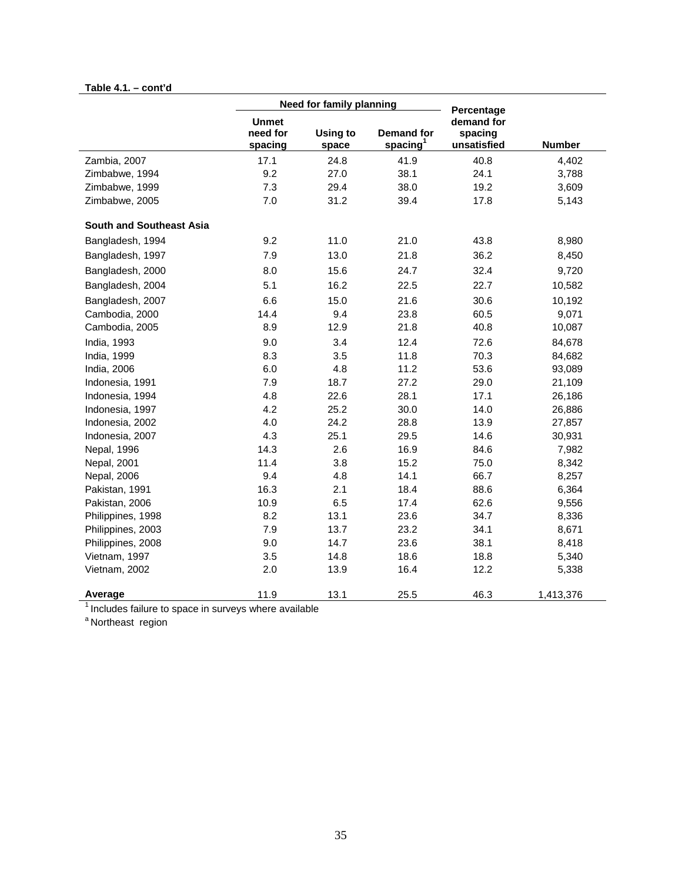#### **Table 4.1. – cont'd**

|                                 | <b>Need for family planning</b>     |                   |                                  | Percentage                           |               |
|---------------------------------|-------------------------------------|-------------------|----------------------------------|--------------------------------------|---------------|
|                                 | <b>Unmet</b><br>need for<br>spacing | Using to<br>space | <b>Demand for</b><br>spacing $1$ | demand for<br>spacing<br>unsatisfied | <b>Number</b> |
| Zambia, 2007                    | 17.1                                | 24.8              | 41.9                             | 40.8                                 | 4,402         |
| Zimbabwe, 1994                  | 9.2                                 | 27.0              | 38.1                             | 24.1                                 | 3,788         |
| Zimbabwe, 1999                  | 7.3                                 | 29.4              | 38.0                             | 19.2                                 | 3,609         |
| Zimbabwe, 2005                  | 7.0                                 | 31.2              | 39.4                             | 17.8                                 | 5,143         |
| <b>South and Southeast Asia</b> |                                     |                   |                                  |                                      |               |
| Bangladesh, 1994                | 9.2                                 | 11.0              | 21.0                             | 43.8                                 | 8,980         |
| Bangladesh, 1997                | 7.9                                 | 13.0              | 21.8                             | 36.2                                 | 8,450         |
| Bangladesh, 2000                | 8.0                                 | 15.6              | 24.7                             | 32.4                                 | 9,720         |
| Bangladesh, 2004                | 5.1                                 | 16.2              | 22.5                             | 22.7                                 | 10,582        |
| Bangladesh, 2007                | 6.6                                 | 15.0              | 21.6                             | 30.6                                 | 10,192        |
| Cambodia, 2000                  | 14.4                                | 9.4               | 23.8                             | 60.5                                 | 9,071         |
| Cambodia, 2005                  | 8.9                                 | 12.9              | 21.8                             | 40.8                                 | 10,087        |
| India, 1993                     | 9.0                                 | 3.4               | 12.4                             | 72.6                                 | 84,678        |
| India, 1999                     | 8.3                                 | 3.5               | 11.8                             | 70.3                                 | 84,682        |
| India, 2006                     | 6.0                                 | 4.8               | 11.2                             | 53.6                                 | 93,089        |
| Indonesia, 1991                 | 7.9                                 | 18.7              | 27.2                             | 29.0                                 | 21,109        |
| Indonesia, 1994                 | 4.8                                 | 22.6              | 28.1                             | 17.1                                 | 26,186        |
| Indonesia, 1997                 | 4.2                                 | 25.2              | 30.0                             | 14.0                                 | 26,886        |
| Indonesia, 2002                 | 4.0                                 | 24.2              | 28.8                             | 13.9                                 | 27,857        |
| Indonesia, 2007                 | 4.3                                 | 25.1              | 29.5                             | 14.6                                 | 30,931        |
| Nepal, 1996                     | 14.3                                | 2.6               | 16.9                             | 84.6                                 | 7,982         |
| <b>Nepal, 2001</b>              | 11.4                                | 3.8               | 15.2                             | 75.0                                 | 8,342         |
| Nepal, 2006                     | 9.4                                 | 4.8               | 14.1                             | 66.7                                 | 8,257         |
| Pakistan, 1991                  | 16.3                                | 2.1               | 18.4                             | 88.6                                 | 6,364         |
| Pakistan, 2006                  | 10.9                                | 6.5               | 17.4                             | 62.6                                 | 9,556         |
| Philippines, 1998               | 8.2                                 | 13.1              | 23.6                             | 34.7                                 | 8,336         |
| Philippines, 2003               | 7.9                                 | 13.7              | 23.2                             | 34.1                                 | 8,671         |
| Philippines, 2008               | 9.0                                 | 14.7              | 23.6                             | 38.1                                 | 8,418         |
| Vietnam, 1997                   | 3.5                                 | 14.8              | 18.6                             | 18.8                                 | 5,340         |
| Vietnam, 2002                   | 2.0                                 | 13.9              | 16.4                             | 12.2                                 | 5,338         |
| Average                         | 11.9                                | 13.1              | 25.5                             | 46.3                                 | 1,413,376     |

<sup>1</sup> Includes failure to space in surveys where available

a Northeast region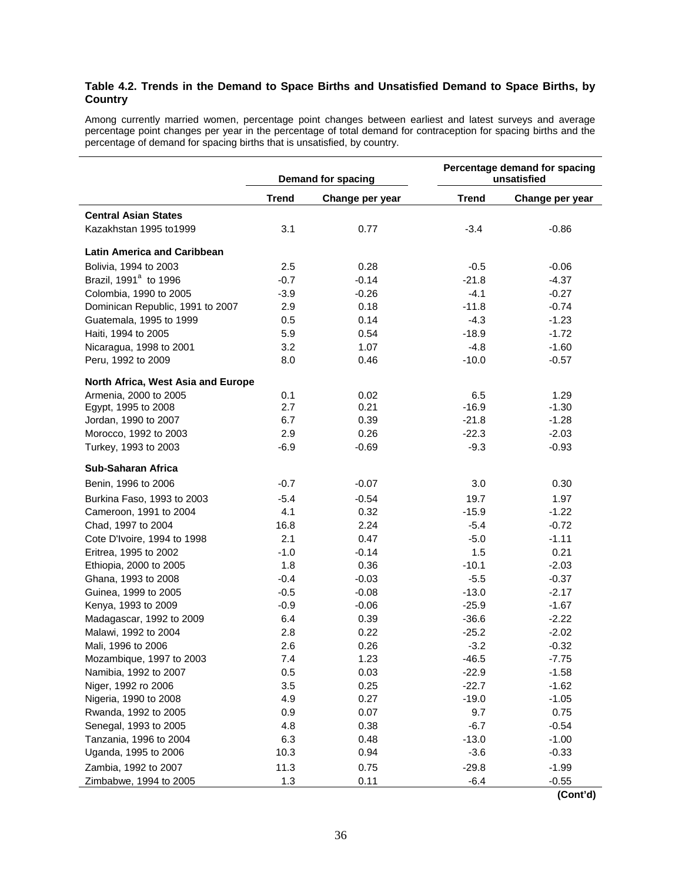#### **Table 4.2. Trends in the Demand to Space Births and Unsatisfied Demand to Space Births, by Country**

Among currently married women, percentage point changes between earliest and latest surveys and average percentage point changes per year in the percentage of total demand for contraception for spacing births and the percentage of demand for spacing births that is unsatisfied, by country.

|                                    | <b>Demand for spacing</b>       |         | Percentage demand for spacing<br>unsatisfied |                 |
|------------------------------------|---------------------------------|---------|----------------------------------------------|-----------------|
|                                    | <b>Trend</b><br>Change per year |         | <b>Trend</b>                                 | Change per year |
| <b>Central Asian States</b>        |                                 |         |                                              |                 |
| Kazakhstan 1995 to 1999            | 3.1                             | 0.77    | $-3.4$                                       | $-0.86$         |
| <b>Latin America and Caribbean</b> |                                 |         |                                              |                 |
| Bolivia, 1994 to 2003              | 2.5                             | 0.28    | $-0.5$                                       | $-0.06$         |
| Brazil, 1991 <sup>ª</sup> to 1996  | $-0.7$                          | $-0.14$ | $-21.8$                                      | $-4.37$         |
| Colombia, 1990 to 2005             | $-3.9$                          | $-0.26$ | $-4.1$                                       | $-0.27$         |
| Dominican Republic, 1991 to 2007   | 2.9                             | 0.18    | $-11.8$                                      | $-0.74$         |
| Guatemala, 1995 to 1999            | 0.5                             | 0.14    | $-4.3$                                       | $-1.23$         |
| Haiti, 1994 to 2005                | 5.9                             | 0.54    | $-18.9$                                      | $-1.72$         |
| Nicaragua, 1998 to 2001            | 3.2                             | 1.07    | $-4.8$                                       | $-1.60$         |
| Peru, 1992 to 2009                 | 8.0                             | 0.46    | $-10.0$                                      | $-0.57$         |
| North Africa, West Asia and Europe |                                 |         |                                              |                 |
| Armenia, 2000 to 2005              | 0.1                             | 0.02    | 6.5                                          | 1.29            |
| Egypt, 1995 to 2008                | 2.7                             | 0.21    | $-16.9$                                      | $-1.30$         |
| Jordan, 1990 to 2007               | 6.7                             | 0.39    | $-21.8$                                      | $-1.28$         |
| Morocco, 1992 to 2003              | 2.9                             | 0.26    | $-22.3$                                      | $-2.03$         |
| Turkey, 1993 to 2003               | $-6.9$                          | $-0.69$ | $-9.3$                                       | $-0.93$         |
| <b>Sub-Saharan Africa</b>          |                                 |         |                                              |                 |
| Benin, 1996 to 2006                | $-0.7$                          | $-0.07$ | 3.0                                          | 0.30            |
| Burkina Faso, 1993 to 2003         | $-5.4$                          | $-0.54$ | 19.7                                         | 1.97            |
| Cameroon, 1991 to 2004             | 4.1                             | 0.32    | $-15.9$                                      | $-1.22$         |
| Chad, 1997 to 2004                 | 16.8                            | 2.24    | $-5.4$                                       | $-0.72$         |
| Cote D'Ivoire, 1994 to 1998        | 2.1                             | 0.47    | $-5.0$                                       | $-1.11$         |
| Eritrea, 1995 to 2002              | $-1.0$                          | $-0.14$ | 1.5                                          | 0.21            |
| Ethiopia, 2000 to 2005             | 1.8                             | 0.36    | $-10.1$                                      | $-2.03$         |
| Ghana, 1993 to 2008                | $-0.4$                          | $-0.03$ | $-5.5$                                       | $-0.37$         |
| Guinea, 1999 to 2005               | $-0.5$                          | $-0.08$ | $-13.0$                                      | $-2.17$         |
| Kenya, 1993 to 2009                | $-0.9$                          | $-0.06$ | $-25.9$                                      | $-1.67$         |
| Madagascar, 1992 to 2009           | 6.4                             | 0.39    | $-36.6$                                      | $-2.22$         |
| Malawi, 1992 to 2004               | 2.8                             | 0.22    | $-25.2$                                      | $-2.02$         |
| Mali, 1996 to 2006                 | 2.6                             | 0.26    | $-3.2$                                       | $-0.32$         |
| Mozambique, 1997 to 2003           | 7.4                             | 1.23    | $-46.5$                                      | $-7.75$         |
| Namibia, 1992 to 2007              | 0.5                             | 0.03    | $-22.9$                                      | $-1.58$         |
| Niger, 1992 ro 2006                | 3.5                             | 0.25    | $-22.7$                                      | $-1.62$         |
| Nigeria, 1990 to 2008              | 4.9                             | 0.27    | $-19.0$                                      | $-1.05$         |
| Rwanda, 1992 to 2005               | 0.9                             | 0.07    | 9.7                                          | 0.75            |
| Senegal, 1993 to 2005              | 4.8                             | 0.38    | $-6.7$                                       | $-0.54$         |
| Tanzania, 1996 to 2004             | 6.3                             | 0.48    | $-13.0$                                      | $-1.00$         |
| Uganda, 1995 to 2006               | 10.3                            | 0.94    | $-3.6$                                       | $-0.33$         |
| Zambia, 1992 to 2007               | 11.3                            | 0.75    | $-29.8$                                      | $-1.99$         |
| Zimbabwe, 1994 to 2005             | 1.3                             | 0.11    | $-6.4$                                       | $-0.55$         |

**(Cont'd)**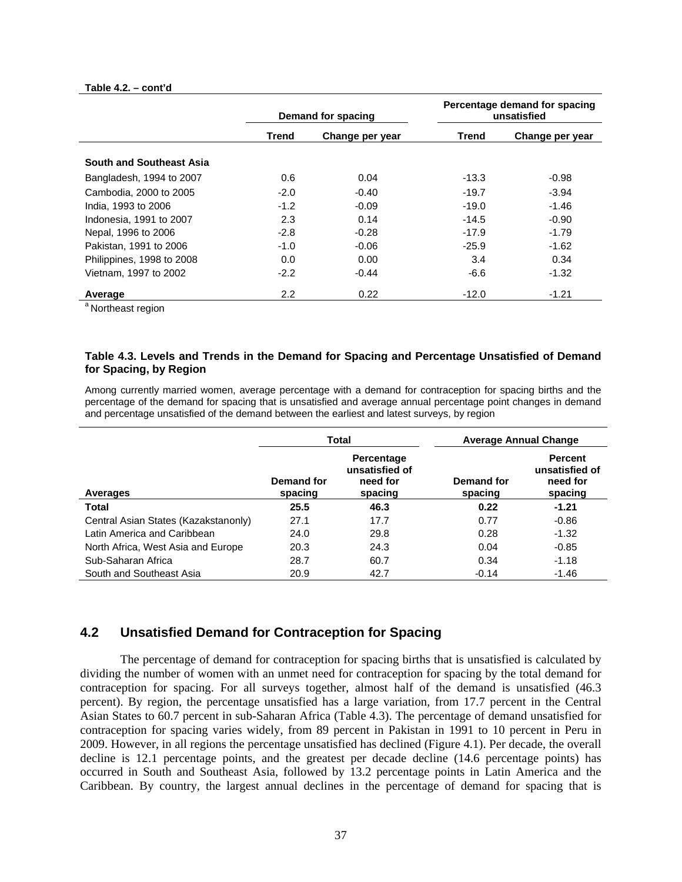#### **Table 4.2. – cont'd**

|                                 | Demand for spacing              |         | Percentage demand for spacing<br>unsatisfied |                 |
|---------------------------------|---------------------------------|---------|----------------------------------------------|-----------------|
|                                 | <b>Trend</b><br>Change per year |         | Trend                                        | Change per year |
| <b>South and Southeast Asia</b> |                                 |         |                                              |                 |
| Bangladesh, 1994 to 2007        | 0.6                             | 0.04    | $-13.3$                                      | $-0.98$         |
| Cambodia, 2000 to 2005          | $-2.0$                          | $-0.40$ | $-19.7$                                      | $-3.94$         |
| India, 1993 to 2006             | $-1.2$                          | $-0.09$ | $-19.0$                                      | $-1.46$         |
| Indonesia, 1991 to 2007         | 2.3                             | 0.14    | $-14.5$                                      | $-0.90$         |
| Nepal, 1996 to 2006             | $-2.8$                          | $-0.28$ | $-17.9$                                      | $-1.79$         |
| Pakistan, 1991 to 2006          | $-1.0$                          | $-0.06$ | $-25.9$                                      | $-1.62$         |
| Philippines, 1998 to 2008       | 0.0                             | 0.00    | 3.4                                          | 0.34            |
| Vietnam, 1997 to 2002           | $-2.2$                          | $-0.44$ | $-6.6$                                       | $-1.32$         |
| Average                         | 2.2                             | 0.22    | $-12.0$                                      | $-1.21$         |
| <sup>a</sup> Northeast region   |                                 |         |                                              |                 |

#### **Table 4.3. Levels and Trends in the Demand for Spacing and Percentage Unsatisfied of Demand for Spacing, by Region**

Among currently married women, average percentage with a demand for contraception for spacing births and the percentage of the demand for spacing that is unsatisfied and average annual percentage point changes in demand and percentage unsatisfied of the demand between the earliest and latest surveys, by region

|                                      |                       | <b>Total</b>                                        | <b>Average Annual Change</b> |                                                         |  |
|--------------------------------------|-----------------------|-----------------------------------------------------|------------------------------|---------------------------------------------------------|--|
| Averages                             | Demand for<br>spacing | Percentage<br>unsatisfied of<br>need for<br>spacing | Demand for<br>spacing        | <b>Percent</b><br>unsatisfied of<br>need for<br>spacing |  |
| <b>Total</b>                         | 25.5                  | 46.3                                                | 0.22                         | $-1.21$                                                 |  |
| Central Asian States (Kazakstanonly) | 27.1                  | 17.7                                                | 0.77                         | $-0.86$                                                 |  |
| Latin America and Caribbean          | 24.0                  | 29.8                                                | 0.28                         | $-1.32$                                                 |  |
| North Africa, West Asia and Europe   | 20.3                  | 24.3                                                | 0.04                         | $-0.85$                                                 |  |
| Sub-Saharan Africa                   | 28.7                  | 60.7                                                | 0.34                         | $-1.18$                                                 |  |
| South and Southeast Asia             | 20.9                  | 42.7                                                | $-0.14$                      | $-1.46$                                                 |  |

#### **4.2 Unsatisfied Demand for Contraception for Spacing**

The percentage of demand for contraception for spacing births that is unsatisfied is calculated by dividing the number of women with an unmet need for contraception for spacing by the total demand for contraception for spacing. For all surveys together, almost half of the demand is unsatisfied (46.3 percent). By region, the percentage unsatisfied has a large variation, from 17.7 percent in the Central Asian States to 60.7 percent in sub-Saharan Africa (Table 4.3). The percentage of demand unsatisfied for contraception for spacing varies widely, from 89 percent in Pakistan in 1991 to 10 percent in Peru in 2009. However, in all regions the percentage unsatisfied has declined (Figure 4.1). Per decade, the overall decline is 12.1 percentage points, and the greatest per decade decline (14.6 percentage points) has occurred in South and Southeast Asia, followed by 13.2 percentage points in Latin America and the Caribbean. By country, the largest annual declines in the percentage of demand for spacing that is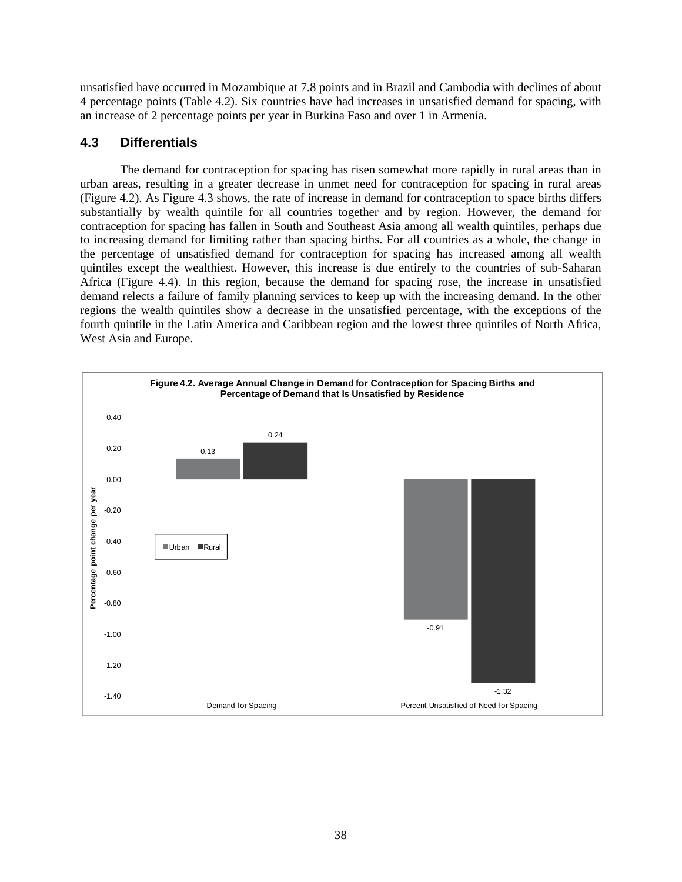unsatisfied have occurred in Mozambique at 7.8 points and in Brazil and Cambodia with declines of about 4 percentage points (Table 4.2). Six countries have had increases in unsatisfied demand for spacing, with an increase of 2 percentage points per year in Burkina Faso and over 1 in Armenia.

#### **4.3 Differentials**

The demand for contraception for spacing has risen somewhat more rapidly in rural areas than in urban areas, resulting in a greater decrease in unmet need for contraception for spacing in rural areas (Figure 4.2). As Figure 4.3 shows, the rate of increase in demand for contraception to space births differs substantially by wealth quintile for all countries together and by region. However, the demand for contraception for spacing has fallen in South and Southeast Asia among all wealth quintiles, perhaps due to increasing demand for limiting rather than spacing births. For all countries as a whole, the change in the percentage of unsatisfied demand for contraception for spacing has increased among all wealth quintiles except the wealthiest. However, this increase is due entirely to the countries of sub-Saharan Africa (Figure 4.4). In this region, because the demand for spacing rose, the increase in unsatisfied demand relects a failure of family planning services to keep up with the increasing demand. In the other regions the wealth quintiles show a decrease in the unsatisfied percentage, with the exceptions of the fourth quintile in the Latin America and Caribbean region and the lowest three quintiles of North Africa, West Asia and Europe.

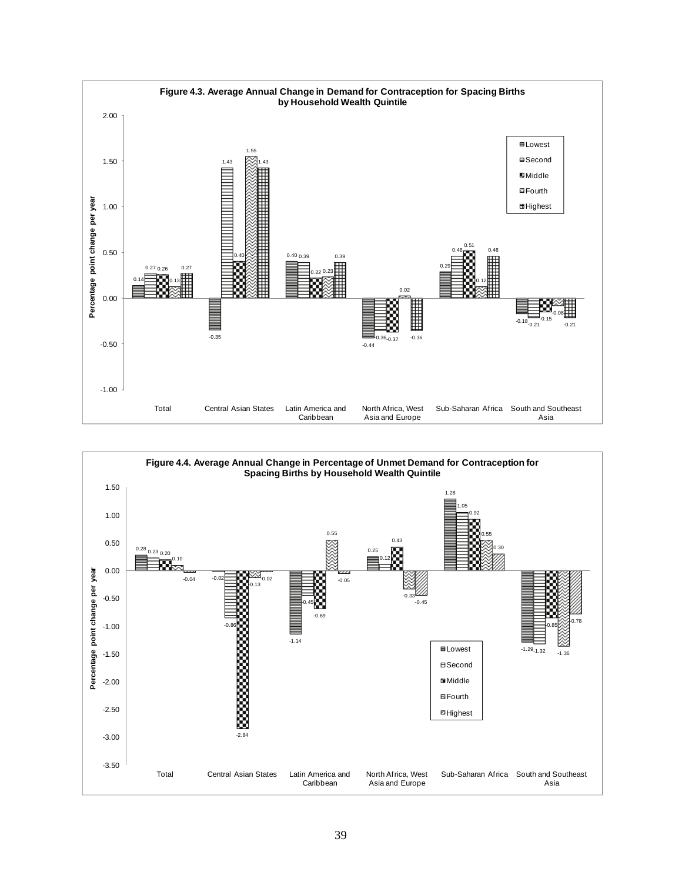

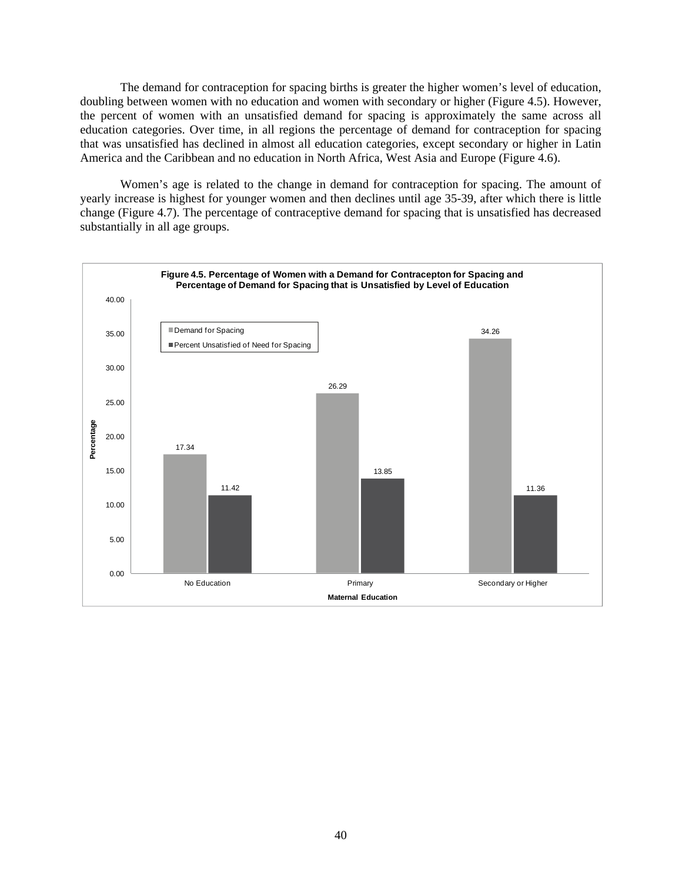The demand for contraception for spacing births is greater the higher women's level of education, doubling between women with no education and women with secondary or higher (Figure 4.5). However, the percent of women with an unsatisfied demand for spacing is approximately the same across all education categories. Over time, in all regions the percentage of demand for contraception for spacing that was unsatisfied has declined in almost all education categories, except secondary or higher in Latin America and the Caribbean and no education in North Africa, West Asia and Europe (Figure 4.6).

Women's age is related to the change in demand for contraception for spacing. The amount of yearly increase is highest for younger women and then declines until age 35-39, after which there is little change (Figure 4.7). The percentage of contraceptive demand for spacing that is unsatisfied has decreased substantially in all age groups.

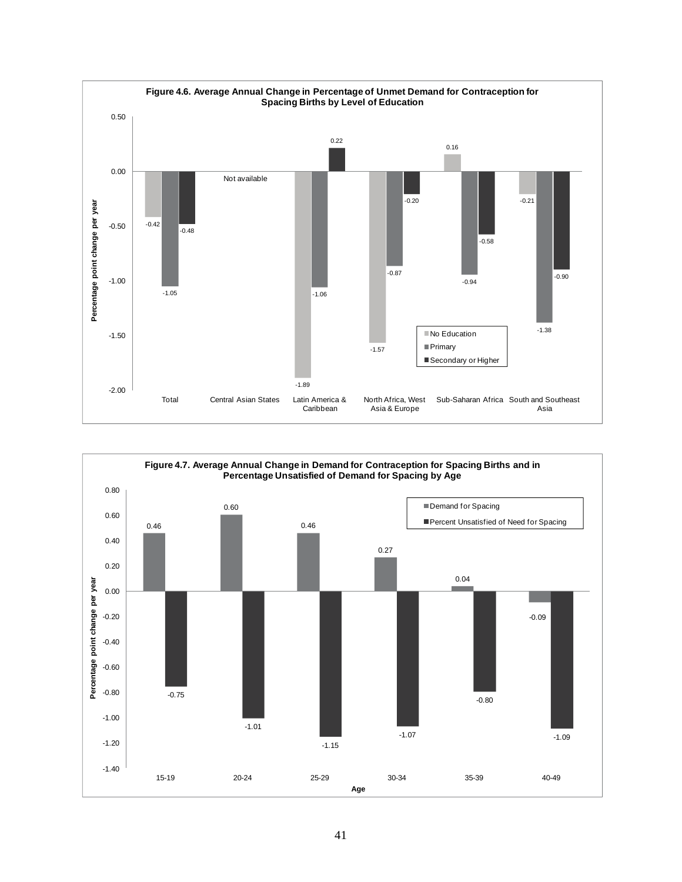

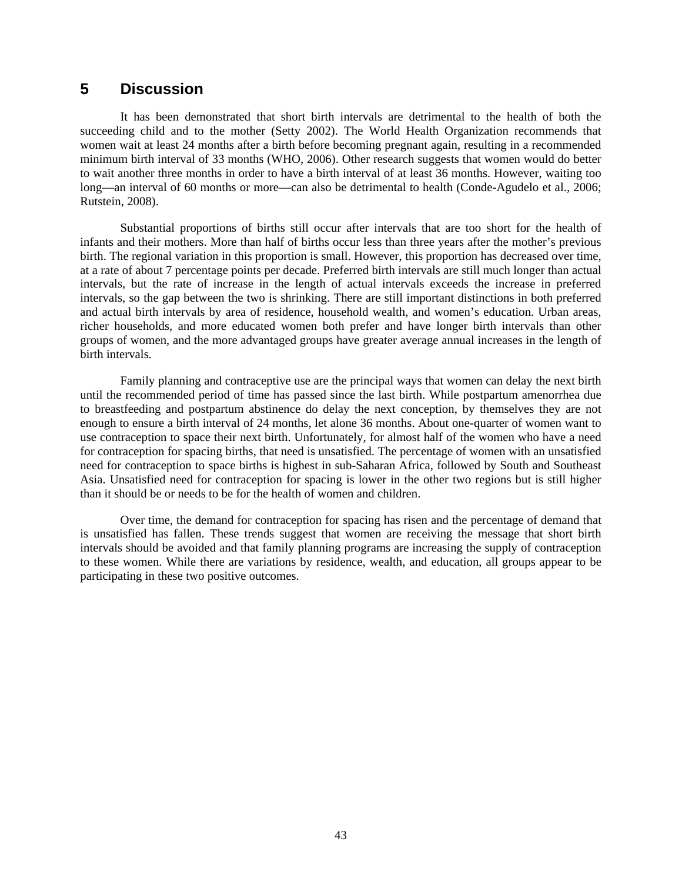## **5 Discussion**

It has been demonstrated that short birth intervals are detrimental to the health of both the succeeding child and to the mother (Setty 2002). The World Health Organization recommends that women wait at least 24 months after a birth before becoming pregnant again, resulting in a recommended minimum birth interval of 33 months (WHO, 2006). Other research suggests that women would do better to wait another three months in order to have a birth interval of at least 36 months. However, waiting too long—an interval of 60 months or more—can also be detrimental to health (Conde-Agudelo et al., 2006; Rutstein, 2008).

Substantial proportions of births still occur after intervals that are too short for the health of infants and their mothers. More than half of births occur less than three years after the mother's previous birth. The regional variation in this proportion is small. However, this proportion has decreased over time, at a rate of about 7 percentage points per decade. Preferred birth intervals are still much longer than actual intervals, but the rate of increase in the length of actual intervals exceeds the increase in preferred intervals, so the gap between the two is shrinking. There are still important distinctions in both preferred and actual birth intervals by area of residence, household wealth, and women's education. Urban areas, richer households, and more educated women both prefer and have longer birth intervals than other groups of women, and the more advantaged groups have greater average annual increases in the length of birth intervals.

Family planning and contraceptive use are the principal ways that women can delay the next birth until the recommended period of time has passed since the last birth. While postpartum amenorrhea due to breastfeeding and postpartum abstinence do delay the next conception, by themselves they are not enough to ensure a birth interval of 24 months, let alone 36 months. About one-quarter of women want to use contraception to space their next birth. Unfortunately, for almost half of the women who have a need for contraception for spacing births, that need is unsatisfied. The percentage of women with an unsatisfied need for contraception to space births is highest in sub-Saharan Africa, followed by South and Southeast Asia. Unsatisfied need for contraception for spacing is lower in the other two regions but is still higher than it should be or needs to be for the health of women and children.

Over time, the demand for contraception for spacing has risen and the percentage of demand that is unsatisfied has fallen. These trends suggest that women are receiving the message that short birth intervals should be avoided and that family planning programs are increasing the supply of contraception to these women. While there are variations by residence, wealth, and education, all groups appear to be participating in these two positive outcomes.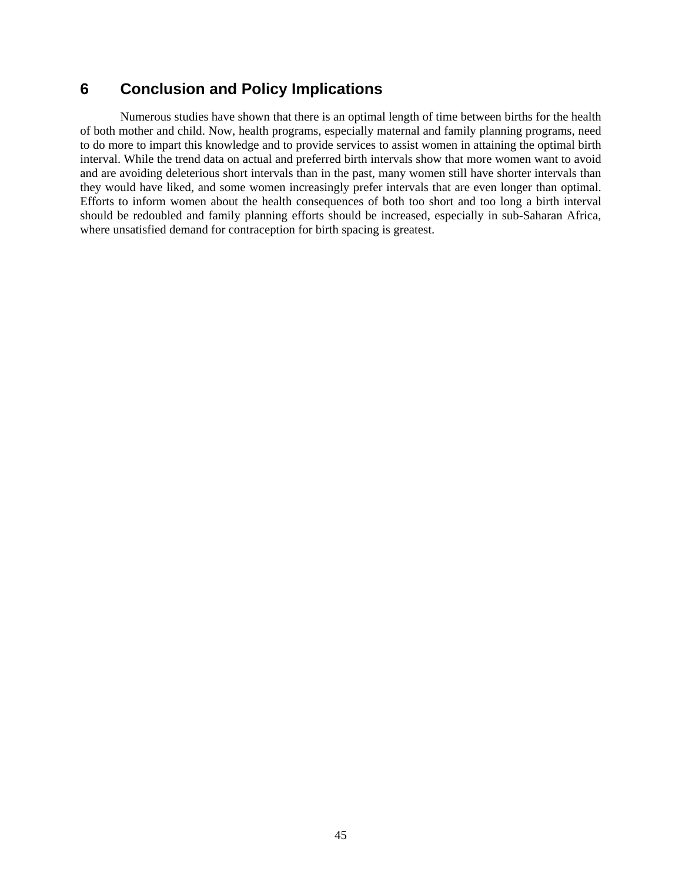## **6 Conclusion and Policy Implications**

Numerous studies have shown that there is an optimal length of time between births for the health of both mother and child. Now, health programs, especially maternal and family planning programs, need to do more to impart this knowledge and to provide services to assist women in attaining the optimal birth interval. While the trend data on actual and preferred birth intervals show that more women want to avoid and are avoiding deleterious short intervals than in the past, many women still have shorter intervals than they would have liked, and some women increasingly prefer intervals that are even longer than optimal. Efforts to inform women about the health consequences of both too short and too long a birth interval should be redoubled and family planning efforts should be increased, especially in sub-Saharan Africa, where unsatisfied demand for contraception for birth spacing is greatest.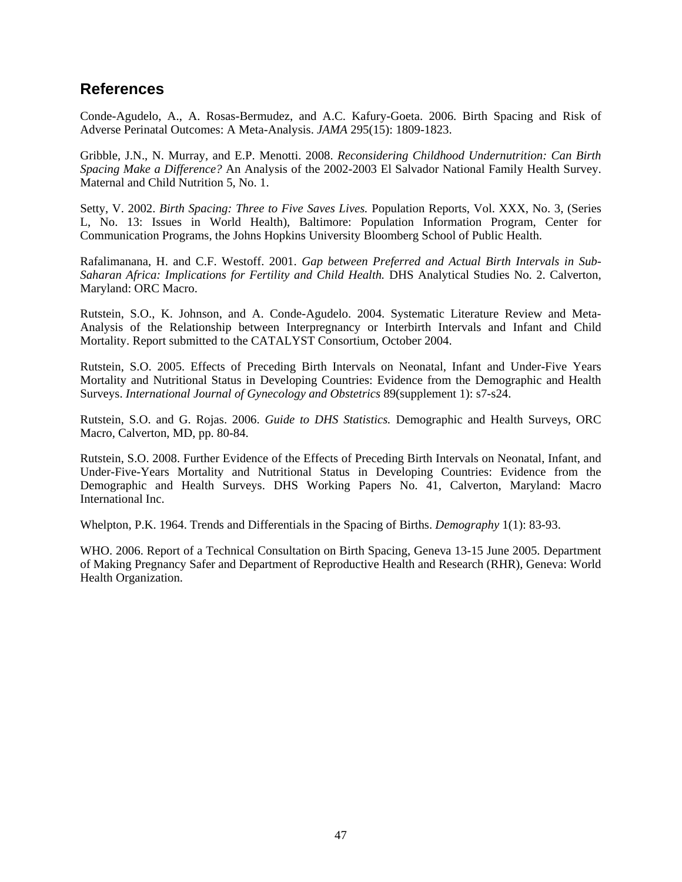## **References**

Conde-Agudelo, A., A. Rosas-Bermudez, and A.C. Kafury-Goeta. 2006. Birth Spacing and Risk of Adverse Perinatal Outcomes: A Meta-Analysis. *JAMA* 295(15): 1809-1823.

Gribble, J.N., N. Murray, and E.P. Menotti. 2008. *Reconsidering Childhood Undernutrition: Can Birth Spacing Make a Difference?* An Analysis of the 2002-2003 El Salvador National Family Health Survey. Maternal and Child Nutrition 5, No. 1.

Setty, V. 2002. *Birth Spacing: Three to Five Saves Lives.* Population Reports, Vol. XXX, No. 3, (Series L, No. 13: Issues in World Health), Baltimore: Population Information Program, Center for Communication Programs, the Johns Hopkins University Bloomberg School of Public Health.

Rafalimanana, H. and C.F. Westoff. 2001. *Gap between Preferred and Actual Birth Intervals in Sub-Saharan Africa: Implications for Fertility and Child Health.* DHS Analytical Studies No. 2. Calverton, Maryland: ORC Macro.

Rutstein, S.O., K. Johnson, and A. Conde-Agudelo. 2004. Systematic Literature Review and Meta-Analysis of the Relationship between Interpregnancy or Interbirth Intervals and Infant and Child Mortality. Report submitted to the CATALYST Consortium, October 2004.

Rutstein, S.O. 2005. Effects of Preceding Birth Intervals on Neonatal, Infant and Under-Five Years Mortality and Nutritional Status in Developing Countries: Evidence from the Demographic and Health Surveys. *International Journal of Gynecology and Obstetrics* 89(supplement 1): s7-s24.

Rutstein, S.O. and G. Rojas. 2006. *Guide to DHS Statistics.* Demographic and Health Surveys, ORC Macro, Calverton, MD, pp. 80-84.

Rutstein, S.O. 2008. Further Evidence of the Effects of Preceding Birth Intervals on Neonatal, Infant, and Under-Five-Years Mortality and Nutritional Status in Developing Countries: Evidence from the Demographic and Health Surveys. DHS Working Papers No. 41, Calverton, Maryland: Macro International Inc.

Whelpton, P.K. 1964. Trends and Differentials in the Spacing of Births. *Demography* 1(1): 83-93.

WHO. 2006. Report of a Technical Consultation on Birth Spacing, Geneva 13-15 June 2005. Department of Making Pregnancy Safer and Department of Reproductive Health and Research (RHR), Geneva: World Health Organization.